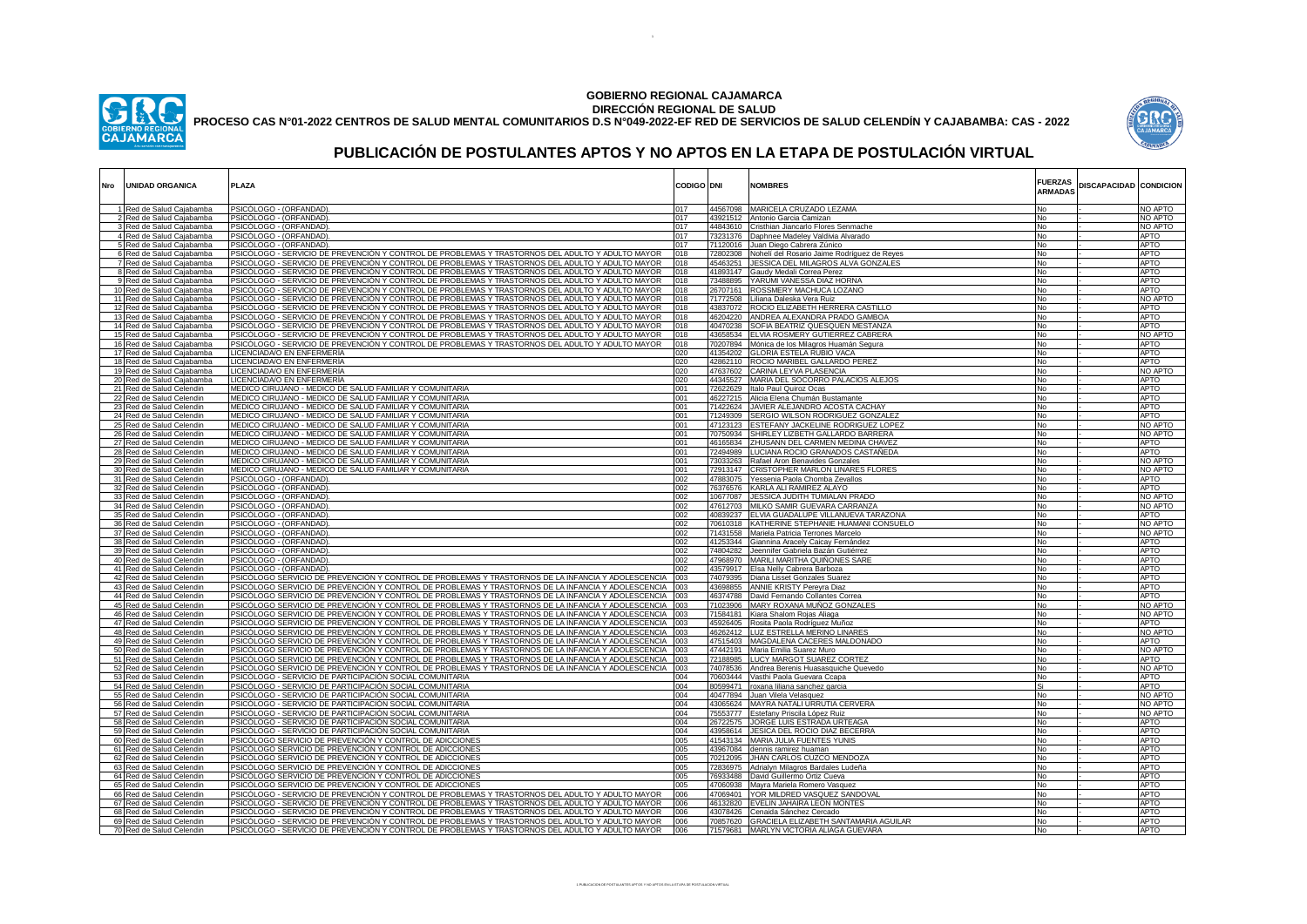

## **GOBIERNO REGIONAL CAJAMARCA DIRECCIÓN REGIONAL DE SALUD**

**PROCESO CAS N°01-2022 CENTROS DE SALUD MENTAL COMUNITARIOS D.S N°049-2022-EF RED DE SERVICIOS DE SALUD CELENDÍN Y CAJABAMBA: CAS - 2022**



## **PUBLICACIÓN DE POSTULANTES APTOS Y NO APTOS EN LA ETAPA DE POSTULACIÓN VIRTUAL**

| Nro | <b>UNIDAD ORGANICA</b>                                 | PLAZA                                                                                                                                                                                                         | <b>CODIGO DNI</b> |                      | <b>NOMBRES</b>                                                                            | <b>FUERZAS</b><br><b>ARMADAS</b> | <b>DISCAPACIDAD CONDICION</b> |                            |
|-----|--------------------------------------------------------|---------------------------------------------------------------------------------------------------------------------------------------------------------------------------------------------------------------|-------------------|----------------------|-------------------------------------------------------------------------------------------|----------------------------------|-------------------------------|----------------------------|
|     | 1 Red de Salud Cajabamba                               | PSICÓLOGO - (ORFANDAD)                                                                                                                                                                                        | 017               |                      | 44567098 MARICELA CRUZADO LEZAMA                                                          | No                               |                               | NO APTO                    |
|     | <u>2 Red de Salud Cajabamba</u>                        | <u>PSICÓLOGO - (ORFANDAD)</u>                                                                                                                                                                                 | 017               | 43921512             | Antonio Garcia Camizan                                                                    | No                               |                               | NO APTO                    |
|     | 3 Red de Salud Cajabamba                               | PSICÓLOGO - (ORFANDAD)<br>PSICÓLOGO - (ORFANDAD)                                                                                                                                                              | 017<br>017        | 44843610             | Cristhian Jiancarlo Flores Senmache                                                       | No<br>No                         |                               | NO APTO<br>APTO            |
|     | 4 Red de Salud Cajabamba<br>5 Red de Salud Cajabamba   | PSICÓLOGO - (ORFANDAD)                                                                                                                                                                                        | 017               | 73231376<br>71120016 | Daphnee Madeley Valdivia Alvarado<br>Juan Diego Cabrera Zúnico                            | No                               |                               | <b>APTO</b>                |
|     | 6 Red de Salud Cajabamba                               | PSICÓLOGO - SERVICIO DE PREVENCIÓN Y CONTROL DE PROBLEMAS Y TRASTORNOS DEL ADULTO Y ADULTO MAYOR                                                                                                              | 018               | 72802308             | Nohelí del Rosario Jaime Rodríguez de Reyes                                               | No                               |                               | <b>APTO</b>                |
|     | 7 Red de Salud Cajabamba                               | PSICÓLOGO - SERVICIO DE PREVENCIÓN Y CONTROL DE PROBLEMAS Y TRASTORNOS DEL ADULTO Y ADULTO MAYOR                                                                                                              | 018               | 45463251             | JESSICA DEL MILAGROS ALVA GONZALES                                                        | No                               |                               | <b>APTO</b>                |
|     | 8 Red de Salud Cajabamba                               | PSICÓLOGO - SERVICIO DE PREVENCIÓN Y CONTROL DE PROBLEMAS Y TRASTORNOS DEL ADULTO Y ADULTO MAYOR                                                                                                              | 018               | 41893147             | Gaudy Medali Correa Perez                                                                 | No                               |                               | <b>APTO</b>                |
|     | 9 Red de Salud Cajabamba                               | PSICÓLOGO - SERVICIO DE PREVENCIÓN Y CONTROL DE PROBLEMAS Y TRASTORNOS DEL ADULTO Y ADULTO MAYOR                                                                                                              | 018               | 73488895             | YARUMI VANESSA DIAZ HORNA                                                                 | No                               |                               | <b>APTO</b>                |
|     | 10 Red de Salud Cajabamba                              | PSICÓLOGO - SERVICIO DE PREVENCIÓN Y CONTROL DE PROBLEMAS Y TRASTORNOS DEL ADULTO Y ADULTO MAYOR                                                                                                              | 018               | 26707161             | ROSSMERY MACHUCA LOZANO                                                                   | No                               |                               | <b>APTO</b>                |
|     | 11 Red de Salud Cajabamba<br>12 Red de Salud Cajabamba | PSICÓLOGO - SERVICIO DE PREVENCIÓN Y CONTROL DE PROBLEMAS Y TRASTORNOS DEL ADULTO Y ADULTO MAYOR<br>PSICÓLOGO - SERVICIO DE PREVENCIÓN Y CONTROL DE PROBLEMAS Y TRASTORNOS DEL ADULTO Y ADULTO MAYOR          | 018<br>018        | 71772508<br>43837072 | Liliana Daleska Vera Ruiz<br>ROCIO ELIZABETH HERRERA CASTILLO                             | No<br>No                         |                               | NO APTO<br><b>APTO</b>     |
|     | 13 Red de Salud Cajabamba                              | PSICÓLOGO - SERVICIO DE PREVENCIÓN Y CONTROL DE PROBLEMAS Y TRASTORNOS DEL ADULTO Y ADULTO MAYOR                                                                                                              | 018               | 46204220             | ANDREA ALEXANDRA PRADO GAMBOA                                                             | No                               |                               | <b>APTO</b>                |
|     | 14 Red de Salud Cajabamba                              | PSICÓLOGO - SERVICIO DE PREVENCIÓN Y CONTROL DE PROBLEMAS Y TRASTORNOS DEL ADULTO Y ADULTO MAYOR                                                                                                              | 018               | 40470238             | SOFIA BEATRIZ QUESQUEN MESTANZA                                                           | No                               |                               | <b>APTO</b>                |
|     | 15 Red de Salud Cajabamba                              | PSICÓLOGO - SERVICIO DE PREVENCIÓN Y CONTROL DE PROBLEMAS Y TRASTORNOS DEL ADULTO Y ADULTO MAYOR                                                                                                              | 018               | 43658534             | ELVIA ROSMERY GUTIERREZ CABRERA                                                           | No                               |                               | NO APTO                    |
|     | 16 Red de Salud Cajabamba                              | PSICÓLOGO - SERVICIO DE PREVENCIÓN Y CONTROL DE PROBLEMAS Y TRASTORNOS DEL ADULTO Y ADULTO MAYOR                                                                                                              | 018               |                      | 70207894 Mónica de los Milagros Huamán Segura                                             | No                               |                               | <b>APTO</b>                |
|     | 17 Red de Salud Cajabamba                              | LICENCIADA/O EN ENFERMERÍA                                                                                                                                                                                    | 020               | 41354202             | <b>GLORIA ESTELA RUBIO VACA</b>                                                           | No                               |                               | APTO                       |
|     | 18 Red de Salud Cajabamba<br>19 Red de Salud Cajabamba | LICENCIADA/O EN ENFERMERÍA<br>LICENCIADA/O EN ENFERMERÍA                                                                                                                                                      | 020<br>020        | 42862110<br>47637602 | ROCIO MARIBEL GALLARDO PEREZ<br>CARINA LEYVA PLASENCIA                                    | No<br>No                         |                               | <b>APTO</b><br>NO APTO     |
|     | 20 Red de Salud Cajabamba                              | LICENCIADA/O EN ENFERMERÍA                                                                                                                                                                                    | 020               | 44345527             | MARIA DEL SOCORRO PALACIOS ALEJOS                                                         | No                               |                               | APTO                       |
|     | 21 Red de Salud Celendin                               | MEDICO CIRUJANO - MEDICO DE SALUD FAMILIAR Y COMUNITARIA                                                                                                                                                      | 001               |                      | 72622629 Italo Paul Quiroz Ocas                                                           | No                               |                               | <b>APTO</b>                |
|     | 22 Red de Salud Celendin                               | MEDICO CIRUJANO - MEDICO DE SALUD FAMILIAR Y COMUNITARIA                                                                                                                                                      | 001               |                      | 46227215 Alicia Elena Chumán Bustamante                                                   | No                               |                               | <b>APTO</b>                |
|     | 23 Red de Salud Celendin                               | MEDICO CIRUJANO - MEDICO DE SALUD FAMILIAR Y COMUNITARIA                                                                                                                                                      | 001               |                      | 71422624 JAVIER ALEJANDRO ACOSTA CACHAY                                                   | No                               |                               | <b>APTO</b>                |
|     | 24 Red de Salud Celendin                               | MEDICO CIRUJANO - MEDICO DE SALUD FAMILIAR Y COMUNITARIA                                                                                                                                                      | 001               | 71249309             | SERGIO WILSON RODRIGUEZ GONZALEZ                                                          | No                               |                               | <b>APTO</b>                |
|     | 25 Red de Salud Celendin                               | MEDICO CIRUJANO - MEDICO DE SALUD FAMILIAR Y COMUNITARIA                                                                                                                                                      | 001               | 47123123             | ESTEFANY JACKELINE RODRIGUEZ LOPEZ<br>SHIRLEY LIZBETH GALLARDO BARRERA                    | No                               |                               | NO APTO                    |
|     | 26 Red de Salud Celendin<br>27 Red de Salud Celendin   | MEDICO CIRUJANO - MEDICO DE SALUD FAMILIAR Y COMUNITARIA<br>MEDICO CIRUJANO - MEDICO DE SALUD FAMILIAR Y COMUNITARIA                                                                                          | 001<br>001        | 70750934             | 46165834 ZHUSANN DEL CARMEN MEDINA CHAVEZ                                                 | No<br>No                         |                               | NO APTO<br><b>APTO</b>     |
|     | 28 Red de Salud Celendin                               | MEDICO CIRUJANO - MEDICO DE SALUD FAMILIAR Y COMUNITARIA                                                                                                                                                      | 001               | 72494989             | LUCIANA ROCIO GRANADOS CASTAÑEDA                                                          | No                               |                               | <b>APTO</b>                |
|     | 29 Red de Salud Celendin                               | MEDICO CIRUJANO - MEDICO DE SALUD FAMILIAR Y COMUNITARIA                                                                                                                                                      | 001               | 73033263             | Rafael Aron Benavides Gonzales                                                            | No                               |                               | NO APTO                    |
|     | 30 Red de Salud Celendin                               | MEDICO CIRUJANO - MEDICO DE SALUD FAMILIAR Y COMUNITARIA                                                                                                                                                      | 001               | 72913147             | CRISTOPHER MARLON LINARES FLORES                                                          | No                               |                               | NO APTO                    |
|     | 31 Red de Salud Celendin                               | PSICÓLOGO - (ORFANDAD)                                                                                                                                                                                        | 002               | 47883075             | Yessenia Paola Chomba Zevallos                                                            | No                               |                               | <b>APTO</b>                |
|     | 32 Red de Salud Celendin                               | PSICÓLOGO - (ORFANDAD)                                                                                                                                                                                        | 002               | 76376576             | KARLA ALI RAMIREZ ALAYO                                                                   | No                               |                               | <b>APTO</b>                |
|     | 33 Red de Salud Celendin                               | PSICÓLOGO - (ORFANDAD)<br>PSICÓLOGO - (ORFANDAD)                                                                                                                                                              | 002<br>002        | 10677087<br>47612703 | JESSICA JUDITH TUMIALAN PRADO<br>MILKO SAMIR GUEVARA CARRANZA                             | No<br>No                         |                               | NO APTO<br>NO APTO         |
|     | 34 Red de Salud Celendin<br>35 Red de Salud Celendin   | PSICÓLOGO - (ORFANDAD)                                                                                                                                                                                        | 002               | 40839237             | ELVIA GUADALUPE VILLANUEVA TARAZONA                                                       | No                               |                               | APTO                       |
|     | 36 Red de Salud Celendin                               | PSICÓLOGO - (ORFANDAD)                                                                                                                                                                                        | 002               | 70610318             | KATHERINE STEPHANIE HUAMANI CONSUELO                                                      | No                               |                               | NO APTO                    |
|     | 37 Red de Salud Celendin                               | PSICÓLOGO - (ORFANDAD)                                                                                                                                                                                        | 002               | 71431558             | Mariela Patricia Terrones Marcelo                                                         | No                               |                               | NO APTO                    |
|     | 38 Red de Salud Celendin                               | PSICÓLOGO - (ORFANDAD)                                                                                                                                                                                        | 002               | 41253344             | Giannina Aracely Caicay Fernández                                                         | No                               |                               | <b>APTO</b>                |
|     | 39 Red de Salud Celendin                               | PSICÓLOGO - (ORFANDAD)                                                                                                                                                                                        | 002               | 74804282             | Jeennifer Gabriela Bazán Gutiérrez                                                        | No                               |                               | <b>APTO</b>                |
|     | 40 Red de Salud Celendin<br>41 Red de Salud Celendin   | PSICÓLOGO - (ORFANDAD)<br>PSICÓLOGO - (ORFANDAD)                                                                                                                                                              | 002<br>002        | 47968970<br>43579917 | MARILI MARITHA QUIÑONES SARE<br>Elsa Nelly Cabrera Barboza                                | No<br>No                         |                               | <b>APTO</b><br><b>APTO</b> |
|     | 42 Red de Salud Celendin                               | PSICÓLOGO SERVICIO DE PREVENCIÓN Y CONTROL DE PROBLEMAS Y TRASTORNOS DE LA INFANCIA Y ADOLESCENCIA                                                                                                            | 003               | 74079395             | Diana Lisset Gonzales Suarez                                                              | No                               |                               | <b>APTO</b>                |
|     | 43 Red de Salud Celendin                               | PSICÓLOGO SERVICIO DE PREVENCIÓN Y CONTROL DE PROBLEMAS Y TRASTORNOS DE LA INFANCIA Y ADOLESCENCIA │003                                                                                                       |                   | 43698855             | ANNIE KRISTY Pereyra Diaz                                                                 | No                               |                               | <b>APTO</b>                |
|     | 44 Red de Salud Celendin                               | PSICÓLOGO SERVICIO DE PREVENCIÓN Y CONTROL DE PROBLEMAS Y TRASTORNOS DE LA INFANCIA Y ADOLESCENCIA │003                                                                                                       |                   | 46374788             | David Fernando Collantes Correa                                                           | No.                              |                               | <b>APTO</b>                |
|     | 45 Red de Salud Celendin                               | PSICÓLOGO SERVICIO DE PREVENCIÓN Y CONTROL DE PROBLEMAS Y TRASTORNOS DE LA INFANCIA Y ADOLESCENCIA                                                                                                            | 003               | 71023906             | MARY ROXANA MUÑOZ GONZALES                                                                | No                               |                               | NO APTO                    |
|     | 46 Red de Salud Celendin                               | <u>PSICÓLOGO SERVICIO DE PREVENCIÓN Y CONTROL DE PROBLEMAS Y TRASTORNOS DE LA INFANCIA Y ADOLESCENCIA</u>                                                                                                     | 003               |                      | 71584181 Kiara Shalom Rojas Aliaga                                                        | No                               |                               | NO APTO                    |
|     | 47 Red de Salud Celendin                               | PSICÓLOGO SERVICIO DE PREVENCIÓN Y CONTROL DE PROBLEMAS Y TRASTORNOS DE LA INFANCIA Y ADOLESCENCIA<br>PSICÓLOGO SERVICIO DE PREVENCIÓN Y CONTROL DE PROBLEMAS Y TRASTORNOS DE LA INFANCIA Y ADOLESCENCIA (003 | 003               | 45926405             | Rosita Paola Rodríguez Muñoz                                                              | No                               |                               | APTO                       |
|     | 48 Red de Salud Celendin<br>49 Red de Salud Celendin   | PSICÓLOGO SERVICIO DE PREVENCIÓN Y CONTROL DE PROBLEMAS Y TRASTORNOS DE LA INFANCIA Y ADOLESCENCIA   003                                                                                                      |                   | 47515403             | 46262412 LUZ ESTRELLA MERINO LINARES<br>MAGDALENA CACERES MALDONADO                       | No<br>No                         |                               | NO APTO<br>APTO            |
|     | 50 Red de Salud Celendin                               | PSICÓLOGO SERVICIO DE PREVENCIÓN Y CONTROL DE PROBLEMAS Y TRASTORNOS DE LA INFANCIA Y ADOLESCENCIA [003                                                                                                       |                   |                      | 47442191   Maria Emilia Suarez Muro                                                       | No                               |                               | NO APTO                    |
|     | 51 Red de Salud Celendin                               | PSICÓLOGO SERVICIO DE PREVENCIÓN Y CONTROL DE PROBLEMAS Y TRASTORNOS DE LA INFANCIA Y ADOLESCENCIA │003                                                                                                       |                   | 72188985             | LUCY MARGOT SUAREZ CORTEZ                                                                 | No                               |                               | APTO                       |
|     | 52 Red de Salud Celendin                               | PSICÓLOGO SERVICIO DE PREVENCIÓN Y CONTROL DE PROBLEMAS Y TRASTORNOS DE LA INFANCIA Y ADOLESCENCIA                                                                                                            | 003               | 74078536             | Andrea Berenis Huasasquiche Quevedo                                                       | No                               |                               | NO APTO                    |
|     | 53 Red de Salud Celendin                               | PSICÓLOGO - SERVICIO DE PARTICIPACIÓN SOCIAL COMUNITARIA                                                                                                                                                      | 004               |                      | 70603444 Vasthi Paola Guevara Ccapa                                                       | No                               |                               | APTO                       |
|     | 54 Red de Salud Celendin                               | PSICÓLOGO - SERVICIO DE PARTICIPACIÓN SOCIAL COMUNITARIA                                                                                                                                                      | 004               |                      | 80599471 roxana liliana sanchez garcia                                                    | Si                               |                               | <b>APTO</b>                |
|     | 55 Red de Salud Celendin<br>56 Red de Salud Celendin   | PSICÓLOGO - SERVICIO DE PARTICIPACIÓN SOCIAL COMUNITARIA<br>PSICÓLOGO - SERVICIO DE PARTICIPACIÓN SOCIAL COMUNITARIA                                                                                          | 004<br>004        | 40477894             | Juan Vilela Velasquez<br>43065624 MAYRA NATALI URRUTIA CERVERA                            | No<br>No                         |                               | NO APTO<br>NO APTO         |
|     | 57 Red de Salud Celendin                               | PSICÓLOGO - SERVICIO DE PARTICIPACIÓN SOCIAL COMUNITARIA                                                                                                                                                      | 004               | 75553777             | Estefany Priscila López Ruiz                                                              | No                               |                               | NO APTO                    |
|     | 58 Red de Salud Celendin                               | PSICÓLOGO - SERVICIO DE PARTICIPACIÓN SOCIAL COMUNITARIA                                                                                                                                                      | 004               | 26722575             | JORGE LUIS ESTRADA URTEAGA                                                                | No                               |                               | <b>APTO</b>                |
|     | 59 Red de Salud Celendin                               | PSICÓLOGO - SERVICIO DE PARTICIPACIÓN SOCIAL COMUNITARIA                                                                                                                                                      | 004               | 43958614             | JESICA DEL ROCIO DIAZ BECERRA                                                             | No                               |                               | <b>APTO</b>                |
|     | 60 Red de Salud Celendin                               | PSICÓLOGO SERVICIO DE PREVENCIÓN Y CONTROL DE ADICCIONES                                                                                                                                                      | 005               |                      | 41543134 MARIA JULIA FUENTES YUNIS                                                        | No                               |                               | <b>APTO</b>                |
|     | 61 Red de Salud Celendin                               | PSICÓLOGO SERVICIO DE PREVENCIÓN Y CONTROL DE ADICCIONES                                                                                                                                                      | 005               | 43967084             | dennis ramirez huaman                                                                     | No                               |                               | <b>APTO</b>                |
|     | 62 Red de Salud Celendin<br>63 Red de Salud Celendin   | PSICÓLOGO SERVICIO DE PREVENCIÓN Y CONTROL DE ADICCIONES<br>PSICÓLOGO SERVICIO DE PREVENCIÓN Y CONTROL DE ADICCIONES                                                                                          | 005<br>005        | 72836975             | 70212095 JHAN CARLOS CUZCO MENDOZA                                                        | No<br>No                         |                               | <b>APTO</b><br><b>APTO</b> |
|     | 64 Red de Salud Celendin                               | PSICÓLOGO SERVICIO DE PREVENCIÓN Y CONTROL DE ADICCIONES                                                                                                                                                      | 005               | 76933488             | Adrialyn Milagros Bardales Ludeña<br>David Guillermo Ortiz Cueva                          | No                               |                               | <b>APTO</b>                |
|     | 65 Red de Salud Celendin                               | PSICÓLOGO SERVICIO DE PREVENCIÓN Y CONTROL DE ADICCIONES                                                                                                                                                      | 005               | 47060938             | Mayra Mariela Romero Vasquez                                                              | No                               |                               | <b>APTO</b>                |
|     | 66 Red de Salud Celendin                               | PSICÓLOGO - SERVICIO DE PREVENCIÓN Y CONTROL DE PROBLEMAS Y TRASTORNOS DEL ADULTO Y ADULTO MAYOR                                                                                                              | 006               | 47069401             | YOR MILDRED VASQUEZ SANDOVAL                                                              | No                               |                               | <b>APTO</b>                |
|     | 67 Red de Salud Celendin                               | PSICÓLOGO - SERVICIO DE PREVENCIÓN Y CONTROL DE PROBLEMAS Y TRASTORNOS DEL ADULTO Y ADULTO MAYOR                                                                                                              | 006               | 46132820             | EVELIN JAHAIRA LEON MONTES                                                                | No                               |                               | <b>APTO</b>                |
|     | 68 Red de Salud Celendin                               | PSICÓLOGO - SERVICIO DE PREVENCIÓN Y CONTROL DE PROBLEMAS Y TRASTORNOS DEL ADULTO Y ADULTO MAYOR                                                                                                              | 006               |                      | 43078426 Cenaida Sánchez Cercado                                                          | No.                              |                               | <b>APTO</b>                |
|     | 69 Red de Salud Celendin<br>70 Red de Salud Celendin   | PSICÓLOGO - SERVICIO DE PREVENCIÓN Y CONTROL DE PROBLEMAS Y TRASTORNOS DEL ADULTO Y ADULTO MAYOR<br>PSICÓLOGO - SERVICIO DE PREVENCIÓN Y CONTROL DE PROBLEMAS Y TRASTORNOS DEL ADULTO Y ADULTO MAYOR          | 006<br>006        |                      | 70857620 GRACIELA ELIZABETH SANTAMARIA AGUILAR<br>71579681 MARLYN VICTORIA ALIAGA GUEVARA | No<br>No                         |                               | <b>APTO</b><br><b>APTO</b> |
|     |                                                        |                                                                                                                                                                                                               |                   |                      |                                                                                           |                                  |                               |                            |

.<br>DON DE POSTULANTES APTOS Y NO APTOS EN LA ETAPA DE POSTULACION VIRTUA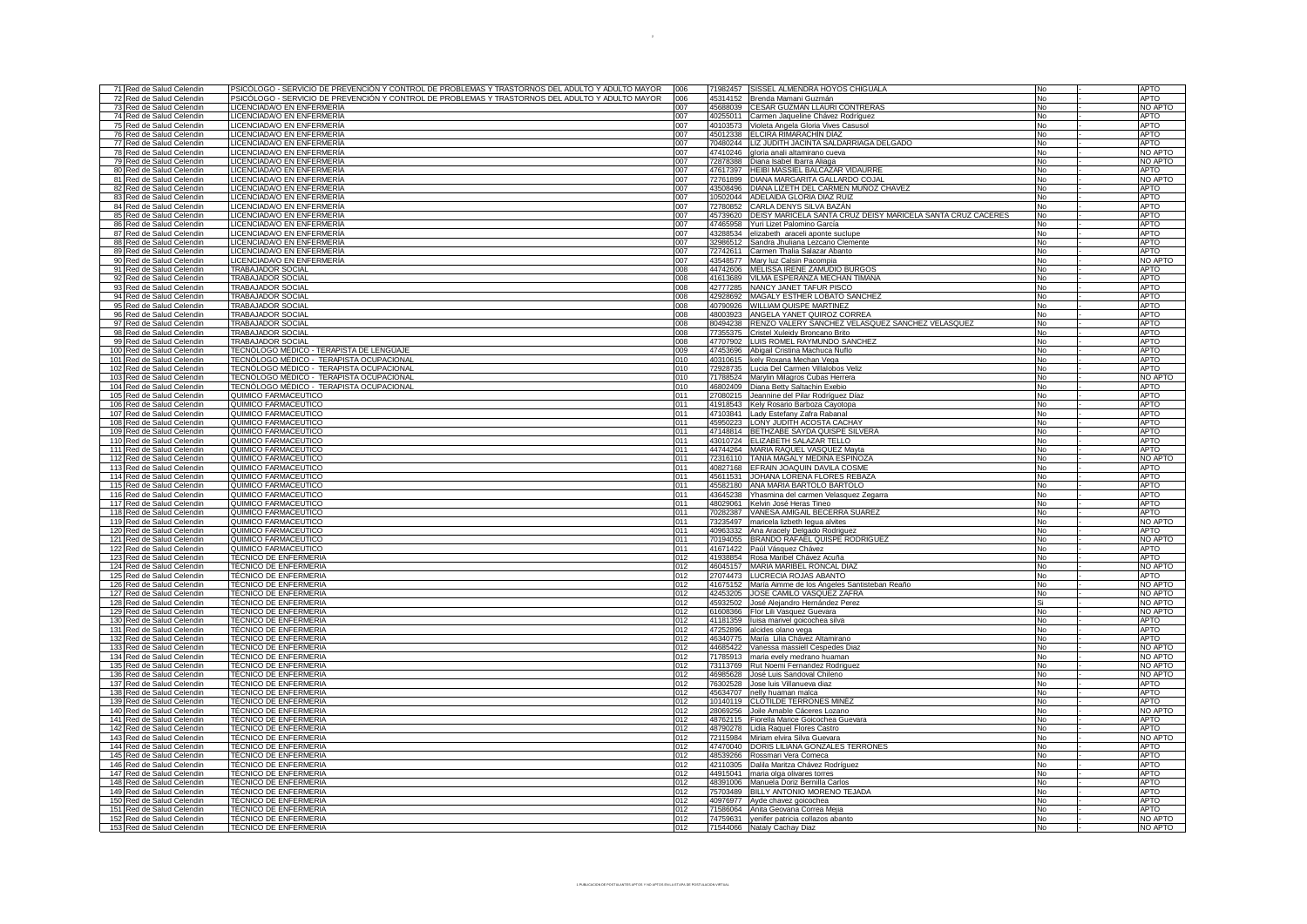| PSICÓLOGO - SERVICIO DE PREVENCIÓN Y CONTROL DE PROBLEMAS Y TRASTORNOS DEL ADULTO Y ADULTO MAYOR<br>006<br><b>APTO</b><br>71 Red de Salud Celendin<br>71982457 SISSEL ALMENDRA HOYOS CHIGUALA<br>No<br>006<br>PSICÓLOGO - SERVICIO DE PREVENCIÓN Y CONTROL DE PROBLEMAS Y TRASTORNOS DEL ADULTO Y ADULTO MAYOR<br><b>APTO</b><br>No<br>72 Red de Salud Celendin<br>45314152<br>Brenda Mamani Guzmán<br>LICENCIADA/O EN ENFERMERÍA<br>007<br>45688039 CESAR GUZMAN LLAURI CONTRERAS<br><b>No</b><br>NO APTO<br>73 Red de Salud Celendin<br>LICENCIADA/O EN ENFERMERÍA<br>74 Red de Salud Celendin<br>007<br>40255011 Carmen Jaqueline Chávez Rodríguez<br>No<br><b>APTO</b><br>75 Red de Salud Celendin<br>LICENCIADA/O EN ENFERMERÍA<br>Violeta Angela Gloria Vives Casusol<br><b>APTO</b><br>007<br>40103573<br><b>No</b><br>76 Red de Salud Celendin<br>LICENCIADA/O EN ENFERMERÍA<br>007<br>45012338 ELCIRA RIMARACHÍN DÍAZ<br>No<br><b>APTO</b><br>77 Red de Salud Celendin<br>LICENCIADA/O EN ENFERMERÍA<br>70480244   LIZ JUDITH JACINTA SALDARRIAGA DELGADO<br>007<br><b>APTO</b><br>No<br>LICENCIADA/O EN ENFERMERÍA<br>78 Red de Salud Celendin<br>007<br>47410246 gloria anali altamirano cueva<br>No<br>NO APTO<br>LICENCIADA/O EN ENFERMERÍA<br>NO APTO<br>79 Red de Salud Celendin<br>007<br>72878388 Diana Isabel Ibarra Aliaga<br>No<br>LICENCIADA/O EN ENFERMERÍA<br>HEIBI MASSIEL BALCAZAR VIDAURRE<br>80 Red de Salud Celendin<br>47617397<br>No<br>APTO<br>007<br>81 Red de Salud Celendin<br>LICENCIADA/O EN ENFERMERÍA<br>007<br>72761899 DIANA MARGARITA GALLARDO COJAL<br>No<br>NO APTO<br>LICENCIADA/O EN ENFERMERÍA<br>43508496   DIANA LIZETH DEL CARMEN MUÑOZ CHAVEZ<br>82 Red de Salud Celendin<br>007<br><b>APTO</b><br><b>No</b><br>LICENCIADA/O EN ENFERMERÍA<br>10502044 ADELAIDA GLORIA DIAZ RUIZ<br><b>APTO</b><br>83 Red de Salud Celendin<br>007<br><b>No</b><br>LICENCIADA/O EN ENFERMERÍA<br><b>APTO</b><br>84 Red de Salud Celendin<br>007<br>72780852 CARLA DENYS SILVA BAZÁN<br>No<br>45739620 DEISY MARICELA SANTA CRUZ DEISY MARICELA SANTA CRUZ CACERES<br>85 Red de Salud Celendin<br>LICENCIADA/O EN ENFERMERÍA<br><b>APTO</b><br>007<br><b>No</b><br>86 Red de Salud Celendin<br>LICENCIADA/O EN ENFERMERÍA<br>007<br>47465958 Yuri Lizet Palomino García<br>No<br><b>APTO</b><br>87 Red de Salud Celendin<br>LICENCIADA/O EN ENFERMERÍA<br>007<br>43288534 elizabeth araceli aponte suclupe<br><b>APTO</b><br>No<br>LICENCIADA/O EN ENFERMERÍA<br><b>APTO</b><br>88 Red de Salud Celendin<br>007<br>32986512 Sandra Jhuliana Lezcano Clemente<br>No<br>LICENCIADA/O EN ENFERMERÍA<br><b>APTO</b><br>89 Red de Salud Celendin<br>007<br>72742611 Carmen Thalia Salazar Abanto<br>No<br>LICENCIADA/O EN ENFERMERÍA<br>13548577 Mary luz Calsin Pacompia<br>NO APTO<br>90 Red de Salud Celendin<br><b>No</b><br>007<br>91 Red de Salud Celendin<br><b>TRABAJADOR SOCIAL</b><br>008<br>44742606 MELISSA IRENE ZAMUDIO BURGOS<br>No<br><b>APTO</b><br><b>TRABAJADOR SOCIAL</b><br>41613689 VILMA ESPERANZA MECHAN TIMANA<br><b>APTO</b><br>92 Red de Salud Celendin<br>008<br><b>No</b><br>93 Red de Salud Celendin<br>TRABAJADOR SOCIAL<br>42777285 NANCY JANET TAFUR PISCO<br><b>APTO</b><br>008<br><b>No</b><br>42928692 MAGALY ESTHER LOBATO SANCHEZ<br><b>APTO</b><br>94 Red de Salud Celendin<br><b>TRABAJADOR SOCIAL</b><br>008<br><b>No</b><br>95 Red de Salud Celendin<br>TRABAJADOR SOCIAL<br>008<br>40790926<br>WILLIAM QUISPE MARTINEZ<br><b>APTO</b><br><b>No</b><br>96 Red de Salud Celendin<br><b>TRABAJADOR SOCIAL</b><br>008<br>48003923<br>ANGELA YANET QUIROZ CORREA<br><b>APTO</b><br><b>No</b><br>80494238 RENZO VALERY SANCHEZ VELASQUEZ SANCHEZ VELASQUEZ<br>97 Red de Salud Celendin<br>TRABAJADOR SOCIAL<br><b>APTO</b><br>008<br><b>No</b><br>98 Red de Salud Celendin<br>TRABAJADOR SOCIAL<br>008<br>77355375<br>Cristel Xuleidy Broncano Brito<br>No<br><b>APTO</b><br>TRABAJADOR SOCIAL<br>47707902 LUIS ROMEL RAYMUNDO SANCHEZ<br><b>APTO</b><br>99 Red de Salud Celendin<br>008<br>No<br>100 Red de Salud Celendin<br>TECNÓLOGO MÉDICO - TERAPISTA DE LENGÜAJE<br>009<br>47453696 Abigail Cristina Machuca Nuflo<br>No<br><b>APTO</b><br>010<br>TECNÓLOGO MÉDICO - TERAPISTA OCUPACIONAL<br><b>APTO</b><br>101 Red de Salud Celendin<br>40310615 kely Roxana Mechan Vega<br>No<br>TECNÓLOGO MÉDICO - TERAPISTA OCUPACIONAL<br>102 Red de Salud Celendin<br>010<br>72928735 Lucia Del Carmen Villalobos Veliz<br><b>APTO</b><br><b>No</b><br>103 Red de Salud Celendin<br>TECNÓLOGO MÉDICO - TERAPISTA OCUPACIONAL<br>010<br>71788524 Marylin Milagros Cubas Herrera<br>No<br>NO APTO<br>TECNÓLOGO MÉDICO - TERAPISTA OCUPACIONAL<br><b>APTO</b><br>104 Red de Salud Celendin<br>46802409 Diana Betty Saltachin Exebio<br>010<br>No<br>QUIMICO FARMACEUTICO<br>105 Red de Salud Celendin<br>011<br>27080215<br>Jeannine del Pilar Rodríguez Díaz<br>No<br><b>APTO</b><br>QUIMICO FARMACEUTICO<br>106 Red de Salud Celendin<br>011<br><b>APTO</b><br>41918543 Kely Rosario Barboza Cayotopa<br><b>No</b><br>107 Red de Salud Celendin<br>QUIMICO FARMACEUTICO<br>011<br>47103841 Lady Estefany Zafra Rabanal<br><b>APTO</b><br><b>No</b><br>108 Red de Salud Celendin<br>QUIMICO FARMACEUTICO<br>011<br>45950223 LONY JUDITH ACOSTA CACHAY<br>No<br><b>APTO</b><br>QUIMICO FARMACEUTICO<br><b>APTO</b><br>109 Red de Salud Celendin<br>47148814 BETHZABE SAYDA QUISPE SILVERA<br>011<br>No<br>110 Red de Salud Celendin<br>QUIMICO FARMACEUTICO<br>011<br>43010724 ELIZABETH SALAZAR TELLO<br><b>APTO</b><br>No<br>QUIMICO FARMACEUTICO<br>011<br>44744264 MARIA RAQUEL VASQUEZ Mayta<br>111 Red de Salud Celendin<br><b>APTO</b><br>No<br>QUIMICO FARMACEUTICO<br>72316110 TANIA MAGALY MEDINA ESPINOZA<br>112 Red de Salud Celendin<br>011<br>NO APTO<br><b>No</b><br>113 Red de Salud Celendin<br>QUIMICO FARMACEUTICO<br>011<br>40827168 EFRAIN JOAQUIN DAVILA COSME<br>No<br><b>APTO</b><br>QUIMICO FARMACEUTICO<br>45611531 JOHANA LORENA FLORES REBAZA<br>114 Red de Salud Celendin<br><b>APTO</b><br>011<br><b>No</b><br>115 Red de Salud Celendin<br>QUIMICO FARMACEUTICO<br>011<br>ANA MARIA BARTOLO BARTOLO<br><b>APTO</b><br>45582180<br>No<br>011<br>QUIMICO FARMACEUTICO<br>116 Red de Salud Celendin<br>43645238 Yhasmina del carmen Velasquez Zegarra<br><b>APTO</b><br><b>No</b><br>117 Red de Salud Celendin<br>QUIMICO FARMACEUTICO<br>011<br>48029061 Kelvin José Heras Tineo<br><b>APTO</b><br>No<br>70282387 VANESA AMIGAIL BECERRA SUAREZ<br>118 Red de Salud Celendin<br>QUIMICO FARMACEUTICO<br>011<br>No<br><b>APTO</b><br>QUIMICO FARMACEUTICO<br>119 Red de Salud Celendin<br>NO APTO<br>011<br>73235497<br>maricela lizbeth legua alvites<br><b>No</b><br>120 Red de Salud Celendin<br>QUIMICO FARMACEUTICO<br>011<br>Ana Aracely Delgado Rodriguez<br><b>APTO</b><br>40963332<br>No<br>121 Red de Salud Celendin<br>QUIMICO FARMACEUTICO<br>011<br>70194055 BRANDO RAFAEL QUISPE RODRIGUEZ<br>NO APTO<br><b>No</b><br>QUIMICO FARMACEUTICO<br><b>APTO</b><br>122 Red de Salud Celendin<br>011<br>41671422 Paúl Vásquez Chávez<br>No<br><b>APTO</b><br>123 Red de Salud Celendin<br>TÉCNICO DE ENFERMERIA<br>012<br>41938854 Rosa Maribel Chávez Acuña<br>No<br>TÉCNICO DE ENFERMERIA<br>46045157 MARIA MARIBEL RONCAL DIAZ<br>NO APTO<br>124 Red de Salud Celendin<br>012<br><b>No</b><br>125 Red de Salud Celendin<br>TÉCNICO DE ENFERMERIA<br>012<br>27074473 LUCRECIA ROJAS ABANTO<br>No<br><b>APTO</b><br>TÉCNICO DE ENFERMERIA<br>012<br>NO APTO<br>126 Red de Salud Celendin<br>41675152 María Aimme de los Ángeles Santisteban Reaño<br>No<br>TÉCNICO DE ENFERMERIA<br>42453205 JOSE CAMILO VASQUEZ ZAFRA<br>NO APTO<br>127 Red de Salud Celendin<br>012<br>No<br><b>TÉCNICO DE ENFERMERIA</b><br>128 Red de Salud Celendin<br>012<br>45932502 José Alejandro Hernández Perez<br>Si<br>NO APTO<br>129 Red de Salud Celendin<br>TÉCNICO DE ENFERMERIA<br>61608366 Flor Lili Vasquez Guevara<br>NO APTO<br>No.<br>012<br>130 Red de Salud Celendin<br>TÉCNICO DE ENFERMERIA<br>012<br>41181359<br>No<br><b>APTO</b><br>luisa marivel goicochea silva<br>TÉCNICO DE ENFERMERIA<br>012<br><b>APTO</b><br>131 Red de Salud Celendin<br>47252896 alcides olano vega<br>No<br>132 Red de Salud Celendin<br>TÉCNICO DE ENFERMERIA<br><b>APTO</b><br>012<br>46340775 María Lilia Chávez Altamirano<br>No<br>TÉCNICO DE ENFERMERIA<br>NO APTO<br>133 Red de Salud Celendin<br>012<br>44685422 Vanessa massiell Cespedes Diaz<br>No<br>134 Red de Salud Celendin<br>TÉCNICO DE ENFERMERIA<br>NO APTO<br>012<br>71785913 maria evely medrano huaman<br><b>No</b><br>135 Red de Salud Celendin<br><b>TÉCNICO DE ENFERMERIA</b><br>012<br>73113769 Rut Noemi Fernandez Rodriguez<br>No<br>NO APTO<br>136 Red de Salud Celendin<br>TÉCNICO DE ENFERMERIA<br>012<br>NO APTO<br>46985628 José Luis Sandoval Chileno<br><b>No</b><br>TÉCNICO DE ENFERMERIA<br><b>APTO</b><br>137 Red de Salud Celendin<br>012<br>76302528 Jose luis Villanueva diaz<br>No<br>TÉCNICO DE ENFERMERIA<br><b>APTO</b><br>138 Red de Salud Celendin<br>012<br>45634707 nelly huaman malca<br>No<br>TÉCNICO DE ENFERMERIA<br>139 Red de Salud Celendin<br>10140119 CLOTILDE TERRONES MINÉZ<br><b>APTO</b><br><b>No</b><br>012<br>TÉCNICO DE ENFERMERIA<br>140 Red de Salud Celendin<br>012<br>28069256<br>Joile Amable Cáceres Lozano<br>No<br>NO APTO<br>141 Red de Salud Celendin<br>TÉCNICO DE ENFERMERIA<br>012<br><b>APTO</b><br>48762115 Fiorella Marice Goicochea Guevara<br><b>No</b><br>142 Red de Salud Celendin<br>TÉCNICO DE ENFERMERIA<br>48790278 Lidia Raquel Flores Castro<br><b>APTO</b><br>012<br>No<br>TÉCNICO DE ENFERMERIA<br>NO APTO<br>143 Red de Salud Celendin<br>012<br>72115984 Miriam elvira Silva Guevara<br>No<br><u>TÉCNICO DE ENFERMERIA</u><br>47470040 DORIS LILIANA GONZALES TERRONES<br><b>APTO</b><br>144 Red de Salud Celendin<br>012<br><b>No</b><br><b>TÉCNICO DE ENFERMERIA</b><br>145 Red de Salud Celendin<br>012<br>48539266 Rossmari Vera Comeca<br>No<br><b>APTO</b><br><b>TÉCNICO DE ENFERMERIA</b><br><b>APTO</b><br>146 Red de Salud Celendin<br>012<br>42110305 Dalila Maritza Chávez Rodríguez<br><b>No</b><br>147 Red de Salud Celendin<br>TÉCNICO DE ENFERMERIA<br>012<br><b>APTO</b><br>44915041 maria olga olivares torres<br>No<br>TÉCNICO DE ENFERMERIA<br><b>APTO</b><br>148 Red de Salud Celendin<br>48391006 Manuela Doriz Bernilla Carlos<br><b>No</b><br>012<br>TÉCNICO DE ENFERMERIA<br>149 Red de Salud Celendin<br>012<br>75703489 BILLY ANTONIO MORENO TEJADA<br>No<br><b>APTO</b><br>TÉCNICO DE ENFERMERIA<br>012<br><b>APTO</b><br>150 Red de Salud Celendin<br>40976977 Ayde chavez goicochea<br>No<br>151 Red de Salud Celendin<br>TÉCNICO DE ENFERMERIA<br>012<br>71586064 Anita Geovana Correa Mejia<br><b>APTO</b><br><b>No</b><br>152 Red de Salud Celendin<br>TÉCNICO DE ENFERMERIA<br>74759631 yenifer patricia collazos abanto<br>NO APTO<br>012<br><b>No</b><br>NO APTO<br>153 Red de Salud Celendin<br>TÉCNICO DE ENFERMERIA<br>012<br>71544066 Nataly Cachay Diaz<br><b>No</b> |  |  |  |  |  |
|-------------------------------------------------------------------------------------------------------------------------------------------------------------------------------------------------------------------------------------------------------------------------------------------------------------------------------------------------------------------------------------------------------------------------------------------------------------------------------------------------------------------------------------------------------------------------------------------------------------------------------------------------------------------------------------------------------------------------------------------------------------------------------------------------------------------------------------------------------------------------------------------------------------------------------------------------------------------------------------------------------------------------------------------------------------------------------------------------------------------------------------------------------------------------------------------------------------------------------------------------------------------------------------------------------------------------------------------------------------------------------------------------------------------------------------------------------------------------------------------------------------------------------------------------------------------------------------------------------------------------------------------------------------------------------------------------------------------------------------------------------------------------------------------------------------------------------------------------------------------------------------------------------------------------------------------------------------------------------------------------------------------------------------------------------------------------------------------------------------------------------------------------------------------------------------------------------------------------------------------------------------------------------------------------------------------------------------------------------------------------------------------------------------------------------------------------------------------------------------------------------------------------------------------------------------------------------------------------------------------------------------------------------------------------------------------------------------------------------------------------------------------------------------------------------------------------------------------------------------------------------------------------------------------------------------------------------------------------------------------------------------------------------------------------------------------------------------------------------------------------------------------------------------------------------------------------------------------------------------------------------------------------------------------------------------------------------------------------------------------------------------------------------------------------------------------------------------------------------------------------------------------------------------------------------------------------------------------------------------------------------------------------------------------------------------------------------------------------------------------------------------------------------------------------------------------------------------------------------------------------------------------------------------------------------------------------------------------------------------------------------------------------------------------------------------------------------------------------------------------------------------------------------------------------------------------------------------------------------------------------------------------------------------------------------------------------------------------------------------------------------------------------------------------------------------------------------------------------------------------------------------------------------------------------------------------------------------------------------------------------------------------------------------------------------------------------------------------------------------------------------------------------------------------------------------------------------------------------------------------------------------------------------------------------------------------------------------------------------------------------------------------------------------------------------------------------------------------------------------------------------------------------------------------------------------------------------------------------------------------------------------------------------------------------------------------------------------------------------------------------------------------------------------------------------------------------------------------------------------------------------------------------------------------------------------------------------------------------------------------------------------------------------------------------------------------------------------------------------------------------------------------------------------------------------------------------------------------------------------------------------------------------------------------------------------------------------------------------------------------------------------------------------------------------------------------------------------------------------------------------------------------------------------------------------------------------------------------------------------------------------------------------------------------------------------------------------------------------------------------------------------------------------------------------------------------------------------------------------------------------------------------------------------------------------------------------------------------------------------------------------------------------------------------------------------------------------------------------------------------------------------------------------------------------------------------------------------------------------------------------------------------------------------------------------------------------------------------------------------------------------------------------------------------------------------------------------------------------------------------------------------------------------------------------------------------------------------------------------------------------------------------------------------------------------------------------------------------------------------------------------------------------------------------------------------------------------------------------------------------------------------------------------------------------------------------------------------------------------------------------------------------------------------------------------------------------------------------------------------------------------------------------------------------------------------------------------------------------------------------------------------------------------------------------------------------------------------------------------------------------------------------------------------------------------------------------------------------------------------------------------------------------------------------------------------------------------------------------------------------------------------------------------------------------------------------------------------------------------------------------------------------------------------------------------------------------------------------------------------------------------------------------------------------------------------------------------------------------------------------------------------------------------------------------------------------------------------------------------------------------------------------------------------------------------------------------------------------------------------------------------------------------------------------------------------------------------------------------------------------------------------------------------------------------------------------------------------------------------------------------------------------------------------------------------------------------------------------------------------------------------------------------------------------------------------------------------------------------------------------------------------------------------------------------------------------------------------------------------------------------------------------------------------------------------------------------------------------------------------------------------------------------------------------------------------------------------------------------------------------------------------------------------------------------------------------------------------------------------------------------------------------------------------------------------------------------------------------------------------------------------------------------------------------------------------------------------------------------------------------------------------------------------------------------------------------------------------------------------------------------------------------------------------------------------------------------------------------------------------------------------------------------------------------------------------------------------------------------------------------------------------------------------------------------------------------------------------------------------------------------------------------------------------------------------------------------------------------------------------------------------------------------------------------------------------------------------------------------------------------------------------------------------------------------------------------------------------------------------------------------------------------------------------------------------------------------------------------------------------------------------------|--|--|--|--|--|
|                                                                                                                                                                                                                                                                                                                                                                                                                                                                                                                                                                                                                                                                                                                                                                                                                                                                                                                                                                                                                                                                                                                                                                                                                                                                                                                                                                                                                                                                                                                                                                                                                                                                                                                                                                                                                                                                                                                                                                                                                                                                                                                                                                                                                                                                                                                                                                                                                                                                                                                                                                                                                                                                                                                                                                                                                                                                                                                                                                                                                                                                                                                                                                                                                                                                                                                                                                                                                                                                                                                                                                                                                                                                                                                                                                                                                                                                                                                                                                                                                                                                                                                                                                                                                                                                                                                                                                                                                                                                                                                                                                                                                                                                                                                                                                                                                                                                                                                                                                                                                                                                                                                                                                                                                                                                                                                                                                                                                                                                                                                                                                                                                                                                                                                                                                                                                                                                                                                                                                                                                                                                                                                                                                                                                                                                                                                                                                                                                                                                                                                                                                                                                                                                                                                                                                                                                                                                                                                                                                                                                                                                                                                                                                                                                                                                                                                                                                                                                                                                                                                                                                                                                                                                                                                                                                                                                                                                                                                                                                                                                                                                                                                                                                                                                                                                                                                                                                                                                                                                                                                                                                                                                                                                                                                                                                                                                                                                                                                                                                                                                                                                                                                                                                                                                                                                                                                                                                                                                                                                                                                                                                                                                                                                                                                                                                                                                                                                                                                                                                                                                                                                                                                                                                                                                                                                                                                                                                                                                                                                                                                                                                                                                                                                                                                                                                                                                                                                                                                                                                                                                                                                                                                                     |  |  |  |  |  |
|                                                                                                                                                                                                                                                                                                                                                                                                                                                                                                                                                                                                                                                                                                                                                                                                                                                                                                                                                                                                                                                                                                                                                                                                                                                                                                                                                                                                                                                                                                                                                                                                                                                                                                                                                                                                                                                                                                                                                                                                                                                                                                                                                                                                                                                                                                                                                                                                                                                                                                                                                                                                                                                                                                                                                                                                                                                                                                                                                                                                                                                                                                                                                                                                                                                                                                                                                                                                                                                                                                                                                                                                                                                                                                                                                                                                                                                                                                                                                                                                                                                                                                                                                                                                                                                                                                                                                                                                                                                                                                                                                                                                                                                                                                                                                                                                                                                                                                                                                                                                                                                                                                                                                                                                                                                                                                                                                                                                                                                                                                                                                                                                                                                                                                                                                                                                                                                                                                                                                                                                                                                                                                                                                                                                                                                                                                                                                                                                                                                                                                                                                                                                                                                                                                                                                                                                                                                                                                                                                                                                                                                                                                                                                                                                                                                                                                                                                                                                                                                                                                                                                                                                                                                                                                                                                                                                                                                                                                                                                                                                                                                                                                                                                                                                                                                                                                                                                                                                                                                                                                                                                                                                                                                                                                                                                                                                                                                                                                                                                                                                                                                                                                                                                                                                                                                                                                                                                                                                                                                                                                                                                                                                                                                                                                                                                                                                                                                                                                                                                                                                                                                                                                                                                                                                                                                                                                                                                                                                                                                                                                                                                                                                                                                                                                                                                                                                                                                                                                                                                                                                                                                                                                                                     |  |  |  |  |  |
|                                                                                                                                                                                                                                                                                                                                                                                                                                                                                                                                                                                                                                                                                                                                                                                                                                                                                                                                                                                                                                                                                                                                                                                                                                                                                                                                                                                                                                                                                                                                                                                                                                                                                                                                                                                                                                                                                                                                                                                                                                                                                                                                                                                                                                                                                                                                                                                                                                                                                                                                                                                                                                                                                                                                                                                                                                                                                                                                                                                                                                                                                                                                                                                                                                                                                                                                                                                                                                                                                                                                                                                                                                                                                                                                                                                                                                                                                                                                                                                                                                                                                                                                                                                                                                                                                                                                                                                                                                                                                                                                                                                                                                                                                                                                                                                                                                                                                                                                                                                                                                                                                                                                                                                                                                                                                                                                                                                                                                                                                                                                                                                                                                                                                                                                                                                                                                                                                                                                                                                                                                                                                                                                                                                                                                                                                                                                                                                                                                                                                                                                                                                                                                                                                                                                                                                                                                                                                                                                                                                                                                                                                                                                                                                                                                                                                                                                                                                                                                                                                                                                                                                                                                                                                                                                                                                                                                                                                                                                                                                                                                                                                                                                                                                                                                                                                                                                                                                                                                                                                                                                                                                                                                                                                                                                                                                                                                                                                                                                                                                                                                                                                                                                                                                                                                                                                                                                                                                                                                                                                                                                                                                                                                                                                                                                                                                                                                                                                                                                                                                                                                                                                                                                                                                                                                                                                                                                                                                                                                                                                                                                                                                                                                                                                                                                                                                                                                                                                                                                                                                                                                                                                                                                     |  |  |  |  |  |
|                                                                                                                                                                                                                                                                                                                                                                                                                                                                                                                                                                                                                                                                                                                                                                                                                                                                                                                                                                                                                                                                                                                                                                                                                                                                                                                                                                                                                                                                                                                                                                                                                                                                                                                                                                                                                                                                                                                                                                                                                                                                                                                                                                                                                                                                                                                                                                                                                                                                                                                                                                                                                                                                                                                                                                                                                                                                                                                                                                                                                                                                                                                                                                                                                                                                                                                                                                                                                                                                                                                                                                                                                                                                                                                                                                                                                                                                                                                                                                                                                                                                                                                                                                                                                                                                                                                                                                                                                                                                                                                                                                                                                                                                                                                                                                                                                                                                                                                                                                                                                                                                                                                                                                                                                                                                                                                                                                                                                                                                                                                                                                                                                                                                                                                                                                                                                                                                                                                                                                                                                                                                                                                                                                                                                                                                                                                                                                                                                                                                                                                                                                                                                                                                                                                                                                                                                                                                                                                                                                                                                                                                                                                                                                                                                                                                                                                                                                                                                                                                                                                                                                                                                                                                                                                                                                                                                                                                                                                                                                                                                                                                                                                                                                                                                                                                                                                                                                                                                                                                                                                                                                                                                                                                                                                                                                                                                                                                                                                                                                                                                                                                                                                                                                                                                                                                                                                                                                                                                                                                                                                                                                                                                                                                                                                                                                                                                                                                                                                                                                                                                                                                                                                                                                                                                                                                                                                                                                                                                                                                                                                                                                                                                                                                                                                                                                                                                                                                                                                                                                                                                                                                                                                                     |  |  |  |  |  |
|                                                                                                                                                                                                                                                                                                                                                                                                                                                                                                                                                                                                                                                                                                                                                                                                                                                                                                                                                                                                                                                                                                                                                                                                                                                                                                                                                                                                                                                                                                                                                                                                                                                                                                                                                                                                                                                                                                                                                                                                                                                                                                                                                                                                                                                                                                                                                                                                                                                                                                                                                                                                                                                                                                                                                                                                                                                                                                                                                                                                                                                                                                                                                                                                                                                                                                                                                                                                                                                                                                                                                                                                                                                                                                                                                                                                                                                                                                                                                                                                                                                                                                                                                                                                                                                                                                                                                                                                                                                                                                                                                                                                                                                                                                                                                                                                                                                                                                                                                                                                                                                                                                                                                                                                                                                                                                                                                                                                                                                                                                                                                                                                                                                                                                                                                                                                                                                                                                                                                                                                                                                                                                                                                                                                                                                                                                                                                                                                                                                                                                                                                                                                                                                                                                                                                                                                                                                                                                                                                                                                                                                                                                                                                                                                                                                                                                                                                                                                                                                                                                                                                                                                                                                                                                                                                                                                                                                                                                                                                                                                                                                                                                                                                                                                                                                                                                                                                                                                                                                                                                                                                                                                                                                                                                                                                                                                                                                                                                                                                                                                                                                                                                                                                                                                                                                                                                                                                                                                                                                                                                                                                                                                                                                                                                                                                                                                                                                                                                                                                                                                                                                                                                                                                                                                                                                                                                                                                                                                                                                                                                                                                                                                                                                                                                                                                                                                                                                                                                                                                                                                                                                                                                                                     |  |  |  |  |  |
|                                                                                                                                                                                                                                                                                                                                                                                                                                                                                                                                                                                                                                                                                                                                                                                                                                                                                                                                                                                                                                                                                                                                                                                                                                                                                                                                                                                                                                                                                                                                                                                                                                                                                                                                                                                                                                                                                                                                                                                                                                                                                                                                                                                                                                                                                                                                                                                                                                                                                                                                                                                                                                                                                                                                                                                                                                                                                                                                                                                                                                                                                                                                                                                                                                                                                                                                                                                                                                                                                                                                                                                                                                                                                                                                                                                                                                                                                                                                                                                                                                                                                                                                                                                                                                                                                                                                                                                                                                                                                                                                                                                                                                                                                                                                                                                                                                                                                                                                                                                                                                                                                                                                                                                                                                                                                                                                                                                                                                                                                                                                                                                                                                                                                                                                                                                                                                                                                                                                                                                                                                                                                                                                                                                                                                                                                                                                                                                                                                                                                                                                                                                                                                                                                                                                                                                                                                                                                                                                                                                                                                                                                                                                                                                                                                                                                                                                                                                                                                                                                                                                                                                                                                                                                                                                                                                                                                                                                                                                                                                                                                                                                                                                                                                                                                                                                                                                                                                                                                                                                                                                                                                                                                                                                                                                                                                                                                                                                                                                                                                                                                                                                                                                                                                                                                                                                                                                                                                                                                                                                                                                                                                                                                                                                                                                                                                                                                                                                                                                                                                                                                                                                                                                                                                                                                                                                                                                                                                                                                                                                                                                                                                                                                                                                                                                                                                                                                                                                                                                                                                                                                                                                                                                     |  |  |  |  |  |
|                                                                                                                                                                                                                                                                                                                                                                                                                                                                                                                                                                                                                                                                                                                                                                                                                                                                                                                                                                                                                                                                                                                                                                                                                                                                                                                                                                                                                                                                                                                                                                                                                                                                                                                                                                                                                                                                                                                                                                                                                                                                                                                                                                                                                                                                                                                                                                                                                                                                                                                                                                                                                                                                                                                                                                                                                                                                                                                                                                                                                                                                                                                                                                                                                                                                                                                                                                                                                                                                                                                                                                                                                                                                                                                                                                                                                                                                                                                                                                                                                                                                                                                                                                                                                                                                                                                                                                                                                                                                                                                                                                                                                                                                                                                                                                                                                                                                                                                                                                                                                                                                                                                                                                                                                                                                                                                                                                                                                                                                                                                                                                                                                                                                                                                                                                                                                                                                                                                                                                                                                                                                                                                                                                                                                                                                                                                                                                                                                                                                                                                                                                                                                                                                                                                                                                                                                                                                                                                                                                                                                                                                                                                                                                                                                                                                                                                                                                                                                                                                                                                                                                                                                                                                                                                                                                                                                                                                                                                                                                                                                                                                                                                                                                                                                                                                                                                                                                                                                                                                                                                                                                                                                                                                                                                                                                                                                                                                                                                                                                                                                                                                                                                                                                                                                                                                                                                                                                                                                                                                                                                                                                                                                                                                                                                                                                                                                                                                                                                                                                                                                                                                                                                                                                                                                                                                                                                                                                                                                                                                                                                                                                                                                                                                                                                                                                                                                                                                                                                                                                                                                                                                                                                                     |  |  |  |  |  |
|                                                                                                                                                                                                                                                                                                                                                                                                                                                                                                                                                                                                                                                                                                                                                                                                                                                                                                                                                                                                                                                                                                                                                                                                                                                                                                                                                                                                                                                                                                                                                                                                                                                                                                                                                                                                                                                                                                                                                                                                                                                                                                                                                                                                                                                                                                                                                                                                                                                                                                                                                                                                                                                                                                                                                                                                                                                                                                                                                                                                                                                                                                                                                                                                                                                                                                                                                                                                                                                                                                                                                                                                                                                                                                                                                                                                                                                                                                                                                                                                                                                                                                                                                                                                                                                                                                                                                                                                                                                                                                                                                                                                                                                                                                                                                                                                                                                                                                                                                                                                                                                                                                                                                                                                                                                                                                                                                                                                                                                                                                                                                                                                                                                                                                                                                                                                                                                                                                                                                                                                                                                                                                                                                                                                                                                                                                                                                                                                                                                                                                                                                                                                                                                                                                                                                                                                                                                                                                                                                                                                                                                                                                                                                                                                                                                                                                                                                                                                                                                                                                                                                                                                                                                                                                                                                                                                                                                                                                                                                                                                                                                                                                                                                                                                                                                                                                                                                                                                                                                                                                                                                                                                                                                                                                                                                                                                                                                                                                                                                                                                                                                                                                                                                                                                                                                                                                                                                                                                                                                                                                                                                                                                                                                                                                                                                                                                                                                                                                                                                                                                                                                                                                                                                                                                                                                                                                                                                                                                                                                                                                                                                                                                                                                                                                                                                                                                                                                                                                                                                                                                                                                                                                                                     |  |  |  |  |  |
|                                                                                                                                                                                                                                                                                                                                                                                                                                                                                                                                                                                                                                                                                                                                                                                                                                                                                                                                                                                                                                                                                                                                                                                                                                                                                                                                                                                                                                                                                                                                                                                                                                                                                                                                                                                                                                                                                                                                                                                                                                                                                                                                                                                                                                                                                                                                                                                                                                                                                                                                                                                                                                                                                                                                                                                                                                                                                                                                                                                                                                                                                                                                                                                                                                                                                                                                                                                                                                                                                                                                                                                                                                                                                                                                                                                                                                                                                                                                                                                                                                                                                                                                                                                                                                                                                                                                                                                                                                                                                                                                                                                                                                                                                                                                                                                                                                                                                                                                                                                                                                                                                                                                                                                                                                                                                                                                                                                                                                                                                                                                                                                                                                                                                                                                                                                                                                                                                                                                                                                                                                                                                                                                                                                                                                                                                                                                                                                                                                                                                                                                                                                                                                                                                                                                                                                                                                                                                                                                                                                                                                                                                                                                                                                                                                                                                                                                                                                                                                                                                                                                                                                                                                                                                                                                                                                                                                                                                                                                                                                                                                                                                                                                                                                                                                                                                                                                                                                                                                                                                                                                                                                                                                                                                                                                                                                                                                                                                                                                                                                                                                                                                                                                                                                                                                                                                                                                                                                                                                                                                                                                                                                                                                                                                                                                                                                                                                                                                                                                                                                                                                                                                                                                                                                                                                                                                                                                                                                                                                                                                                                                                                                                                                                                                                                                                                                                                                                                                                                                                                                                                                                                                                                                     |  |  |  |  |  |
|                                                                                                                                                                                                                                                                                                                                                                                                                                                                                                                                                                                                                                                                                                                                                                                                                                                                                                                                                                                                                                                                                                                                                                                                                                                                                                                                                                                                                                                                                                                                                                                                                                                                                                                                                                                                                                                                                                                                                                                                                                                                                                                                                                                                                                                                                                                                                                                                                                                                                                                                                                                                                                                                                                                                                                                                                                                                                                                                                                                                                                                                                                                                                                                                                                                                                                                                                                                                                                                                                                                                                                                                                                                                                                                                                                                                                                                                                                                                                                                                                                                                                                                                                                                                                                                                                                                                                                                                                                                                                                                                                                                                                                                                                                                                                                                                                                                                                                                                                                                                                                                                                                                                                                                                                                                                                                                                                                                                                                                                                                                                                                                                                                                                                                                                                                                                                                                                                                                                                                                                                                                                                                                                                                                                                                                                                                                                                                                                                                                                                                                                                                                                                                                                                                                                                                                                                                                                                                                                                                                                                                                                                                                                                                                                                                                                                                                                                                                                                                                                                                                                                                                                                                                                                                                                                                                                                                                                                                                                                                                                                                                                                                                                                                                                                                                                                                                                                                                                                                                                                                                                                                                                                                                                                                                                                                                                                                                                                                                                                                                                                                                                                                                                                                                                                                                                                                                                                                                                                                                                                                                                                                                                                                                                                                                                                                                                                                                                                                                                                                                                                                                                                                                                                                                                                                                                                                                                                                                                                                                                                                                                                                                                                                                                                                                                                                                                                                                                                                                                                                                                                                                                                                                                     |  |  |  |  |  |
|                                                                                                                                                                                                                                                                                                                                                                                                                                                                                                                                                                                                                                                                                                                                                                                                                                                                                                                                                                                                                                                                                                                                                                                                                                                                                                                                                                                                                                                                                                                                                                                                                                                                                                                                                                                                                                                                                                                                                                                                                                                                                                                                                                                                                                                                                                                                                                                                                                                                                                                                                                                                                                                                                                                                                                                                                                                                                                                                                                                                                                                                                                                                                                                                                                                                                                                                                                                                                                                                                                                                                                                                                                                                                                                                                                                                                                                                                                                                                                                                                                                                                                                                                                                                                                                                                                                                                                                                                                                                                                                                                                                                                                                                                                                                                                                                                                                                                                                                                                                                                                                                                                                                                                                                                                                                                                                                                                                                                                                                                                                                                                                                                                                                                                                                                                                                                                                                                                                                                                                                                                                                                                                                                                                                                                                                                                                                                                                                                                                                                                                                                                                                                                                                                                                                                                                                                                                                                                                                                                                                                                                                                                                                                                                                                                                                                                                                                                                                                                                                                                                                                                                                                                                                                                                                                                                                                                                                                                                                                                                                                                                                                                                                                                                                                                                                                                                                                                                                                                                                                                                                                                                                                                                                                                                                                                                                                                                                                                                                                                                                                                                                                                                                                                                                                                                                                                                                                                                                                                                                                                                                                                                                                                                                                                                                                                                                                                                                                                                                                                                                                                                                                                                                                                                                                                                                                                                                                                                                                                                                                                                                                                                                                                                                                                                                                                                                                                                                                                                                                                                                                                                                                                                                     |  |  |  |  |  |
|                                                                                                                                                                                                                                                                                                                                                                                                                                                                                                                                                                                                                                                                                                                                                                                                                                                                                                                                                                                                                                                                                                                                                                                                                                                                                                                                                                                                                                                                                                                                                                                                                                                                                                                                                                                                                                                                                                                                                                                                                                                                                                                                                                                                                                                                                                                                                                                                                                                                                                                                                                                                                                                                                                                                                                                                                                                                                                                                                                                                                                                                                                                                                                                                                                                                                                                                                                                                                                                                                                                                                                                                                                                                                                                                                                                                                                                                                                                                                                                                                                                                                                                                                                                                                                                                                                                                                                                                                                                                                                                                                                                                                                                                                                                                                                                                                                                                                                                                                                                                                                                                                                                                                                                                                                                                                                                                                                                                                                                                                                                                                                                                                                                                                                                                                                                                                                                                                                                                                                                                                                                                                                                                                                                                                                                                                                                                                                                                                                                                                                                                                                                                                                                                                                                                                                                                                                                                                                                                                                                                                                                                                                                                                                                                                                                                                                                                                                                                                                                                                                                                                                                                                                                                                                                                                                                                                                                                                                                                                                                                                                                                                                                                                                                                                                                                                                                                                                                                                                                                                                                                                                                                                                                                                                                                                                                                                                                                                                                                                                                                                                                                                                                                                                                                                                                                                                                                                                                                                                                                                                                                                                                                                                                                                                                                                                                                                                                                                                                                                                                                                                                                                                                                                                                                                                                                                                                                                                                                                                                                                                                                                                                                                                                                                                                                                                                                                                                                                                                                                                                                                                                                                                                                     |  |  |  |  |  |
|                                                                                                                                                                                                                                                                                                                                                                                                                                                                                                                                                                                                                                                                                                                                                                                                                                                                                                                                                                                                                                                                                                                                                                                                                                                                                                                                                                                                                                                                                                                                                                                                                                                                                                                                                                                                                                                                                                                                                                                                                                                                                                                                                                                                                                                                                                                                                                                                                                                                                                                                                                                                                                                                                                                                                                                                                                                                                                                                                                                                                                                                                                                                                                                                                                                                                                                                                                                                                                                                                                                                                                                                                                                                                                                                                                                                                                                                                                                                                                                                                                                                                                                                                                                                                                                                                                                                                                                                                                                                                                                                                                                                                                                                                                                                                                                                                                                                                                                                                                                                                                                                                                                                                                                                                                                                                                                                                                                                                                                                                                                                                                                                                                                                                                                                                                                                                                                                                                                                                                                                                                                                                                                                                                                                                                                                                                                                                                                                                                                                                                                                                                                                                                                                                                                                                                                                                                                                                                                                                                                                                                                                                                                                                                                                                                                                                                                                                                                                                                                                                                                                                                                                                                                                                                                                                                                                                                                                                                                                                                                                                                                                                                                                                                                                                                                                                                                                                                                                                                                                                                                                                                                                                                                                                                                                                                                                                                                                                                                                                                                                                                                                                                                                                                                                                                                                                                                                                                                                                                                                                                                                                                                                                                                                                                                                                                                                                                                                                                                                                                                                                                                                                                                                                                                                                                                                                                                                                                                                                                                                                                                                                                                                                                                                                                                                                                                                                                                                                                                                                                                                                                                                                                                                     |  |  |  |  |  |
|                                                                                                                                                                                                                                                                                                                                                                                                                                                                                                                                                                                                                                                                                                                                                                                                                                                                                                                                                                                                                                                                                                                                                                                                                                                                                                                                                                                                                                                                                                                                                                                                                                                                                                                                                                                                                                                                                                                                                                                                                                                                                                                                                                                                                                                                                                                                                                                                                                                                                                                                                                                                                                                                                                                                                                                                                                                                                                                                                                                                                                                                                                                                                                                                                                                                                                                                                                                                                                                                                                                                                                                                                                                                                                                                                                                                                                                                                                                                                                                                                                                                                                                                                                                                                                                                                                                                                                                                                                                                                                                                                                                                                                                                                                                                                                                                                                                                                                                                                                                                                                                                                                                                                                                                                                                                                                                                                                                                                                                                                                                                                                                                                                                                                                                                                                                                                                                                                                                                                                                                                                                                                                                                                                                                                                                                                                                                                                                                                                                                                                                                                                                                                                                                                                                                                                                                                                                                                                                                                                                                                                                                                                                                                                                                                                                                                                                                                                                                                                                                                                                                                                                                                                                                                                                                                                                                                                                                                                                                                                                                                                                                                                                                                                                                                                                                                                                                                                                                                                                                                                                                                                                                                                                                                                                                                                                                                                                                                                                                                                                                                                                                                                                                                                                                                                                                                                                                                                                                                                                                                                                                                                                                                                                                                                                                                                                                                                                                                                                                                                                                                                                                                                                                                                                                                                                                                                                                                                                                                                                                                                                                                                                                                                                                                                                                                                                                                                                                                                                                                                                                                                                                                                                                     |  |  |  |  |  |
|                                                                                                                                                                                                                                                                                                                                                                                                                                                                                                                                                                                                                                                                                                                                                                                                                                                                                                                                                                                                                                                                                                                                                                                                                                                                                                                                                                                                                                                                                                                                                                                                                                                                                                                                                                                                                                                                                                                                                                                                                                                                                                                                                                                                                                                                                                                                                                                                                                                                                                                                                                                                                                                                                                                                                                                                                                                                                                                                                                                                                                                                                                                                                                                                                                                                                                                                                                                                                                                                                                                                                                                                                                                                                                                                                                                                                                                                                                                                                                                                                                                                                                                                                                                                                                                                                                                                                                                                                                                                                                                                                                                                                                                                                                                                                                                                                                                                                                                                                                                                                                                                                                                                                                                                                                                                                                                                                                                                                                                                                                                                                                                                                                                                                                                                                                                                                                                                                                                                                                                                                                                                                                                                                                                                                                                                                                                                                                                                                                                                                                                                                                                                                                                                                                                                                                                                                                                                                                                                                                                                                                                                                                                                                                                                                                                                                                                                                                                                                                                                                                                                                                                                                                                                                                                                                                                                                                                                                                                                                                                                                                                                                                                                                                                                                                                                                                                                                                                                                                                                                                                                                                                                                                                                                                                                                                                                                                                                                                                                                                                                                                                                                                                                                                                                                                                                                                                                                                                                                                                                                                                                                                                                                                                                                                                                                                                                                                                                                                                                                                                                                                                                                                                                                                                                                                                                                                                                                                                                                                                                                                                                                                                                                                                                                                                                                                                                                                                                                                                                                                                                                                                                                                                                     |  |  |  |  |  |
|                                                                                                                                                                                                                                                                                                                                                                                                                                                                                                                                                                                                                                                                                                                                                                                                                                                                                                                                                                                                                                                                                                                                                                                                                                                                                                                                                                                                                                                                                                                                                                                                                                                                                                                                                                                                                                                                                                                                                                                                                                                                                                                                                                                                                                                                                                                                                                                                                                                                                                                                                                                                                                                                                                                                                                                                                                                                                                                                                                                                                                                                                                                                                                                                                                                                                                                                                                                                                                                                                                                                                                                                                                                                                                                                                                                                                                                                                                                                                                                                                                                                                                                                                                                                                                                                                                                                                                                                                                                                                                                                                                                                                                                                                                                                                                                                                                                                                                                                                                                                                                                                                                                                                                                                                                                                                                                                                                                                                                                                                                                                                                                                                                                                                                                                                                                                                                                                                                                                                                                                                                                                                                                                                                                                                                                                                                                                                                                                                                                                                                                                                                                                                                                                                                                                                                                                                                                                                                                                                                                                                                                                                                                                                                                                                                                                                                                                                                                                                                                                                                                                                                                                                                                                                                                                                                                                                                                                                                                                                                                                                                                                                                                                                                                                                                                                                                                                                                                                                                                                                                                                                                                                                                                                                                                                                                                                                                                                                                                                                                                                                                                                                                                                                                                                                                                                                                                                                                                                                                                                                                                                                                                                                                                                                                                                                                                                                                                                                                                                                                                                                                                                                                                                                                                                                                                                                                                                                                                                                                                                                                                                                                                                                                                                                                                                                                                                                                                                                                                                                                                                                                                                                                                                     |  |  |  |  |  |
|                                                                                                                                                                                                                                                                                                                                                                                                                                                                                                                                                                                                                                                                                                                                                                                                                                                                                                                                                                                                                                                                                                                                                                                                                                                                                                                                                                                                                                                                                                                                                                                                                                                                                                                                                                                                                                                                                                                                                                                                                                                                                                                                                                                                                                                                                                                                                                                                                                                                                                                                                                                                                                                                                                                                                                                                                                                                                                                                                                                                                                                                                                                                                                                                                                                                                                                                                                                                                                                                                                                                                                                                                                                                                                                                                                                                                                                                                                                                                                                                                                                                                                                                                                                                                                                                                                                                                                                                                                                                                                                                                                                                                                                                                                                                                                                                                                                                                                                                                                                                                                                                                                                                                                                                                                                                                                                                                                                                                                                                                                                                                                                                                                                                                                                                                                                                                                                                                                                                                                                                                                                                                                                                                                                                                                                                                                                                                                                                                                                                                                                                                                                                                                                                                                                                                                                                                                                                                                                                                                                                                                                                                                                                                                                                                                                                                                                                                                                                                                                                                                                                                                                                                                                                                                                                                                                                                                                                                                                                                                                                                                                                                                                                                                                                                                                                                                                                                                                                                                                                                                                                                                                                                                                                                                                                                                                                                                                                                                                                                                                                                                                                                                                                                                                                                                                                                                                                                                                                                                                                                                                                                                                                                                                                                                                                                                                                                                                                                                                                                                                                                                                                                                                                                                                                                                                                                                                                                                                                                                                                                                                                                                                                                                                                                                                                                                                                                                                                                                                                                                                                                                                                                                                                     |  |  |  |  |  |
|                                                                                                                                                                                                                                                                                                                                                                                                                                                                                                                                                                                                                                                                                                                                                                                                                                                                                                                                                                                                                                                                                                                                                                                                                                                                                                                                                                                                                                                                                                                                                                                                                                                                                                                                                                                                                                                                                                                                                                                                                                                                                                                                                                                                                                                                                                                                                                                                                                                                                                                                                                                                                                                                                                                                                                                                                                                                                                                                                                                                                                                                                                                                                                                                                                                                                                                                                                                                                                                                                                                                                                                                                                                                                                                                                                                                                                                                                                                                                                                                                                                                                                                                                                                                                                                                                                                                                                                                                                                                                                                                                                                                                                                                                                                                                                                                                                                                                                                                                                                                                                                                                                                                                                                                                                                                                                                                                                                                                                                                                                                                                                                                                                                                                                                                                                                                                                                                                                                                                                                                                                                                                                                                                                                                                                                                                                                                                                                                                                                                                                                                                                                                                                                                                                                                                                                                                                                                                                                                                                                                                                                                                                                                                                                                                                                                                                                                                                                                                                                                                                                                                                                                                                                                                                                                                                                                                                                                                                                                                                                                                                                                                                                                                                                                                                                                                                                                                                                                                                                                                                                                                                                                                                                                                                                                                                                                                                                                                                                                                                                                                                                                                                                                                                                                                                                                                                                                                                                                                                                                                                                                                                                                                                                                                                                                                                                                                                                                                                                                                                                                                                                                                                                                                                                                                                                                                                                                                                                                                                                                                                                                                                                                                                                                                                                                                                                                                                                                                                                                                                                                                                                                                                                                     |  |  |  |  |  |
|                                                                                                                                                                                                                                                                                                                                                                                                                                                                                                                                                                                                                                                                                                                                                                                                                                                                                                                                                                                                                                                                                                                                                                                                                                                                                                                                                                                                                                                                                                                                                                                                                                                                                                                                                                                                                                                                                                                                                                                                                                                                                                                                                                                                                                                                                                                                                                                                                                                                                                                                                                                                                                                                                                                                                                                                                                                                                                                                                                                                                                                                                                                                                                                                                                                                                                                                                                                                                                                                                                                                                                                                                                                                                                                                                                                                                                                                                                                                                                                                                                                                                                                                                                                                                                                                                                                                                                                                                                                                                                                                                                                                                                                                                                                                                                                                                                                                                                                                                                                                                                                                                                                                                                                                                                                                                                                                                                                                                                                                                                                                                                                                                                                                                                                                                                                                                                                                                                                                                                                                                                                                                                                                                                                                                                                                                                                                                                                                                                                                                                                                                                                                                                                                                                                                                                                                                                                                                                                                                                                                                                                                                                                                                                                                                                                                                                                                                                                                                                                                                                                                                                                                                                                                                                                                                                                                                                                                                                                                                                                                                                                                                                                                                                                                                                                                                                                                                                                                                                                                                                                                                                                                                                                                                                                                                                                                                                                                                                                                                                                                                                                                                                                                                                                                                                                                                                                                                                                                                                                                                                                                                                                                                                                                                                                                                                                                                                                                                                                                                                                                                                                                                                                                                                                                                                                                                                                                                                                                                                                                                                                                                                                                                                                                                                                                                                                                                                                                                                                                                                                                                                                                                                                                     |  |  |  |  |  |
|                                                                                                                                                                                                                                                                                                                                                                                                                                                                                                                                                                                                                                                                                                                                                                                                                                                                                                                                                                                                                                                                                                                                                                                                                                                                                                                                                                                                                                                                                                                                                                                                                                                                                                                                                                                                                                                                                                                                                                                                                                                                                                                                                                                                                                                                                                                                                                                                                                                                                                                                                                                                                                                                                                                                                                                                                                                                                                                                                                                                                                                                                                                                                                                                                                                                                                                                                                                                                                                                                                                                                                                                                                                                                                                                                                                                                                                                                                                                                                                                                                                                                                                                                                                                                                                                                                                                                                                                                                                                                                                                                                                                                                                                                                                                                                                                                                                                                                                                                                                                                                                                                                                                                                                                                                                                                                                                                                                                                                                                                                                                                                                                                                                                                                                                                                                                                                                                                                                                                                                                                                                                                                                                                                                                                                                                                                                                                                                                                                                                                                                                                                                                                                                                                                                                                                                                                                                                                                                                                                                                                                                                                                                                                                                                                                                                                                                                                                                                                                                                                                                                                                                                                                                                                                                                                                                                                                                                                                                                                                                                                                                                                                                                                                                                                                                                                                                                                                                                                                                                                                                                                                                                                                                                                                                                                                                                                                                                                                                                                                                                                                                                                                                                                                                                                                                                                                                                                                                                                                                                                                                                                                                                                                                                                                                                                                                                                                                                                                                                                                                                                                                                                                                                                                                                                                                                                                                                                                                                                                                                                                                                                                                                                                                                                                                                                                                                                                                                                                                                                                                                                                                                                                                                     |  |  |  |  |  |
|                                                                                                                                                                                                                                                                                                                                                                                                                                                                                                                                                                                                                                                                                                                                                                                                                                                                                                                                                                                                                                                                                                                                                                                                                                                                                                                                                                                                                                                                                                                                                                                                                                                                                                                                                                                                                                                                                                                                                                                                                                                                                                                                                                                                                                                                                                                                                                                                                                                                                                                                                                                                                                                                                                                                                                                                                                                                                                                                                                                                                                                                                                                                                                                                                                                                                                                                                                                                                                                                                                                                                                                                                                                                                                                                                                                                                                                                                                                                                                                                                                                                                                                                                                                                                                                                                                                                                                                                                                                                                                                                                                                                                                                                                                                                                                                                                                                                                                                                                                                                                                                                                                                                                                                                                                                                                                                                                                                                                                                                                                                                                                                                                                                                                                                                                                                                                                                                                                                                                                                                                                                                                                                                                                                                                                                                                                                                                                                                                                                                                                                                                                                                                                                                                                                                                                                                                                                                                                                                                                                                                                                                                                                                                                                                                                                                                                                                                                                                                                                                                                                                                                                                                                                                                                                                                                                                                                                                                                                                                                                                                                                                                                                                                                                                                                                                                                                                                                                                                                                                                                                                                                                                                                                                                                                                                                                                                                                                                                                                                                                                                                                                                                                                                                                                                                                                                                                                                                                                                                                                                                                                                                                                                                                                                                                                                                                                                                                                                                                                                                                                                                                                                                                                                                                                                                                                                                                                                                                                                                                                                                                                                                                                                                                                                                                                                                                                                                                                                                                                                                                                                                                                                                                                     |  |  |  |  |  |
|                                                                                                                                                                                                                                                                                                                                                                                                                                                                                                                                                                                                                                                                                                                                                                                                                                                                                                                                                                                                                                                                                                                                                                                                                                                                                                                                                                                                                                                                                                                                                                                                                                                                                                                                                                                                                                                                                                                                                                                                                                                                                                                                                                                                                                                                                                                                                                                                                                                                                                                                                                                                                                                                                                                                                                                                                                                                                                                                                                                                                                                                                                                                                                                                                                                                                                                                                                                                                                                                                                                                                                                                                                                                                                                                                                                                                                                                                                                                                                                                                                                                                                                                                                                                                                                                                                                                                                                                                                                                                                                                                                                                                                                                                                                                                                                                                                                                                                                                                                                                                                                                                                                                                                                                                                                                                                                                                                                                                                                                                                                                                                                                                                                                                                                                                                                                                                                                                                                                                                                                                                                                                                                                                                                                                                                                                                                                                                                                                                                                                                                                                                                                                                                                                                                                                                                                                                                                                                                                                                                                                                                                                                                                                                                                                                                                                                                                                                                                                                                                                                                                                                                                                                                                                                                                                                                                                                                                                                                                                                                                                                                                                                                                                                                                                                                                                                                                                                                                                                                                                                                                                                                                                                                                                                                                                                                                                                                                                                                                                                                                                                                                                                                                                                                                                                                                                                                                                                                                                                                                                                                                                                                                                                                                                                                                                                                                                                                                                                                                                                                                                                                                                                                                                                                                                                                                                                                                                                                                                                                                                                                                                                                                                                                                                                                                                                                                                                                                                                                                                                                                                                                                                                                                     |  |  |  |  |  |
|                                                                                                                                                                                                                                                                                                                                                                                                                                                                                                                                                                                                                                                                                                                                                                                                                                                                                                                                                                                                                                                                                                                                                                                                                                                                                                                                                                                                                                                                                                                                                                                                                                                                                                                                                                                                                                                                                                                                                                                                                                                                                                                                                                                                                                                                                                                                                                                                                                                                                                                                                                                                                                                                                                                                                                                                                                                                                                                                                                                                                                                                                                                                                                                                                                                                                                                                                                                                                                                                                                                                                                                                                                                                                                                                                                                                                                                                                                                                                                                                                                                                                                                                                                                                                                                                                                                                                                                                                                                                                                                                                                                                                                                                                                                                                                                                                                                                                                                                                                                                                                                                                                                                                                                                                                                                                                                                                                                                                                                                                                                                                                                                                                                                                                                                                                                                                                                                                                                                                                                                                                                                                                                                                                                                                                                                                                                                                                                                                                                                                                                                                                                                                                                                                                                                                                                                                                                                                                                                                                                                                                                                                                                                                                                                                                                                                                                                                                                                                                                                                                                                                                                                                                                                                                                                                                                                                                                                                                                                                                                                                                                                                                                                                                                                                                                                                                                                                                                                                                                                                                                                                                                                                                                                                                                                                                                                                                                                                                                                                                                                                                                                                                                                                                                                                                                                                                                                                                                                                                                                                                                                                                                                                                                                                                                                                                                                                                                                                                                                                                                                                                                                                                                                                                                                                                                                                                                                                                                                                                                                                                                                                                                                                                                                                                                                                                                                                                                                                                                                                                                                                                                                                                                                     |  |  |  |  |  |
|                                                                                                                                                                                                                                                                                                                                                                                                                                                                                                                                                                                                                                                                                                                                                                                                                                                                                                                                                                                                                                                                                                                                                                                                                                                                                                                                                                                                                                                                                                                                                                                                                                                                                                                                                                                                                                                                                                                                                                                                                                                                                                                                                                                                                                                                                                                                                                                                                                                                                                                                                                                                                                                                                                                                                                                                                                                                                                                                                                                                                                                                                                                                                                                                                                                                                                                                                                                                                                                                                                                                                                                                                                                                                                                                                                                                                                                                                                                                                                                                                                                                                                                                                                                                                                                                                                                                                                                                                                                                                                                                                                                                                                                                                                                                                                                                                                                                                                                                                                                                                                                                                                                                                                                                                                                                                                                                                                                                                                                                                                                                                                                                                                                                                                                                                                                                                                                                                                                                                                                                                                                                                                                                                                                                                                                                                                                                                                                                                                                                                                                                                                                                                                                                                                                                                                                                                                                                                                                                                                                                                                                                                                                                                                                                                                                                                                                                                                                                                                                                                                                                                                                                                                                                                                                                                                                                                                                                                                                                                                                                                                                                                                                                                                                                                                                                                                                                                                                                                                                                                                                                                                                                                                                                                                                                                                                                                                                                                                                                                                                                                                                                                                                                                                                                                                                                                                                                                                                                                                                                                                                                                                                                                                                                                                                                                                                                                                                                                                                                                                                                                                                                                                                                                                                                                                                                                                                                                                                                                                                                                                                                                                                                                                                                                                                                                                                                                                                                                                                                                                                                                                                                                                                                     |  |  |  |  |  |
|                                                                                                                                                                                                                                                                                                                                                                                                                                                                                                                                                                                                                                                                                                                                                                                                                                                                                                                                                                                                                                                                                                                                                                                                                                                                                                                                                                                                                                                                                                                                                                                                                                                                                                                                                                                                                                                                                                                                                                                                                                                                                                                                                                                                                                                                                                                                                                                                                                                                                                                                                                                                                                                                                                                                                                                                                                                                                                                                                                                                                                                                                                                                                                                                                                                                                                                                                                                                                                                                                                                                                                                                                                                                                                                                                                                                                                                                                                                                                                                                                                                                                                                                                                                                                                                                                                                                                                                                                                                                                                                                                                                                                                                                                                                                                                                                                                                                                                                                                                                                                                                                                                                                                                                                                                                                                                                                                                                                                                                                                                                                                                                                                                                                                                                                                                                                                                                                                                                                                                                                                                                                                                                                                                                                                                                                                                                                                                                                                                                                                                                                                                                                                                                                                                                                                                                                                                                                                                                                                                                                                                                                                                                                                                                                                                                                                                                                                                                                                                                                                                                                                                                                                                                                                                                                                                                                                                                                                                                                                                                                                                                                                                                                                                                                                                                                                                                                                                                                                                                                                                                                                                                                                                                                                                                                                                                                                                                                                                                                                                                                                                                                                                                                                                                                                                                                                                                                                                                                                                                                                                                                                                                                                                                                                                                                                                                                                                                                                                                                                                                                                                                                                                                                                                                                                                                                                                                                                                                                                                                                                                                                                                                                                                                                                                                                                                                                                                                                                                                                                                                                                                                                                                                                     |  |  |  |  |  |
|                                                                                                                                                                                                                                                                                                                                                                                                                                                                                                                                                                                                                                                                                                                                                                                                                                                                                                                                                                                                                                                                                                                                                                                                                                                                                                                                                                                                                                                                                                                                                                                                                                                                                                                                                                                                                                                                                                                                                                                                                                                                                                                                                                                                                                                                                                                                                                                                                                                                                                                                                                                                                                                                                                                                                                                                                                                                                                                                                                                                                                                                                                                                                                                                                                                                                                                                                                                                                                                                                                                                                                                                                                                                                                                                                                                                                                                                                                                                                                                                                                                                                                                                                                                                                                                                                                                                                                                                                                                                                                                                                                                                                                                                                                                                                                                                                                                                                                                                                                                                                                                                                                                                                                                                                                                                                                                                                                                                                                                                                                                                                                                                                                                                                                                                                                                                                                                                                                                                                                                                                                                                                                                                                                                                                                                                                                                                                                                                                                                                                                                                                                                                                                                                                                                                                                                                                                                                                                                                                                                                                                                                                                                                                                                                                                                                                                                                                                                                                                                                                                                                                                                                                                                                                                                                                                                                                                                                                                                                                                                                                                                                                                                                                                                                                                                                                                                                                                                                                                                                                                                                                                                                                                                                                                                                                                                                                                                                                                                                                                                                                                                                                                                                                                                                                                                                                                                                                                                                                                                                                                                                                                                                                                                                                                                                                                                                                                                                                                                                                                                                                                                                                                                                                                                                                                                                                                                                                                                                                                                                                                                                                                                                                                                                                                                                                                                                                                                                                                                                                                                                                                                                                                                                     |  |  |  |  |  |
|                                                                                                                                                                                                                                                                                                                                                                                                                                                                                                                                                                                                                                                                                                                                                                                                                                                                                                                                                                                                                                                                                                                                                                                                                                                                                                                                                                                                                                                                                                                                                                                                                                                                                                                                                                                                                                                                                                                                                                                                                                                                                                                                                                                                                                                                                                                                                                                                                                                                                                                                                                                                                                                                                                                                                                                                                                                                                                                                                                                                                                                                                                                                                                                                                                                                                                                                                                                                                                                                                                                                                                                                                                                                                                                                                                                                                                                                                                                                                                                                                                                                                                                                                                                                                                                                                                                                                                                                                                                                                                                                                                                                                                                                                                                                                                                                                                                                                                                                                                                                                                                                                                                                                                                                                                                                                                                                                                                                                                                                                                                                                                                                                                                                                                                                                                                                                                                                                                                                                                                                                                                                                                                                                                                                                                                                                                                                                                                                                                                                                                                                                                                                                                                                                                                                                                                                                                                                                                                                                                                                                                                                                                                                                                                                                                                                                                                                                                                                                                                                                                                                                                                                                                                                                                                                                                                                                                                                                                                                                                                                                                                                                                                                                                                                                                                                                                                                                                                                                                                                                                                                                                                                                                                                                                                                                                                                                                                                                                                                                                                                                                                                                                                                                                                                                                                                                                                                                                                                                                                                                                                                                                                                                                                                                                                                                                                                                                                                                                                                                                                                                                                                                                                                                                                                                                                                                                                                                                                                                                                                                                                                                                                                                                                                                                                                                                                                                                                                                                                                                                                                                                                                                                                                     |  |  |  |  |  |
|                                                                                                                                                                                                                                                                                                                                                                                                                                                                                                                                                                                                                                                                                                                                                                                                                                                                                                                                                                                                                                                                                                                                                                                                                                                                                                                                                                                                                                                                                                                                                                                                                                                                                                                                                                                                                                                                                                                                                                                                                                                                                                                                                                                                                                                                                                                                                                                                                                                                                                                                                                                                                                                                                                                                                                                                                                                                                                                                                                                                                                                                                                                                                                                                                                                                                                                                                                                                                                                                                                                                                                                                                                                                                                                                                                                                                                                                                                                                                                                                                                                                                                                                                                                                                                                                                                                                                                                                                                                                                                                                                                                                                                                                                                                                                                                                                                                                                                                                                                                                                                                                                                                                                                                                                                                                                                                                                                                                                                                                                                                                                                                                                                                                                                                                                                                                                                                                                                                                                                                                                                                                                                                                                                                                                                                                                                                                                                                                                                                                                                                                                                                                                                                                                                                                                                                                                                                                                                                                                                                                                                                                                                                                                                                                                                                                                                                                                                                                                                                                                                                                                                                                                                                                                                                                                                                                                                                                                                                                                                                                                                                                                                                                                                                                                                                                                                                                                                                                                                                                                                                                                                                                                                                                                                                                                                                                                                                                                                                                                                                                                                                                                                                                                                                                                                                                                                                                                                                                                                                                                                                                                                                                                                                                                                                                                                                                                                                                                                                                                                                                                                                                                                                                                                                                                                                                                                                                                                                                                                                                                                                                                                                                                                                                                                                                                                                                                                                                                                                                                                                                                                                                                                                                     |  |  |  |  |  |
|                                                                                                                                                                                                                                                                                                                                                                                                                                                                                                                                                                                                                                                                                                                                                                                                                                                                                                                                                                                                                                                                                                                                                                                                                                                                                                                                                                                                                                                                                                                                                                                                                                                                                                                                                                                                                                                                                                                                                                                                                                                                                                                                                                                                                                                                                                                                                                                                                                                                                                                                                                                                                                                                                                                                                                                                                                                                                                                                                                                                                                                                                                                                                                                                                                                                                                                                                                                                                                                                                                                                                                                                                                                                                                                                                                                                                                                                                                                                                                                                                                                                                                                                                                                                                                                                                                                                                                                                                                                                                                                                                                                                                                                                                                                                                                                                                                                                                                                                                                                                                                                                                                                                                                                                                                                                                                                                                                                                                                                                                                                                                                                                                                                                                                                                                                                                                                                                                                                                                                                                                                                                                                                                                                                                                                                                                                                                                                                                                                                                                                                                                                                                                                                                                                                                                                                                                                                                                                                                                                                                                                                                                                                                                                                                                                                                                                                                                                                                                                                                                                                                                                                                                                                                                                                                                                                                                                                                                                                                                                                                                                                                                                                                                                                                                                                                                                                                                                                                                                                                                                                                                                                                                                                                                                                                                                                                                                                                                                                                                                                                                                                                                                                                                                                                                                                                                                                                                                                                                                                                                                                                                                                                                                                                                                                                                                                                                                                                                                                                                                                                                                                                                                                                                                                                                                                                                                                                                                                                                                                                                                                                                                                                                                                                                                                                                                                                                                                                                                                                                                                                                                                                                                                                     |  |  |  |  |  |
|                                                                                                                                                                                                                                                                                                                                                                                                                                                                                                                                                                                                                                                                                                                                                                                                                                                                                                                                                                                                                                                                                                                                                                                                                                                                                                                                                                                                                                                                                                                                                                                                                                                                                                                                                                                                                                                                                                                                                                                                                                                                                                                                                                                                                                                                                                                                                                                                                                                                                                                                                                                                                                                                                                                                                                                                                                                                                                                                                                                                                                                                                                                                                                                                                                                                                                                                                                                                                                                                                                                                                                                                                                                                                                                                                                                                                                                                                                                                                                                                                                                                                                                                                                                                                                                                                                                                                                                                                                                                                                                                                                                                                                                                                                                                                                                                                                                                                                                                                                                                                                                                                                                                                                                                                                                                                                                                                                                                                                                                                                                                                                                                                                                                                                                                                                                                                                                                                                                                                                                                                                                                                                                                                                                                                                                                                                                                                                                                                                                                                                                                                                                                                                                                                                                                                                                                                                                                                                                                                                                                                                                                                                                                                                                                                                                                                                                                                                                                                                                                                                                                                                                                                                                                                                                                                                                                                                                                                                                                                                                                                                                                                                                                                                                                                                                                                                                                                                                                                                                                                                                                                                                                                                                                                                                                                                                                                                                                                                                                                                                                                                                                                                                                                                                                                                                                                                                                                                                                                                                                                                                                                                                                                                                                                                                                                                                                                                                                                                                                                                                                                                                                                                                                                                                                                                                                                                                                                                                                                                                                                                                                                                                                                                                                                                                                                                                                                                                                                                                                                                                                                                                                                                                                     |  |  |  |  |  |
|                                                                                                                                                                                                                                                                                                                                                                                                                                                                                                                                                                                                                                                                                                                                                                                                                                                                                                                                                                                                                                                                                                                                                                                                                                                                                                                                                                                                                                                                                                                                                                                                                                                                                                                                                                                                                                                                                                                                                                                                                                                                                                                                                                                                                                                                                                                                                                                                                                                                                                                                                                                                                                                                                                                                                                                                                                                                                                                                                                                                                                                                                                                                                                                                                                                                                                                                                                                                                                                                                                                                                                                                                                                                                                                                                                                                                                                                                                                                                                                                                                                                                                                                                                                                                                                                                                                                                                                                                                                                                                                                                                                                                                                                                                                                                                                                                                                                                                                                                                                                                                                                                                                                                                                                                                                                                                                                                                                                                                                                                                                                                                                                                                                                                                                                                                                                                                                                                                                                                                                                                                                                                                                                                                                                                                                                                                                                                                                                                                                                                                                                                                                                                                                                                                                                                                                                                                                                                                                                                                                                                                                                                                                                                                                                                                                                                                                                                                                                                                                                                                                                                                                                                                                                                                                                                                                                                                                                                                                                                                                                                                                                                                                                                                                                                                                                                                                                                                                                                                                                                                                                                                                                                                                                                                                                                                                                                                                                                                                                                                                                                                                                                                                                                                                                                                                                                                                                                                                                                                                                                                                                                                                                                                                                                                                                                                                                                                                                                                                                                                                                                                                                                                                                                                                                                                                                                                                                                                                                                                                                                                                                                                                                                                                                                                                                                                                                                                                                                                                                                                                                                                                                                                                                     |  |  |  |  |  |
|                                                                                                                                                                                                                                                                                                                                                                                                                                                                                                                                                                                                                                                                                                                                                                                                                                                                                                                                                                                                                                                                                                                                                                                                                                                                                                                                                                                                                                                                                                                                                                                                                                                                                                                                                                                                                                                                                                                                                                                                                                                                                                                                                                                                                                                                                                                                                                                                                                                                                                                                                                                                                                                                                                                                                                                                                                                                                                                                                                                                                                                                                                                                                                                                                                                                                                                                                                                                                                                                                                                                                                                                                                                                                                                                                                                                                                                                                                                                                                                                                                                                                                                                                                                                                                                                                                                                                                                                                                                                                                                                                                                                                                                                                                                                                                                                                                                                                                                                                                                                                                                                                                                                                                                                                                                                                                                                                                                                                                                                                                                                                                                                                                                                                                                                                                                                                                                                                                                                                                                                                                                                                                                                                                                                                                                                                                                                                                                                                                                                                                                                                                                                                                                                                                                                                                                                                                                                                                                                                                                                                                                                                                                                                                                                                                                                                                                                                                                                                                                                                                                                                                                                                                                                                                                                                                                                                                                                                                                                                                                                                                                                                                                                                                                                                                                                                                                                                                                                                                                                                                                                                                                                                                                                                                                                                                                                                                                                                                                                                                                                                                                                                                                                                                                                                                                                                                                                                                                                                                                                                                                                                                                                                                                                                                                                                                                                                                                                                                                                                                                                                                                                                                                                                                                                                                                                                                                                                                                                                                                                                                                                                                                                                                                                                                                                                                                                                                                                                                                                                                                                                                                                                                                                     |  |  |  |  |  |
|                                                                                                                                                                                                                                                                                                                                                                                                                                                                                                                                                                                                                                                                                                                                                                                                                                                                                                                                                                                                                                                                                                                                                                                                                                                                                                                                                                                                                                                                                                                                                                                                                                                                                                                                                                                                                                                                                                                                                                                                                                                                                                                                                                                                                                                                                                                                                                                                                                                                                                                                                                                                                                                                                                                                                                                                                                                                                                                                                                                                                                                                                                                                                                                                                                                                                                                                                                                                                                                                                                                                                                                                                                                                                                                                                                                                                                                                                                                                                                                                                                                                                                                                                                                                                                                                                                                                                                                                                                                                                                                                                                                                                                                                                                                                                                                                                                                                                                                                                                                                                                                                                                                                                                                                                                                                                                                                                                                                                                                                                                                                                                                                                                                                                                                                                                                                                                                                                                                                                                                                                                                                                                                                                                                                                                                                                                                                                                                                                                                                                                                                                                                                                                                                                                                                                                                                                                                                                                                                                                                                                                                                                                                                                                                                                                                                                                                                                                                                                                                                                                                                                                                                                                                                                                                                                                                                                                                                                                                                                                                                                                                                                                                                                                                                                                                                                                                                                                                                                                                                                                                                                                                                                                                                                                                                                                                                                                                                                                                                                                                                                                                                                                                                                                                                                                                                                                                                                                                                                                                                                                                                                                                                                                                                                                                                                                                                                                                                                                                                                                                                                                                                                                                                                                                                                                                                                                                                                                                                                                                                                                                                                                                                                                                                                                                                                                                                                                                                                                                                                                                                                                                                                                                                     |  |  |  |  |  |
|                                                                                                                                                                                                                                                                                                                                                                                                                                                                                                                                                                                                                                                                                                                                                                                                                                                                                                                                                                                                                                                                                                                                                                                                                                                                                                                                                                                                                                                                                                                                                                                                                                                                                                                                                                                                                                                                                                                                                                                                                                                                                                                                                                                                                                                                                                                                                                                                                                                                                                                                                                                                                                                                                                                                                                                                                                                                                                                                                                                                                                                                                                                                                                                                                                                                                                                                                                                                                                                                                                                                                                                                                                                                                                                                                                                                                                                                                                                                                                                                                                                                                                                                                                                                                                                                                                                                                                                                                                                                                                                                                                                                                                                                                                                                                                                                                                                                                                                                                                                                                                                                                                                                                                                                                                                                                                                                                                                                                                                                                                                                                                                                                                                                                                                                                                                                                                                                                                                                                                                                                                                                                                                                                                                                                                                                                                                                                                                                                                                                                                                                                                                                                                                                                                                                                                                                                                                                                                                                                                                                                                                                                                                                                                                                                                                                                                                                                                                                                                                                                                                                                                                                                                                                                                                                                                                                                                                                                                                                                                                                                                                                                                                                                                                                                                                                                                                                                                                                                                                                                                                                                                                                                                                                                                                                                                                                                                                                                                                                                                                                                                                                                                                                                                                                                                                                                                                                                                                                                                                                                                                                                                                                                                                                                                                                                                                                                                                                                                                                                                                                                                                                                                                                                                                                                                                                                                                                                                                                                                                                                                                                                                                                                                                                                                                                                                                                                                                                                                                                                                                                                                                                                                                                     |  |  |  |  |  |
|                                                                                                                                                                                                                                                                                                                                                                                                                                                                                                                                                                                                                                                                                                                                                                                                                                                                                                                                                                                                                                                                                                                                                                                                                                                                                                                                                                                                                                                                                                                                                                                                                                                                                                                                                                                                                                                                                                                                                                                                                                                                                                                                                                                                                                                                                                                                                                                                                                                                                                                                                                                                                                                                                                                                                                                                                                                                                                                                                                                                                                                                                                                                                                                                                                                                                                                                                                                                                                                                                                                                                                                                                                                                                                                                                                                                                                                                                                                                                                                                                                                                                                                                                                                                                                                                                                                                                                                                                                                                                                                                                                                                                                                                                                                                                                                                                                                                                                                                                                                                                                                                                                                                                                                                                                                                                                                                                                                                                                                                                                                                                                                                                                                                                                                                                                                                                                                                                                                                                                                                                                                                                                                                                                                                                                                                                                                                                                                                                                                                                                                                                                                                                                                                                                                                                                                                                                                                                                                                                                                                                                                                                                                                                                                                                                                                                                                                                                                                                                                                                                                                                                                                                                                                                                                                                                                                                                                                                                                                                                                                                                                                                                                                                                                                                                                                                                                                                                                                                                                                                                                                                                                                                                                                                                                                                                                                                                                                                                                                                                                                                                                                                                                                                                                                                                                                                                                                                                                                                                                                                                                                                                                                                                                                                                                                                                                                                                                                                                                                                                                                                                                                                                                                                                                                                                                                                                                                                                                                                                                                                                                                                                                                                                                                                                                                                                                                                                                                                                                                                                                                                                                                                                                                     |  |  |  |  |  |
|                                                                                                                                                                                                                                                                                                                                                                                                                                                                                                                                                                                                                                                                                                                                                                                                                                                                                                                                                                                                                                                                                                                                                                                                                                                                                                                                                                                                                                                                                                                                                                                                                                                                                                                                                                                                                                                                                                                                                                                                                                                                                                                                                                                                                                                                                                                                                                                                                                                                                                                                                                                                                                                                                                                                                                                                                                                                                                                                                                                                                                                                                                                                                                                                                                                                                                                                                                                                                                                                                                                                                                                                                                                                                                                                                                                                                                                                                                                                                                                                                                                                                                                                                                                                                                                                                                                                                                                                                                                                                                                                                                                                                                                                                                                                                                                                                                                                                                                                                                                                                                                                                                                                                                                                                                                                                                                                                                                                                                                                                                                                                                                                                                                                                                                                                                                                                                                                                                                                                                                                                                                                                                                                                                                                                                                                                                                                                                                                                                                                                                                                                                                                                                                                                                                                                                                                                                                                                                                                                                                                                                                                                                                                                                                                                                                                                                                                                                                                                                                                                                                                                                                                                                                                                                                                                                                                                                                                                                                                                                                                                                                                                                                                                                                                                                                                                                                                                                                                                                                                                                                                                                                                                                                                                                                                                                                                                                                                                                                                                                                                                                                                                                                                                                                                                                                                                                                                                                                                                                                                                                                                                                                                                                                                                                                                                                                                                                                                                                                                                                                                                                                                                                                                                                                                                                                                                                                                                                                                                                                                                                                                                                                                                                                                                                                                                                                                                                                                                                                                                                                                                                                                                                                                     |  |  |  |  |  |
|                                                                                                                                                                                                                                                                                                                                                                                                                                                                                                                                                                                                                                                                                                                                                                                                                                                                                                                                                                                                                                                                                                                                                                                                                                                                                                                                                                                                                                                                                                                                                                                                                                                                                                                                                                                                                                                                                                                                                                                                                                                                                                                                                                                                                                                                                                                                                                                                                                                                                                                                                                                                                                                                                                                                                                                                                                                                                                                                                                                                                                                                                                                                                                                                                                                                                                                                                                                                                                                                                                                                                                                                                                                                                                                                                                                                                                                                                                                                                                                                                                                                                                                                                                                                                                                                                                                                                                                                                                                                                                                                                                                                                                                                                                                                                                                                                                                                                                                                                                                                                                                                                                                                                                                                                                                                                                                                                                                                                                                                                                                                                                                                                                                                                                                                                                                                                                                                                                                                                                                                                                                                                                                                                                                                                                                                                                                                                                                                                                                                                                                                                                                                                                                                                                                                                                                                                                                                                                                                                                                                                                                                                                                                                                                                                                                                                                                                                                                                                                                                                                                                                                                                                                                                                                                                                                                                                                                                                                                                                                                                                                                                                                                                                                                                                                                                                                                                                                                                                                                                                                                                                                                                                                                                                                                                                                                                                                                                                                                                                                                                                                                                                                                                                                                                                                                                                                                                                                                                                                                                                                                                                                                                                                                                                                                                                                                                                                                                                                                                                                                                                                                                                                                                                                                                                                                                                                                                                                                                                                                                                                                                                                                                                                                                                                                                                                                                                                                                                                                                                                                                                                                                                                                                     |  |  |  |  |  |
|                                                                                                                                                                                                                                                                                                                                                                                                                                                                                                                                                                                                                                                                                                                                                                                                                                                                                                                                                                                                                                                                                                                                                                                                                                                                                                                                                                                                                                                                                                                                                                                                                                                                                                                                                                                                                                                                                                                                                                                                                                                                                                                                                                                                                                                                                                                                                                                                                                                                                                                                                                                                                                                                                                                                                                                                                                                                                                                                                                                                                                                                                                                                                                                                                                                                                                                                                                                                                                                                                                                                                                                                                                                                                                                                                                                                                                                                                                                                                                                                                                                                                                                                                                                                                                                                                                                                                                                                                                                                                                                                                                                                                                                                                                                                                                                                                                                                                                                                                                                                                                                                                                                                                                                                                                                                                                                                                                                                                                                                                                                                                                                                                                                                                                                                                                                                                                                                                                                                                                                                                                                                                                                                                                                                                                                                                                                                                                                                                                                                                                                                                                                                                                                                                                                                                                                                                                                                                                                                                                                                                                                                                                                                                                                                                                                                                                                                                                                                                                                                                                                                                                                                                                                                                                                                                                                                                                                                                                                                                                                                                                                                                                                                                                                                                                                                                                                                                                                                                                                                                                                                                                                                                                                                                                                                                                                                                                                                                                                                                                                                                                                                                                                                                                                                                                                                                                                                                                                                                                                                                                                                                                                                                                                                                                                                                                                                                                                                                                                                                                                                                                                                                                                                                                                                                                                                                                                                                                                                                                                                                                                                                                                                                                                                                                                                                                                                                                                                                                                                                                                                                                                                                                                                     |  |  |  |  |  |
|                                                                                                                                                                                                                                                                                                                                                                                                                                                                                                                                                                                                                                                                                                                                                                                                                                                                                                                                                                                                                                                                                                                                                                                                                                                                                                                                                                                                                                                                                                                                                                                                                                                                                                                                                                                                                                                                                                                                                                                                                                                                                                                                                                                                                                                                                                                                                                                                                                                                                                                                                                                                                                                                                                                                                                                                                                                                                                                                                                                                                                                                                                                                                                                                                                                                                                                                                                                                                                                                                                                                                                                                                                                                                                                                                                                                                                                                                                                                                                                                                                                                                                                                                                                                                                                                                                                                                                                                                                                                                                                                                                                                                                                                                                                                                                                                                                                                                                                                                                                                                                                                                                                                                                                                                                                                                                                                                                                                                                                                                                                                                                                                                                                                                                                                                                                                                                                                                                                                                                                                                                                                                                                                                                                                                                                                                                                                                                                                                                                                                                                                                                                                                                                                                                                                                                                                                                                                                                                                                                                                                                                                                                                                                                                                                                                                                                                                                                                                                                                                                                                                                                                                                                                                                                                                                                                                                                                                                                                                                                                                                                                                                                                                                                                                                                                                                                                                                                                                                                                                                                                                                                                                                                                                                                                                                                                                                                                                                                                                                                                                                                                                                                                                                                                                                                                                                                                                                                                                                                                                                                                                                                                                                                                                                                                                                                                                                                                                                                                                                                                                                                                                                                                                                                                                                                                                                                                                                                                                                                                                                                                                                                                                                                                                                                                                                                                                                                                                                                                                                                                                                                                                                                                                     |  |  |  |  |  |
|                                                                                                                                                                                                                                                                                                                                                                                                                                                                                                                                                                                                                                                                                                                                                                                                                                                                                                                                                                                                                                                                                                                                                                                                                                                                                                                                                                                                                                                                                                                                                                                                                                                                                                                                                                                                                                                                                                                                                                                                                                                                                                                                                                                                                                                                                                                                                                                                                                                                                                                                                                                                                                                                                                                                                                                                                                                                                                                                                                                                                                                                                                                                                                                                                                                                                                                                                                                                                                                                                                                                                                                                                                                                                                                                                                                                                                                                                                                                                                                                                                                                                                                                                                                                                                                                                                                                                                                                                                                                                                                                                                                                                                                                                                                                                                                                                                                                                                                                                                                                                                                                                                                                                                                                                                                                                                                                                                                                                                                                                                                                                                                                                                                                                                                                                                                                                                                                                                                                                                                                                                                                                                                                                                                                                                                                                                                                                                                                                                                                                                                                                                                                                                                                                                                                                                                                                                                                                                                                                                                                                                                                                                                                                                                                                                                                                                                                                                                                                                                                                                                                                                                                                                                                                                                                                                                                                                                                                                                                                                                                                                                                                                                                                                                                                                                                                                                                                                                                                                                                                                                                                                                                                                                                                                                                                                                                                                                                                                                                                                                                                                                                                                                                                                                                                                                                                                                                                                                                                                                                                                                                                                                                                                                                                                                                                                                                                                                                                                                                                                                                                                                                                                                                                                                                                                                                                                                                                                                                                                                                                                                                                                                                                                                                                                                                                                                                                                                                                                                                                                                                                                                                                                                                     |  |  |  |  |  |
|                                                                                                                                                                                                                                                                                                                                                                                                                                                                                                                                                                                                                                                                                                                                                                                                                                                                                                                                                                                                                                                                                                                                                                                                                                                                                                                                                                                                                                                                                                                                                                                                                                                                                                                                                                                                                                                                                                                                                                                                                                                                                                                                                                                                                                                                                                                                                                                                                                                                                                                                                                                                                                                                                                                                                                                                                                                                                                                                                                                                                                                                                                                                                                                                                                                                                                                                                                                                                                                                                                                                                                                                                                                                                                                                                                                                                                                                                                                                                                                                                                                                                                                                                                                                                                                                                                                                                                                                                                                                                                                                                                                                                                                                                                                                                                                                                                                                                                                                                                                                                                                                                                                                                                                                                                                                                                                                                                                                                                                                                                                                                                                                                                                                                                                                                                                                                                                                                                                                                                                                                                                                                                                                                                                                                                                                                                                                                                                                                                                                                                                                                                                                                                                                                                                                                                                                                                                                                                                                                                                                                                                                                                                                                                                                                                                                                                                                                                                                                                                                                                                                                                                                                                                                                                                                                                                                                                                                                                                                                                                                                                                                                                                                                                                                                                                                                                                                                                                                                                                                                                                                                                                                                                                                                                                                                                                                                                                                                                                                                                                                                                                                                                                                                                                                                                                                                                                                                                                                                                                                                                                                                                                                                                                                                                                                                                                                                                                                                                                                                                                                                                                                                                                                                                                                                                                                                                                                                                                                                                                                                                                                                                                                                                                                                                                                                                                                                                                                                                                                                                                                                                                                                                                                     |  |  |  |  |  |
|                                                                                                                                                                                                                                                                                                                                                                                                                                                                                                                                                                                                                                                                                                                                                                                                                                                                                                                                                                                                                                                                                                                                                                                                                                                                                                                                                                                                                                                                                                                                                                                                                                                                                                                                                                                                                                                                                                                                                                                                                                                                                                                                                                                                                                                                                                                                                                                                                                                                                                                                                                                                                                                                                                                                                                                                                                                                                                                                                                                                                                                                                                                                                                                                                                                                                                                                                                                                                                                                                                                                                                                                                                                                                                                                                                                                                                                                                                                                                                                                                                                                                                                                                                                                                                                                                                                                                                                                                                                                                                                                                                                                                                                                                                                                                                                                                                                                                                                                                                                                                                                                                                                                                                                                                                                                                                                                                                                                                                                                                                                                                                                                                                                                                                                                                                                                                                                                                                                                                                                                                                                                                                                                                                                                                                                                                                                                                                                                                                                                                                                                                                                                                                                                                                                                                                                                                                                                                                                                                                                                                                                                                                                                                                                                                                                                                                                                                                                                                                                                                                                                                                                                                                                                                                                                                                                                                                                                                                                                                                                                                                                                                                                                                                                                                                                                                                                                                                                                                                                                                                                                                                                                                                                                                                                                                                                                                                                                                                                                                                                                                                                                                                                                                                                                                                                                                                                                                                                                                                                                                                                                                                                                                                                                                                                                                                                                                                                                                                                                                                                                                                                                                                                                                                                                                                                                                                                                                                                                                                                                                                                                                                                                                                                                                                                                                                                                                                                                                                                                                                                                                                                                                                                                     |  |  |  |  |  |
|                                                                                                                                                                                                                                                                                                                                                                                                                                                                                                                                                                                                                                                                                                                                                                                                                                                                                                                                                                                                                                                                                                                                                                                                                                                                                                                                                                                                                                                                                                                                                                                                                                                                                                                                                                                                                                                                                                                                                                                                                                                                                                                                                                                                                                                                                                                                                                                                                                                                                                                                                                                                                                                                                                                                                                                                                                                                                                                                                                                                                                                                                                                                                                                                                                                                                                                                                                                                                                                                                                                                                                                                                                                                                                                                                                                                                                                                                                                                                                                                                                                                                                                                                                                                                                                                                                                                                                                                                                                                                                                                                                                                                                                                                                                                                                                                                                                                                                                                                                                                                                                                                                                                                                                                                                                                                                                                                                                                                                                                                                                                                                                                                                                                                                                                                                                                                                                                                                                                                                                                                                                                                                                                                                                                                                                                                                                                                                                                                                                                                                                                                                                                                                                                                                                                                                                                                                                                                                                                                                                                                                                                                                                                                                                                                                                                                                                                                                                                                                                                                                                                                                                                                                                                                                                                                                                                                                                                                                                                                                                                                                                                                                                                                                                                                                                                                                                                                                                                                                                                                                                                                                                                                                                                                                                                                                                                                                                                                                                                                                                                                                                                                                                                                                                                                                                                                                                                                                                                                                                                                                                                                                                                                                                                                                                                                                                                                                                                                                                                                                                                                                                                                                                                                                                                                                                                                                                                                                                                                                                                                                                                                                                                                                                                                                                                                                                                                                                                                                                                                                                                                                                                                                                                     |  |  |  |  |  |
|                                                                                                                                                                                                                                                                                                                                                                                                                                                                                                                                                                                                                                                                                                                                                                                                                                                                                                                                                                                                                                                                                                                                                                                                                                                                                                                                                                                                                                                                                                                                                                                                                                                                                                                                                                                                                                                                                                                                                                                                                                                                                                                                                                                                                                                                                                                                                                                                                                                                                                                                                                                                                                                                                                                                                                                                                                                                                                                                                                                                                                                                                                                                                                                                                                                                                                                                                                                                                                                                                                                                                                                                                                                                                                                                                                                                                                                                                                                                                                                                                                                                                                                                                                                                                                                                                                                                                                                                                                                                                                                                                                                                                                                                                                                                                                                                                                                                                                                                                                                                                                                                                                                                                                                                                                                                                                                                                                                                                                                                                                                                                                                                                                                                                                                                                                                                                                                                                                                                                                                                                                                                                                                                                                                                                                                                                                                                                                                                                                                                                                                                                                                                                                                                                                                                                                                                                                                                                                                                                                                                                                                                                                                                                                                                                                                                                                                                                                                                                                                                                                                                                                                                                                                                                                                                                                                                                                                                                                                                                                                                                                                                                                                                                                                                                                                                                                                                                                                                                                                                                                                                                                                                                                                                                                                                                                                                                                                                                                                                                                                                                                                                                                                                                                                                                                                                                                                                                                                                                                                                                                                                                                                                                                                                                                                                                                                                                                                                                                                                                                                                                                                                                                                                                                                                                                                                                                                                                                                                                                                                                                                                                                                                                                                                                                                                                                                                                                                                                                                                                                                                                                                                                                                                     |  |  |  |  |  |
|                                                                                                                                                                                                                                                                                                                                                                                                                                                                                                                                                                                                                                                                                                                                                                                                                                                                                                                                                                                                                                                                                                                                                                                                                                                                                                                                                                                                                                                                                                                                                                                                                                                                                                                                                                                                                                                                                                                                                                                                                                                                                                                                                                                                                                                                                                                                                                                                                                                                                                                                                                                                                                                                                                                                                                                                                                                                                                                                                                                                                                                                                                                                                                                                                                                                                                                                                                                                                                                                                                                                                                                                                                                                                                                                                                                                                                                                                                                                                                                                                                                                                                                                                                                                                                                                                                                                                                                                                                                                                                                                                                                                                                                                                                                                                                                                                                                                                                                                                                                                                                                                                                                                                                                                                                                                                                                                                                                                                                                                                                                                                                                                                                                                                                                                                                                                                                                                                                                                                                                                                                                                                                                                                                                                                                                                                                                                                                                                                                                                                                                                                                                                                                                                                                                                                                                                                                                                                                                                                                                                                                                                                                                                                                                                                                                                                                                                                                                                                                                                                                                                                                                                                                                                                                                                                                                                                                                                                                                                                                                                                                                                                                                                                                                                                                                                                                                                                                                                                                                                                                                                                                                                                                                                                                                                                                                                                                                                                                                                                                                                                                                                                                                                                                                                                                                                                                                                                                                                                                                                                                                                                                                                                                                                                                                                                                                                                                                                                                                                                                                                                                                                                                                                                                                                                                                                                                                                                                                                                                                                                                                                                                                                                                                                                                                                                                                                                                                                                                                                                                                                                                                                                                                                     |  |  |  |  |  |
|                                                                                                                                                                                                                                                                                                                                                                                                                                                                                                                                                                                                                                                                                                                                                                                                                                                                                                                                                                                                                                                                                                                                                                                                                                                                                                                                                                                                                                                                                                                                                                                                                                                                                                                                                                                                                                                                                                                                                                                                                                                                                                                                                                                                                                                                                                                                                                                                                                                                                                                                                                                                                                                                                                                                                                                                                                                                                                                                                                                                                                                                                                                                                                                                                                                                                                                                                                                                                                                                                                                                                                                                                                                                                                                                                                                                                                                                                                                                                                                                                                                                                                                                                                                                                                                                                                                                                                                                                                                                                                                                                                                                                                                                                                                                                                                                                                                                                                                                                                                                                                                                                                                                                                                                                                                                                                                                                                                                                                                                                                                                                                                                                                                                                                                                                                                                                                                                                                                                                                                                                                                                                                                                                                                                                                                                                                                                                                                                                                                                                                                                                                                                                                                                                                                                                                                                                                                                                                                                                                                                                                                                                                                                                                                                                                                                                                                                                                                                                                                                                                                                                                                                                                                                                                                                                                                                                                                                                                                                                                                                                                                                                                                                                                                                                                                                                                                                                                                                                                                                                                                                                                                                                                                                                                                                                                                                                                                                                                                                                                                                                                                                                                                                                                                                                                                                                                                                                                                                                                                                                                                                                                                                                                                                                                                                                                                                                                                                                                                                                                                                                                                                                                                                                                                                                                                                                                                                                                                                                                                                                                                                                                                                                                                                                                                                                                                                                                                                                                                                                                                                                                                                                                                                     |  |  |  |  |  |
|                                                                                                                                                                                                                                                                                                                                                                                                                                                                                                                                                                                                                                                                                                                                                                                                                                                                                                                                                                                                                                                                                                                                                                                                                                                                                                                                                                                                                                                                                                                                                                                                                                                                                                                                                                                                                                                                                                                                                                                                                                                                                                                                                                                                                                                                                                                                                                                                                                                                                                                                                                                                                                                                                                                                                                                                                                                                                                                                                                                                                                                                                                                                                                                                                                                                                                                                                                                                                                                                                                                                                                                                                                                                                                                                                                                                                                                                                                                                                                                                                                                                                                                                                                                                                                                                                                                                                                                                                                                                                                                                                                                                                                                                                                                                                                                                                                                                                                                                                                                                                                                                                                                                                                                                                                                                                                                                                                                                                                                                                                                                                                                                                                                                                                                                                                                                                                                                                                                                                                                                                                                                                                                                                                                                                                                                                                                                                                                                                                                                                                                                                                                                                                                                                                                                                                                                                                                                                                                                                                                                                                                                                                                                                                                                                                                                                                                                                                                                                                                                                                                                                                                                                                                                                                                                                                                                                                                                                                                                                                                                                                                                                                                                                                                                                                                                                                                                                                                                                                                                                                                                                                                                                                                                                                                                                                                                                                                                                                                                                                                                                                                                                                                                                                                                                                                                                                                                                                                                                                                                                                                                                                                                                                                                                                                                                                                                                                                                                                                                                                                                                                                                                                                                                                                                                                                                                                                                                                                                                                                                                                                                                                                                                                                                                                                                                                                                                                                                                                                                                                                                                                                                                                                                     |  |  |  |  |  |
|                                                                                                                                                                                                                                                                                                                                                                                                                                                                                                                                                                                                                                                                                                                                                                                                                                                                                                                                                                                                                                                                                                                                                                                                                                                                                                                                                                                                                                                                                                                                                                                                                                                                                                                                                                                                                                                                                                                                                                                                                                                                                                                                                                                                                                                                                                                                                                                                                                                                                                                                                                                                                                                                                                                                                                                                                                                                                                                                                                                                                                                                                                                                                                                                                                                                                                                                                                                                                                                                                                                                                                                                                                                                                                                                                                                                                                                                                                                                                                                                                                                                                                                                                                                                                                                                                                                                                                                                                                                                                                                                                                                                                                                                                                                                                                                                                                                                                                                                                                                                                                                                                                                                                                                                                                                                                                                                                                                                                                                                                                                                                                                                                                                                                                                                                                                                                                                                                                                                                                                                                                                                                                                                                                                                                                                                                                                                                                                                                                                                                                                                                                                                                                                                                                                                                                                                                                                                                                                                                                                                                                                                                                                                                                                                                                                                                                                                                                                                                                                                                                                                                                                                                                                                                                                                                                                                                                                                                                                                                                                                                                                                                                                                                                                                                                                                                                                                                                                                                                                                                                                                                                                                                                                                                                                                                                                                                                                                                                                                                                                                                                                                                                                                                                                                                                                                                                                                                                                                                                                                                                                                                                                                                                                                                                                                                                                                                                                                                                                                                                                                                                                                                                                                                                                                                                                                                                                                                                                                                                                                                                                                                                                                                                                                                                                                                                                                                                                                                                                                                                                                                                                                                                                                     |  |  |  |  |  |
|                                                                                                                                                                                                                                                                                                                                                                                                                                                                                                                                                                                                                                                                                                                                                                                                                                                                                                                                                                                                                                                                                                                                                                                                                                                                                                                                                                                                                                                                                                                                                                                                                                                                                                                                                                                                                                                                                                                                                                                                                                                                                                                                                                                                                                                                                                                                                                                                                                                                                                                                                                                                                                                                                                                                                                                                                                                                                                                                                                                                                                                                                                                                                                                                                                                                                                                                                                                                                                                                                                                                                                                                                                                                                                                                                                                                                                                                                                                                                                                                                                                                                                                                                                                                                                                                                                                                                                                                                                                                                                                                                                                                                                                                                                                                                                                                                                                                                                                                                                                                                                                                                                                                                                                                                                                                                                                                                                                                                                                                                                                                                                                                                                                                                                                                                                                                                                                                                                                                                                                                                                                                                                                                                                                                                                                                                                                                                                                                                                                                                                                                                                                                                                                                                                                                                                                                                                                                                                                                                                                                                                                                                                                                                                                                                                                                                                                                                                                                                                                                                                                                                                                                                                                                                                                                                                                                                                                                                                                                                                                                                                                                                                                                                                                                                                                                                                                                                                                                                                                                                                                                                                                                                                                                                                                                                                                                                                                                                                                                                                                                                                                                                                                                                                                                                                                                                                                                                                                                                                                                                                                                                                                                                                                                                                                                                                                                                                                                                                                                                                                                                                                                                                                                                                                                                                                                                                                                                                                                                                                                                                                                                                                                                                                                                                                                                                                                                                                                                                                                                                                                                                                                                                                                     |  |  |  |  |  |
|                                                                                                                                                                                                                                                                                                                                                                                                                                                                                                                                                                                                                                                                                                                                                                                                                                                                                                                                                                                                                                                                                                                                                                                                                                                                                                                                                                                                                                                                                                                                                                                                                                                                                                                                                                                                                                                                                                                                                                                                                                                                                                                                                                                                                                                                                                                                                                                                                                                                                                                                                                                                                                                                                                                                                                                                                                                                                                                                                                                                                                                                                                                                                                                                                                                                                                                                                                                                                                                                                                                                                                                                                                                                                                                                                                                                                                                                                                                                                                                                                                                                                                                                                                                                                                                                                                                                                                                                                                                                                                                                                                                                                                                                                                                                                                                                                                                                                                                                                                                                                                                                                                                                                                                                                                                                                                                                                                                                                                                                                                                                                                                                                                                                                                                                                                                                                                                                                                                                                                                                                                                                                                                                                                                                                                                                                                                                                                                                                                                                                                                                                                                                                                                                                                                                                                                                                                                                                                                                                                                                                                                                                                                                                                                                                                                                                                                                                                                                                                                                                                                                                                                                                                                                                                                                                                                                                                                                                                                                                                                                                                                                                                                                                                                                                                                                                                                                                                                                                                                                                                                                                                                                                                                                                                                                                                                                                                                                                                                                                                                                                                                                                                                                                                                                                                                                                                                                                                                                                                                                                                                                                                                                                                                                                                                                                                                                                                                                                                                                                                                                                                                                                                                                                                                                                                                                                                                                                                                                                                                                                                                                                                                                                                                                                                                                                                                                                                                                                                                                                                                                                                                                                                                                     |  |  |  |  |  |
|                                                                                                                                                                                                                                                                                                                                                                                                                                                                                                                                                                                                                                                                                                                                                                                                                                                                                                                                                                                                                                                                                                                                                                                                                                                                                                                                                                                                                                                                                                                                                                                                                                                                                                                                                                                                                                                                                                                                                                                                                                                                                                                                                                                                                                                                                                                                                                                                                                                                                                                                                                                                                                                                                                                                                                                                                                                                                                                                                                                                                                                                                                                                                                                                                                                                                                                                                                                                                                                                                                                                                                                                                                                                                                                                                                                                                                                                                                                                                                                                                                                                                                                                                                                                                                                                                                                                                                                                                                                                                                                                                                                                                                                                                                                                                                                                                                                                                                                                                                                                                                                                                                                                                                                                                                                                                                                                                                                                                                                                                                                                                                                                                                                                                                                                                                                                                                                                                                                                                                                                                                                                                                                                                                                                                                                                                                                                                                                                                                                                                                                                                                                                                                                                                                                                                                                                                                                                                                                                                                                                                                                                                                                                                                                                                                                                                                                                                                                                                                                                                                                                                                                                                                                                                                                                                                                                                                                                                                                                                                                                                                                                                                                                                                                                                                                                                                                                                                                                                                                                                                                                                                                                                                                                                                                                                                                                                                                                                                                                                                                                                                                                                                                                                                                                                                                                                                                                                                                                                                                                                                                                                                                                                                                                                                                                                                                                                                                                                                                                                                                                                                                                                                                                                                                                                                                                                                                                                                                                                                                                                                                                                                                                                                                                                                                                                                                                                                                                                                                                                                                                                                                                                                                                     |  |  |  |  |  |
|                                                                                                                                                                                                                                                                                                                                                                                                                                                                                                                                                                                                                                                                                                                                                                                                                                                                                                                                                                                                                                                                                                                                                                                                                                                                                                                                                                                                                                                                                                                                                                                                                                                                                                                                                                                                                                                                                                                                                                                                                                                                                                                                                                                                                                                                                                                                                                                                                                                                                                                                                                                                                                                                                                                                                                                                                                                                                                                                                                                                                                                                                                                                                                                                                                                                                                                                                                                                                                                                                                                                                                                                                                                                                                                                                                                                                                                                                                                                                                                                                                                                                                                                                                                                                                                                                                                                                                                                                                                                                                                                                                                                                                                                                                                                                                                                                                                                                                                                                                                                                                                                                                                                                                                                                                                                                                                                                                                                                                                                                                                                                                                                                                                                                                                                                                                                                                                                                                                                                                                                                                                                                                                                                                                                                                                                                                                                                                                                                                                                                                                                                                                                                                                                                                                                                                                                                                                                                                                                                                                                                                                                                                                                                                                                                                                                                                                                                                                                                                                                                                                                                                                                                                                                                                                                                                                                                                                                                                                                                                                                                                                                                                                                                                                                                                                                                                                                                                                                                                                                                                                                                                                                                                                                                                                                                                                                                                                                                                                                                                                                                                                                                                                                                                                                                                                                                                                                                                                                                                                                                                                                                                                                                                                                                                                                                                                                                                                                                                                                                                                                                                                                                                                                                                                                                                                                                                                                                                                                                                                                                                                                                                                                                                                                                                                                                                                                                                                                                                                                                                                                                                                                                                                                     |  |  |  |  |  |
|                                                                                                                                                                                                                                                                                                                                                                                                                                                                                                                                                                                                                                                                                                                                                                                                                                                                                                                                                                                                                                                                                                                                                                                                                                                                                                                                                                                                                                                                                                                                                                                                                                                                                                                                                                                                                                                                                                                                                                                                                                                                                                                                                                                                                                                                                                                                                                                                                                                                                                                                                                                                                                                                                                                                                                                                                                                                                                                                                                                                                                                                                                                                                                                                                                                                                                                                                                                                                                                                                                                                                                                                                                                                                                                                                                                                                                                                                                                                                                                                                                                                                                                                                                                                                                                                                                                                                                                                                                                                                                                                                                                                                                                                                                                                                                                                                                                                                                                                                                                                                                                                                                                                                                                                                                                                                                                                                                                                                                                                                                                                                                                                                                                                                                                                                                                                                                                                                                                                                                                                                                                                                                                                                                                                                                                                                                                                                                                                                                                                                                                                                                                                                                                                                                                                                                                                                                                                                                                                                                                                                                                                                                                                                                                                                                                                                                                                                                                                                                                                                                                                                                                                                                                                                                                                                                                                                                                                                                                                                                                                                                                                                                                                                                                                                                                                                                                                                                                                                                                                                                                                                                                                                                                                                                                                                                                                                                                                                                                                                                                                                                                                                                                                                                                                                                                                                                                                                                                                                                                                                                                                                                                                                                                                                                                                                                                                                                                                                                                                                                                                                                                                                                                                                                                                                                                                                                                                                                                                                                                                                                                                                                                                                                                                                                                                                                                                                                                                                                                                                                                                                                                                                                                                     |  |  |  |  |  |
|                                                                                                                                                                                                                                                                                                                                                                                                                                                                                                                                                                                                                                                                                                                                                                                                                                                                                                                                                                                                                                                                                                                                                                                                                                                                                                                                                                                                                                                                                                                                                                                                                                                                                                                                                                                                                                                                                                                                                                                                                                                                                                                                                                                                                                                                                                                                                                                                                                                                                                                                                                                                                                                                                                                                                                                                                                                                                                                                                                                                                                                                                                                                                                                                                                                                                                                                                                                                                                                                                                                                                                                                                                                                                                                                                                                                                                                                                                                                                                                                                                                                                                                                                                                                                                                                                                                                                                                                                                                                                                                                                                                                                                                                                                                                                                                                                                                                                                                                                                                                                                                                                                                                                                                                                                                                                                                                                                                                                                                                                                                                                                                                                                                                                                                                                                                                                                                                                                                                                                                                                                                                                                                                                                                                                                                                                                                                                                                                                                                                                                                                                                                                                                                                                                                                                                                                                                                                                                                                                                                                                                                                                                                                                                                                                                                                                                                                                                                                                                                                                                                                                                                                                                                                                                                                                                                                                                                                                                                                                                                                                                                                                                                                                                                                                                                                                                                                                                                                                                                                                                                                                                                                                                                                                                                                                                                                                                                                                                                                                                                                                                                                                                                                                                                                                                                                                                                                                                                                                                                                                                                                                                                                                                                                                                                                                                                                                                                                                                                                                                                                                                                                                                                                                                                                                                                                                                                                                                                                                                                                                                                                                                                                                                                                                                                                                                                                                                                                                                                                                                                                                                                                                                                                     |  |  |  |  |  |
|                                                                                                                                                                                                                                                                                                                                                                                                                                                                                                                                                                                                                                                                                                                                                                                                                                                                                                                                                                                                                                                                                                                                                                                                                                                                                                                                                                                                                                                                                                                                                                                                                                                                                                                                                                                                                                                                                                                                                                                                                                                                                                                                                                                                                                                                                                                                                                                                                                                                                                                                                                                                                                                                                                                                                                                                                                                                                                                                                                                                                                                                                                                                                                                                                                                                                                                                                                                                                                                                                                                                                                                                                                                                                                                                                                                                                                                                                                                                                                                                                                                                                                                                                                                                                                                                                                                                                                                                                                                                                                                                                                                                                                                                                                                                                                                                                                                                                                                                                                                                                                                                                                                                                                                                                                                                                                                                                                                                                                                                                                                                                                                                                                                                                                                                                                                                                                                                                                                                                                                                                                                                                                                                                                                                                                                                                                                                                                                                                                                                                                                                                                                                                                                                                                                                                                                                                                                                                                                                                                                                                                                                                                                                                                                                                                                                                                                                                                                                                                                                                                                                                                                                                                                                                                                                                                                                                                                                                                                                                                                                                                                                                                                                                                                                                                                                                                                                                                                                                                                                                                                                                                                                                                                                                                                                                                                                                                                                                                                                                                                                                                                                                                                                                                                                                                                                                                                                                                                                                                                                                                                                                                                                                                                                                                                                                                                                                                                                                                                                                                                                                                                                                                                                                                                                                                                                                                                                                                                                                                                                                                                                                                                                                                                                                                                                                                                                                                                                                                                                                                                                                                                                                                                                     |  |  |  |  |  |
|                                                                                                                                                                                                                                                                                                                                                                                                                                                                                                                                                                                                                                                                                                                                                                                                                                                                                                                                                                                                                                                                                                                                                                                                                                                                                                                                                                                                                                                                                                                                                                                                                                                                                                                                                                                                                                                                                                                                                                                                                                                                                                                                                                                                                                                                                                                                                                                                                                                                                                                                                                                                                                                                                                                                                                                                                                                                                                                                                                                                                                                                                                                                                                                                                                                                                                                                                                                                                                                                                                                                                                                                                                                                                                                                                                                                                                                                                                                                                                                                                                                                                                                                                                                                                                                                                                                                                                                                                                                                                                                                                                                                                                                                                                                                                                                                                                                                                                                                                                                                                                                                                                                                                                                                                                                                                                                                                                                                                                                                                                                                                                                                                                                                                                                                                                                                                                                                                                                                                                                                                                                                                                                                                                                                                                                                                                                                                                                                                                                                                                                                                                                                                                                                                                                                                                                                                                                                                                                                                                                                                                                                                                                                                                                                                                                                                                                                                                                                                                                                                                                                                                                                                                                                                                                                                                                                                                                                                                                                                                                                                                                                                                                                                                                                                                                                                                                                                                                                                                                                                                                                                                                                                                                                                                                                                                                                                                                                                                                                                                                                                                                                                                                                                                                                                                                                                                                                                                                                                                                                                                                                                                                                                                                                                                                                                                                                                                                                                                                                                                                                                                                                                                                                                                                                                                                                                                                                                                                                                                                                                                                                                                                                                                                                                                                                                                                                                                                                                                                                                                                                                                                                                                                                     |  |  |  |  |  |
|                                                                                                                                                                                                                                                                                                                                                                                                                                                                                                                                                                                                                                                                                                                                                                                                                                                                                                                                                                                                                                                                                                                                                                                                                                                                                                                                                                                                                                                                                                                                                                                                                                                                                                                                                                                                                                                                                                                                                                                                                                                                                                                                                                                                                                                                                                                                                                                                                                                                                                                                                                                                                                                                                                                                                                                                                                                                                                                                                                                                                                                                                                                                                                                                                                                                                                                                                                                                                                                                                                                                                                                                                                                                                                                                                                                                                                                                                                                                                                                                                                                                                                                                                                                                                                                                                                                                                                                                                                                                                                                                                                                                                                                                                                                                                                                                                                                                                                                                                                                                                                                                                                                                                                                                                                                                                                                                                                                                                                                                                                                                                                                                                                                                                                                                                                                                                                                                                                                                                                                                                                                                                                                                                                                                                                                                                                                                                                                                                                                                                                                                                                                                                                                                                                                                                                                                                                                                                                                                                                                                                                                                                                                                                                                                                                                                                                                                                                                                                                                                                                                                                                                                                                                                                                                                                                                                                                                                                                                                                                                                                                                                                                                                                                                                                                                                                                                                                                                                                                                                                                                                                                                                                                                                                                                                                                                                                                                                                                                                                                                                                                                                                                                                                                                                                                                                                                                                                                                                                                                                                                                                                                                                                                                                                                                                                                                                                                                                                                                                                                                                                                                                                                                                                                                                                                                                                                                                                                                                                                                                                                                                                                                                                                                                                                                                                                                                                                                                                                                                                                                                                                                                                                                                     |  |  |  |  |  |
|                                                                                                                                                                                                                                                                                                                                                                                                                                                                                                                                                                                                                                                                                                                                                                                                                                                                                                                                                                                                                                                                                                                                                                                                                                                                                                                                                                                                                                                                                                                                                                                                                                                                                                                                                                                                                                                                                                                                                                                                                                                                                                                                                                                                                                                                                                                                                                                                                                                                                                                                                                                                                                                                                                                                                                                                                                                                                                                                                                                                                                                                                                                                                                                                                                                                                                                                                                                                                                                                                                                                                                                                                                                                                                                                                                                                                                                                                                                                                                                                                                                                                                                                                                                                                                                                                                                                                                                                                                                                                                                                                                                                                                                                                                                                                                                                                                                                                                                                                                                                                                                                                                                                                                                                                                                                                                                                                                                                                                                                                                                                                                                                                                                                                                                                                                                                                                                                                                                                                                                                                                                                                                                                                                                                                                                                                                                                                                                                                                                                                                                                                                                                                                                                                                                                                                                                                                                                                                                                                                                                                                                                                                                                                                                                                                                                                                                                                                                                                                                                                                                                                                                                                                                                                                                                                                                                                                                                                                                                                                                                                                                                                                                                                                                                                                                                                                                                                                                                                                                                                                                                                                                                                                                                                                                                                                                                                                                                                                                                                                                                                                                                                                                                                                                                                                                                                                                                                                                                                                                                                                                                                                                                                                                                                                                                                                                                                                                                                                                                                                                                                                                                                                                                                                                                                                                                                                                                                                                                                                                                                                                                                                                                                                                                                                                                                                                                                                                                                                                                                                                                                                                                                                                                     |  |  |  |  |  |
|                                                                                                                                                                                                                                                                                                                                                                                                                                                                                                                                                                                                                                                                                                                                                                                                                                                                                                                                                                                                                                                                                                                                                                                                                                                                                                                                                                                                                                                                                                                                                                                                                                                                                                                                                                                                                                                                                                                                                                                                                                                                                                                                                                                                                                                                                                                                                                                                                                                                                                                                                                                                                                                                                                                                                                                                                                                                                                                                                                                                                                                                                                                                                                                                                                                                                                                                                                                                                                                                                                                                                                                                                                                                                                                                                                                                                                                                                                                                                                                                                                                                                                                                                                                                                                                                                                                                                                                                                                                                                                                                                                                                                                                                                                                                                                                                                                                                                                                                                                                                                                                                                                                                                                                                                                                                                                                                                                                                                                                                                                                                                                                                                                                                                                                                                                                                                                                                                                                                                                                                                                                                                                                                                                                                                                                                                                                                                                                                                                                                                                                                                                                                                                                                                                                                                                                                                                                                                                                                                                                                                                                                                                                                                                                                                                                                                                                                                                                                                                                                                                                                                                                                                                                                                                                                                                                                                                                                                                                                                                                                                                                                                                                                                                                                                                                                                                                                                                                                                                                                                                                                                                                                                                                                                                                                                                                                                                                                                                                                                                                                                                                                                                                                                                                                                                                                                                                                                                                                                                                                                                                                                                                                                                                                                                                                                                                                                                                                                                                                                                                                                                                                                                                                                                                                                                                                                                                                                                                                                                                                                                                                                                                                                                                                                                                                                                                                                                                                                                                                                                                                                                                                                                                                     |  |  |  |  |  |
|                                                                                                                                                                                                                                                                                                                                                                                                                                                                                                                                                                                                                                                                                                                                                                                                                                                                                                                                                                                                                                                                                                                                                                                                                                                                                                                                                                                                                                                                                                                                                                                                                                                                                                                                                                                                                                                                                                                                                                                                                                                                                                                                                                                                                                                                                                                                                                                                                                                                                                                                                                                                                                                                                                                                                                                                                                                                                                                                                                                                                                                                                                                                                                                                                                                                                                                                                                                                                                                                                                                                                                                                                                                                                                                                                                                                                                                                                                                                                                                                                                                                                                                                                                                                                                                                                                                                                                                                                                                                                                                                                                                                                                                                                                                                                                                                                                                                                                                                                                                                                                                                                                                                                                                                                                                                                                                                                                                                                                                                                                                                                                                                                                                                                                                                                                                                                                                                                                                                                                                                                                                                                                                                                                                                                                                                                                                                                                                                                                                                                                                                                                                                                                                                                                                                                                                                                                                                                                                                                                                                                                                                                                                                                                                                                                                                                                                                                                                                                                                                                                                                                                                                                                                                                                                                                                                                                                                                                                                                                                                                                                                                                                                                                                                                                                                                                                                                                                                                                                                                                                                                                                                                                                                                                                                                                                                                                                                                                                                                                                                                                                                                                                                                                                                                                                                                                                                                                                                                                                                                                                                                                                                                                                                                                                                                                                                                                                                                                                                                                                                                                                                                                                                                                                                                                                                                                                                                                                                                                                                                                                                                                                                                                                                                                                                                                                                                                                                                                                                                                                                                                                                                                                                                     |  |  |  |  |  |
|                                                                                                                                                                                                                                                                                                                                                                                                                                                                                                                                                                                                                                                                                                                                                                                                                                                                                                                                                                                                                                                                                                                                                                                                                                                                                                                                                                                                                                                                                                                                                                                                                                                                                                                                                                                                                                                                                                                                                                                                                                                                                                                                                                                                                                                                                                                                                                                                                                                                                                                                                                                                                                                                                                                                                                                                                                                                                                                                                                                                                                                                                                                                                                                                                                                                                                                                                                                                                                                                                                                                                                                                                                                                                                                                                                                                                                                                                                                                                                                                                                                                                                                                                                                                                                                                                                                                                                                                                                                                                                                                                                                                                                                                                                                                                                                                                                                                                                                                                                                                                                                                                                                                                                                                                                                                                                                                                                                                                                                                                                                                                                                                                                                                                                                                                                                                                                                                                                                                                                                                                                                                                                                                                                                                                                                                                                                                                                                                                                                                                                                                                                                                                                                                                                                                                                                                                                                                                                                                                                                                                                                                                                                                                                                                                                                                                                                                                                                                                                                                                                                                                                                                                                                                                                                                                                                                                                                                                                                                                                                                                                                                                                                                                                                                                                                                                                                                                                                                                                                                                                                                                                                                                                                                                                                                                                                                                                                                                                                                                                                                                                                                                                                                                                                                                                                                                                                                                                                                                                                                                                                                                                                                                                                                                                                                                                                                                                                                                                                                                                                                                                                                                                                                                                                                                                                                                                                                                                                                                                                                                                                                                                                                                                                                                                                                                                                                                                                                                                                                                                                                                                                                                                                                     |  |  |  |  |  |
|                                                                                                                                                                                                                                                                                                                                                                                                                                                                                                                                                                                                                                                                                                                                                                                                                                                                                                                                                                                                                                                                                                                                                                                                                                                                                                                                                                                                                                                                                                                                                                                                                                                                                                                                                                                                                                                                                                                                                                                                                                                                                                                                                                                                                                                                                                                                                                                                                                                                                                                                                                                                                                                                                                                                                                                                                                                                                                                                                                                                                                                                                                                                                                                                                                                                                                                                                                                                                                                                                                                                                                                                                                                                                                                                                                                                                                                                                                                                                                                                                                                                                                                                                                                                                                                                                                                                                                                                                                                                                                                                                                                                                                                                                                                                                                                                                                                                                                                                                                                                                                                                                                                                                                                                                                                                                                                                                                                                                                                                                                                                                                                                                                                                                                                                                                                                                                                                                                                                                                                                                                                                                                                                                                                                                                                                                                                                                                                                                                                                                                                                                                                                                                                                                                                                                                                                                                                                                                                                                                                                                                                                                                                                                                                                                                                                                                                                                                                                                                                                                                                                                                                                                                                                                                                                                                                                                                                                                                                                                                                                                                                                                                                                                                                                                                                                                                                                                                                                                                                                                                                                                                                                                                                                                                                                                                                                                                                                                                                                                                                                                                                                                                                                                                                                                                                                                                                                                                                                                                                                                                                                                                                                                                                                                                                                                                                                                                                                                                                                                                                                                                                                                                                                                                                                                                                                                                                                                                                                                                                                                                                                                                                                                                                                                                                                                                                                                                                                                                                                                                                                                                                                                                                                     |  |  |  |  |  |
|                                                                                                                                                                                                                                                                                                                                                                                                                                                                                                                                                                                                                                                                                                                                                                                                                                                                                                                                                                                                                                                                                                                                                                                                                                                                                                                                                                                                                                                                                                                                                                                                                                                                                                                                                                                                                                                                                                                                                                                                                                                                                                                                                                                                                                                                                                                                                                                                                                                                                                                                                                                                                                                                                                                                                                                                                                                                                                                                                                                                                                                                                                                                                                                                                                                                                                                                                                                                                                                                                                                                                                                                                                                                                                                                                                                                                                                                                                                                                                                                                                                                                                                                                                                                                                                                                                                                                                                                                                                                                                                                                                                                                                                                                                                                                                                                                                                                                                                                                                                                                                                                                                                                                                                                                                                                                                                                                                                                                                                                                                                                                                                                                                                                                                                                                                                                                                                                                                                                                                                                                                                                                                                                                                                                                                                                                                                                                                                                                                                                                                                                                                                                                                                                                                                                                                                                                                                                                                                                                                                                                                                                                                                                                                                                                                                                                                                                                                                                                                                                                                                                                                                                                                                                                                                                                                                                                                                                                                                                                                                                                                                                                                                                                                                                                                                                                                                                                                                                                                                                                                                                                                                                                                                                                                                                                                                                                                                                                                                                                                                                                                                                                                                                                                                                                                                                                                                                                                                                                                                                                                                                                                                                                                                                                                                                                                                                                                                                                                                                                                                                                                                                                                                                                                                                                                                                                                                                                                                                                                                                                                                                                                                                                                                                                                                                                                                                                                                                                                                                                                                                                                                                                                                                     |  |  |  |  |  |
|                                                                                                                                                                                                                                                                                                                                                                                                                                                                                                                                                                                                                                                                                                                                                                                                                                                                                                                                                                                                                                                                                                                                                                                                                                                                                                                                                                                                                                                                                                                                                                                                                                                                                                                                                                                                                                                                                                                                                                                                                                                                                                                                                                                                                                                                                                                                                                                                                                                                                                                                                                                                                                                                                                                                                                                                                                                                                                                                                                                                                                                                                                                                                                                                                                                                                                                                                                                                                                                                                                                                                                                                                                                                                                                                                                                                                                                                                                                                                                                                                                                                                                                                                                                                                                                                                                                                                                                                                                                                                                                                                                                                                                                                                                                                                                                                                                                                                                                                                                                                                                                                                                                                                                                                                                                                                                                                                                                                                                                                                                                                                                                                                                                                                                                                                                                                                                                                                                                                                                                                                                                                                                                                                                                                                                                                                                                                                                                                                                                                                                                                                                                                                                                                                                                                                                                                                                                                                                                                                                                                                                                                                                                                                                                                                                                                                                                                                                                                                                                                                                                                                                                                                                                                                                                                                                                                                                                                                                                                                                                                                                                                                                                                                                                                                                                                                                                                                                                                                                                                                                                                                                                                                                                                                                                                                                                                                                                                                                                                                                                                                                                                                                                                                                                                                                                                                                                                                                                                                                                                                                                                                                                                                                                                                                                                                                                                                                                                                                                                                                                                                                                                                                                                                                                                                                                                                                                                                                                                                                                                                                                                                                                                                                                                                                                                                                                                                                                                                                                                                                                                                                                                                                                                     |  |  |  |  |  |
|                                                                                                                                                                                                                                                                                                                                                                                                                                                                                                                                                                                                                                                                                                                                                                                                                                                                                                                                                                                                                                                                                                                                                                                                                                                                                                                                                                                                                                                                                                                                                                                                                                                                                                                                                                                                                                                                                                                                                                                                                                                                                                                                                                                                                                                                                                                                                                                                                                                                                                                                                                                                                                                                                                                                                                                                                                                                                                                                                                                                                                                                                                                                                                                                                                                                                                                                                                                                                                                                                                                                                                                                                                                                                                                                                                                                                                                                                                                                                                                                                                                                                                                                                                                                                                                                                                                                                                                                                                                                                                                                                                                                                                                                                                                                                                                                                                                                                                                                                                                                                                                                                                                                                                                                                                                                                                                                                                                                                                                                                                                                                                                                                                                                                                                                                                                                                                                                                                                                                                                                                                                                                                                                                                                                                                                                                                                                                                                                                                                                                                                                                                                                                                                                                                                                                                                                                                                                                                                                                                                                                                                                                                                                                                                                                                                                                                                                                                                                                                                                                                                                                                                                                                                                                                                                                                                                                                                                                                                                                                                                                                                                                                                                                                                                                                                                                                                                                                                                                                                                                                                                                                                                                                                                                                                                                                                                                                                                                                                                                                                                                                                                                                                                                                                                                                                                                                                                                                                                                                                                                                                                                                                                                                                                                                                                                                                                                                                                                                                                                                                                                                                                                                                                                                                                                                                                                                                                                                                                                                                                                                                                                                                                                                                                                                                                                                                                                                                                                                                                                                                                                                                                                                                                     |  |  |  |  |  |
|                                                                                                                                                                                                                                                                                                                                                                                                                                                                                                                                                                                                                                                                                                                                                                                                                                                                                                                                                                                                                                                                                                                                                                                                                                                                                                                                                                                                                                                                                                                                                                                                                                                                                                                                                                                                                                                                                                                                                                                                                                                                                                                                                                                                                                                                                                                                                                                                                                                                                                                                                                                                                                                                                                                                                                                                                                                                                                                                                                                                                                                                                                                                                                                                                                                                                                                                                                                                                                                                                                                                                                                                                                                                                                                                                                                                                                                                                                                                                                                                                                                                                                                                                                                                                                                                                                                                                                                                                                                                                                                                                                                                                                                                                                                                                                                                                                                                                                                                                                                                                                                                                                                                                                                                                                                                                                                                                                                                                                                                                                                                                                                                                                                                                                                                                                                                                                                                                                                                                                                                                                                                                                                                                                                                                                                                                                                                                                                                                                                                                                                                                                                                                                                                                                                                                                                                                                                                                                                                                                                                                                                                                                                                                                                                                                                                                                                                                                                                                                                                                                                                                                                                                                                                                                                                                                                                                                                                                                                                                                                                                                                                                                                                                                                                                                                                                                                                                                                                                                                                                                                                                                                                                                                                                                                                                                                                                                                                                                                                                                                                                                                                                                                                                                                                                                                                                                                                                                                                                                                                                                                                                                                                                                                                                                                                                                                                                                                                                                                                                                                                                                                                                                                                                                                                                                                                                                                                                                                                                                                                                                                                                                                                                                                                                                                                                                                                                                                                                                                                                                                                                                                                                                                                     |  |  |  |  |  |
|                                                                                                                                                                                                                                                                                                                                                                                                                                                                                                                                                                                                                                                                                                                                                                                                                                                                                                                                                                                                                                                                                                                                                                                                                                                                                                                                                                                                                                                                                                                                                                                                                                                                                                                                                                                                                                                                                                                                                                                                                                                                                                                                                                                                                                                                                                                                                                                                                                                                                                                                                                                                                                                                                                                                                                                                                                                                                                                                                                                                                                                                                                                                                                                                                                                                                                                                                                                                                                                                                                                                                                                                                                                                                                                                                                                                                                                                                                                                                                                                                                                                                                                                                                                                                                                                                                                                                                                                                                                                                                                                                                                                                                                                                                                                                                                                                                                                                                                                                                                                                                                                                                                                                                                                                                                                                                                                                                                                                                                                                                                                                                                                                                                                                                                                                                                                                                                                                                                                                                                                                                                                                                                                                                                                                                                                                                                                                                                                                                                                                                                                                                                                                                                                                                                                                                                                                                                                                                                                                                                                                                                                                                                                                                                                                                                                                                                                                                                                                                                                                                                                                                                                                                                                                                                                                                                                                                                                                                                                                                                                                                                                                                                                                                                                                                                                                                                                                                                                                                                                                                                                                                                                                                                                                                                                                                                                                                                                                                                                                                                                                                                                                                                                                                                                                                                                                                                                                                                                                                                                                                                                                                                                                                                                                                                                                                                                                                                                                                                                                                                                                                                                                                                                                                                                                                                                                                                                                                                                                                                                                                                                                                                                                                                                                                                                                                                                                                                                                                                                                                                                                                                                                                                                     |  |  |  |  |  |
|                                                                                                                                                                                                                                                                                                                                                                                                                                                                                                                                                                                                                                                                                                                                                                                                                                                                                                                                                                                                                                                                                                                                                                                                                                                                                                                                                                                                                                                                                                                                                                                                                                                                                                                                                                                                                                                                                                                                                                                                                                                                                                                                                                                                                                                                                                                                                                                                                                                                                                                                                                                                                                                                                                                                                                                                                                                                                                                                                                                                                                                                                                                                                                                                                                                                                                                                                                                                                                                                                                                                                                                                                                                                                                                                                                                                                                                                                                                                                                                                                                                                                                                                                                                                                                                                                                                                                                                                                                                                                                                                                                                                                                                                                                                                                                                                                                                                                                                                                                                                                                                                                                                                                                                                                                                                                                                                                                                                                                                                                                                                                                                                                                                                                                                                                                                                                                                                                                                                                                                                                                                                                                                                                                                                                                                                                                                                                                                                                                                                                                                                                                                                                                                                                                                                                                                                                                                                                                                                                                                                                                                                                                                                                                                                                                                                                                                                                                                                                                                                                                                                                                                                                                                                                                                                                                                                                                                                                                                                                                                                                                                                                                                                                                                                                                                                                                                                                                                                                                                                                                                                                                                                                                                                                                                                                                                                                                                                                                                                                                                                                                                                                                                                                                                                                                                                                                                                                                                                                                                                                                                                                                                                                                                                                                                                                                                                                                                                                                                                                                                                                                                                                                                                                                                                                                                                                                                                                                                                                                                                                                                                                                                                                                                                                                                                                                                                                                                                                                                                                                                                                                                                                                                                     |  |  |  |  |  |
|                                                                                                                                                                                                                                                                                                                                                                                                                                                                                                                                                                                                                                                                                                                                                                                                                                                                                                                                                                                                                                                                                                                                                                                                                                                                                                                                                                                                                                                                                                                                                                                                                                                                                                                                                                                                                                                                                                                                                                                                                                                                                                                                                                                                                                                                                                                                                                                                                                                                                                                                                                                                                                                                                                                                                                                                                                                                                                                                                                                                                                                                                                                                                                                                                                                                                                                                                                                                                                                                                                                                                                                                                                                                                                                                                                                                                                                                                                                                                                                                                                                                                                                                                                                                                                                                                                                                                                                                                                                                                                                                                                                                                                                                                                                                                                                                                                                                                                                                                                                                                                                                                                                                                                                                                                                                                                                                                                                                                                                                                                                                                                                                                                                                                                                                                                                                                                                                                                                                                                                                                                                                                                                                                                                                                                                                                                                                                                                                                                                                                                                                                                                                                                                                                                                                                                                                                                                                                                                                                                                                                                                                                                                                                                                                                                                                                                                                                                                                                                                                                                                                                                                                                                                                                                                                                                                                                                                                                                                                                                                                                                                                                                                                                                                                                                                                                                                                                                                                                                                                                                                                                                                                                                                                                                                                                                                                                                                                                                                                                                                                                                                                                                                                                                                                                                                                                                                                                                                                                                                                                                                                                                                                                                                                                                                                                                                                                                                                                                                                                                                                                                                                                                                                                                                                                                                                                                                                                                                                                                                                                                                                                                                                                                                                                                                                                                                                                                                                                                                                                                                                                                                                                                                                     |  |  |  |  |  |
|                                                                                                                                                                                                                                                                                                                                                                                                                                                                                                                                                                                                                                                                                                                                                                                                                                                                                                                                                                                                                                                                                                                                                                                                                                                                                                                                                                                                                                                                                                                                                                                                                                                                                                                                                                                                                                                                                                                                                                                                                                                                                                                                                                                                                                                                                                                                                                                                                                                                                                                                                                                                                                                                                                                                                                                                                                                                                                                                                                                                                                                                                                                                                                                                                                                                                                                                                                                                                                                                                                                                                                                                                                                                                                                                                                                                                                                                                                                                                                                                                                                                                                                                                                                                                                                                                                                                                                                                                                                                                                                                                                                                                                                                                                                                                                                                                                                                                                                                                                                                                                                                                                                                                                                                                                                                                                                                                                                                                                                                                                                                                                                                                                                                                                                                                                                                                                                                                                                                                                                                                                                                                                                                                                                                                                                                                                                                                                                                                                                                                                                                                                                                                                                                                                                                                                                                                                                                                                                                                                                                                                                                                                                                                                                                                                                                                                                                                                                                                                                                                                                                                                                                                                                                                                                                                                                                                                                                                                                                                                                                                                                                                                                                                                                                                                                                                                                                                                                                                                                                                                                                                                                                                                                                                                                                                                                                                                                                                                                                                                                                                                                                                                                                                                                                                                                                                                                                                                                                                                                                                                                                                                                                                                                                                                                                                                                                                                                                                                                                                                                                                                                                                                                                                                                                                                                                                                                                                                                                                                                                                                                                                                                                                                                                                                                                                                                                                                                                                                                                                                                                                                                                                                                                     |  |  |  |  |  |
|                                                                                                                                                                                                                                                                                                                                                                                                                                                                                                                                                                                                                                                                                                                                                                                                                                                                                                                                                                                                                                                                                                                                                                                                                                                                                                                                                                                                                                                                                                                                                                                                                                                                                                                                                                                                                                                                                                                                                                                                                                                                                                                                                                                                                                                                                                                                                                                                                                                                                                                                                                                                                                                                                                                                                                                                                                                                                                                                                                                                                                                                                                                                                                                                                                                                                                                                                                                                                                                                                                                                                                                                                                                                                                                                                                                                                                                                                                                                                                                                                                                                                                                                                                                                                                                                                                                                                                                                                                                                                                                                                                                                                                                                                                                                                                                                                                                                                                                                                                                                                                                                                                                                                                                                                                                                                                                                                                                                                                                                                                                                                                                                                                                                                                                                                                                                                                                                                                                                                                                                                                                                                                                                                                                                                                                                                                                                                                                                                                                                                                                                                                                                                                                                                                                                                                                                                                                                                                                                                                                                                                                                                                                                                                                                                                                                                                                                                                                                                                                                                                                                                                                                                                                                                                                                                                                                                                                                                                                                                                                                                                                                                                                                                                                                                                                                                                                                                                                                                                                                                                                                                                                                                                                                                                                                                                                                                                                                                                                                                                                                                                                                                                                                                                                                                                                                                                                                                                                                                                                                                                                                                                                                                                                                                                                                                                                                                                                                                                                                                                                                                                                                                                                                                                                                                                                                                                                                                                                                                                                                                                                                                                                                                                                                                                                                                                                                                                                                                                                                                                                                                                                                                                                                     |  |  |  |  |  |
|                                                                                                                                                                                                                                                                                                                                                                                                                                                                                                                                                                                                                                                                                                                                                                                                                                                                                                                                                                                                                                                                                                                                                                                                                                                                                                                                                                                                                                                                                                                                                                                                                                                                                                                                                                                                                                                                                                                                                                                                                                                                                                                                                                                                                                                                                                                                                                                                                                                                                                                                                                                                                                                                                                                                                                                                                                                                                                                                                                                                                                                                                                                                                                                                                                                                                                                                                                                                                                                                                                                                                                                                                                                                                                                                                                                                                                                                                                                                                                                                                                                                                                                                                                                                                                                                                                                                                                                                                                                                                                                                                                                                                                                                                                                                                                                                                                                                                                                                                                                                                                                                                                                                                                                                                                                                                                                                                                                                                                                                                                                                                                                                                                                                                                                                                                                                                                                                                                                                                                                                                                                                                                                                                                                                                                                                                                                                                                                                                                                                                                                                                                                                                                                                                                                                                                                                                                                                                                                                                                                                                                                                                                                                                                                                                                                                                                                                                                                                                                                                                                                                                                                                                                                                                                                                                                                                                                                                                                                                                                                                                                                                                                                                                                                                                                                                                                                                                                                                                                                                                                                                                                                                                                                                                                                                                                                                                                                                                                                                                                                                                                                                                                                                                                                                                                                                                                                                                                                                                                                                                                                                                                                                                                                                                                                                                                                                                                                                                                                                                                                                                                                                                                                                                                                                                                                                                                                                                                                                                                                                                                                                                                                                                                                                                                                                                                                                                                                                                                                                                                                                                                                                                                                                     |  |  |  |  |  |
|                                                                                                                                                                                                                                                                                                                                                                                                                                                                                                                                                                                                                                                                                                                                                                                                                                                                                                                                                                                                                                                                                                                                                                                                                                                                                                                                                                                                                                                                                                                                                                                                                                                                                                                                                                                                                                                                                                                                                                                                                                                                                                                                                                                                                                                                                                                                                                                                                                                                                                                                                                                                                                                                                                                                                                                                                                                                                                                                                                                                                                                                                                                                                                                                                                                                                                                                                                                                                                                                                                                                                                                                                                                                                                                                                                                                                                                                                                                                                                                                                                                                                                                                                                                                                                                                                                                                                                                                                                                                                                                                                                                                                                                                                                                                                                                                                                                                                                                                                                                                                                                                                                                                                                                                                                                                                                                                                                                                                                                                                                                                                                                                                                                                                                                                                                                                                                                                                                                                                                                                                                                                                                                                                                                                                                                                                                                                                                                                                                                                                                                                                                                                                                                                                                                                                                                                                                                                                                                                                                                                                                                                                                                                                                                                                                                                                                                                                                                                                                                                                                                                                                                                                                                                                                                                                                                                                                                                                                                                                                                                                                                                                                                                                                                                                                                                                                                                                                                                                                                                                                                                                                                                                                                                                                                                                                                                                                                                                                                                                                                                                                                                                                                                                                                                                                                                                                                                                                                                                                                                                                                                                                                                                                                                                                                                                                                                                                                                                                                                                                                                                                                                                                                                                                                                                                                                                                                                                                                                                                                                                                                                                                                                                                                                                                                                                                                                                                                                                                                                                                                                                                                                                                                                     |  |  |  |  |  |
|                                                                                                                                                                                                                                                                                                                                                                                                                                                                                                                                                                                                                                                                                                                                                                                                                                                                                                                                                                                                                                                                                                                                                                                                                                                                                                                                                                                                                                                                                                                                                                                                                                                                                                                                                                                                                                                                                                                                                                                                                                                                                                                                                                                                                                                                                                                                                                                                                                                                                                                                                                                                                                                                                                                                                                                                                                                                                                                                                                                                                                                                                                                                                                                                                                                                                                                                                                                                                                                                                                                                                                                                                                                                                                                                                                                                                                                                                                                                                                                                                                                                                                                                                                                                                                                                                                                                                                                                                                                                                                                                                                                                                                                                                                                                                                                                                                                                                                                                                                                                                                                                                                                                                                                                                                                                                                                                                                                                                                                                                                                                                                                                                                                                                                                                                                                                                                                                                                                                                                                                                                                                                                                                                                                                                                                                                                                                                                                                                                                                                                                                                                                                                                                                                                                                                                                                                                                                                                                                                                                                                                                                                                                                                                                                                                                                                                                                                                                                                                                                                                                                                                                                                                                                                                                                                                                                                                                                                                                                                                                                                                                                                                                                                                                                                                                                                                                                                                                                                                                                                                                                                                                                                                                                                                                                                                                                                                                                                                                                                                                                                                                                                                                                                                                                                                                                                                                                                                                                                                                                                                                                                                                                                                                                                                                                                                                                                                                                                                                                                                                                                                                                                                                                                                                                                                                                                                                                                                                                                                                                                                                                                                                                                                                                                                                                                                                                                                                                                                                                                                                                                                                                                                                                     |  |  |  |  |  |
|                                                                                                                                                                                                                                                                                                                                                                                                                                                                                                                                                                                                                                                                                                                                                                                                                                                                                                                                                                                                                                                                                                                                                                                                                                                                                                                                                                                                                                                                                                                                                                                                                                                                                                                                                                                                                                                                                                                                                                                                                                                                                                                                                                                                                                                                                                                                                                                                                                                                                                                                                                                                                                                                                                                                                                                                                                                                                                                                                                                                                                                                                                                                                                                                                                                                                                                                                                                                                                                                                                                                                                                                                                                                                                                                                                                                                                                                                                                                                                                                                                                                                                                                                                                                                                                                                                                                                                                                                                                                                                                                                                                                                                                                                                                                                                                                                                                                                                                                                                                                                                                                                                                                                                                                                                                                                                                                                                                                                                                                                                                                                                                                                                                                                                                                                                                                                                                                                                                                                                                                                                                                                                                                                                                                                                                                                                                                                                                                                                                                                                                                                                                                                                                                                                                                                                                                                                                                                                                                                                                                                                                                                                                                                                                                                                                                                                                                                                                                                                                                                                                                                                                                                                                                                                                                                                                                                                                                                                                                                                                                                                                                                                                                                                                                                                                                                                                                                                                                                                                                                                                                                                                                                                                                                                                                                                                                                                                                                                                                                                                                                                                                                                                                                                                                                                                                                                                                                                                                                                                                                                                                                                                                                                                                                                                                                                                                                                                                                                                                                                                                                                                                                                                                                                                                                                                                                                                                                                                                                                                                                                                                                                                                                                                                                                                                                                                                                                                                                                                                                                                                                                                                                                                                     |  |  |  |  |  |
|                                                                                                                                                                                                                                                                                                                                                                                                                                                                                                                                                                                                                                                                                                                                                                                                                                                                                                                                                                                                                                                                                                                                                                                                                                                                                                                                                                                                                                                                                                                                                                                                                                                                                                                                                                                                                                                                                                                                                                                                                                                                                                                                                                                                                                                                                                                                                                                                                                                                                                                                                                                                                                                                                                                                                                                                                                                                                                                                                                                                                                                                                                                                                                                                                                                                                                                                                                                                                                                                                                                                                                                                                                                                                                                                                                                                                                                                                                                                                                                                                                                                                                                                                                                                                                                                                                                                                                                                                                                                                                                                                                                                                                                                                                                                                                                                                                                                                                                                                                                                                                                                                                                                                                                                                                                                                                                                                                                                                                                                                                                                                                                                                                                                                                                                                                                                                                                                                                                                                                                                                                                                                                                                                                                                                                                                                                                                                                                                                                                                                                                                                                                                                                                                                                                                                                                                                                                                                                                                                                                                                                                                                                                                                                                                                                                                                                                                                                                                                                                                                                                                                                                                                                                                                                                                                                                                                                                                                                                                                                                                                                                                                                                                                                                                                                                                                                                                                                                                                                                                                                                                                                                                                                                                                                                                                                                                                                                                                                                                                                                                                                                                                                                                                                                                                                                                                                                                                                                                                                                                                                                                                                                                                                                                                                                                                                                                                                                                                                                                                                                                                                                                                                                                                                                                                                                                                                                                                                                                                                                                                                                                                                                                                                                                                                                                                                                                                                                                                                                                                                                                                                                                                                                                     |  |  |  |  |  |
|                                                                                                                                                                                                                                                                                                                                                                                                                                                                                                                                                                                                                                                                                                                                                                                                                                                                                                                                                                                                                                                                                                                                                                                                                                                                                                                                                                                                                                                                                                                                                                                                                                                                                                                                                                                                                                                                                                                                                                                                                                                                                                                                                                                                                                                                                                                                                                                                                                                                                                                                                                                                                                                                                                                                                                                                                                                                                                                                                                                                                                                                                                                                                                                                                                                                                                                                                                                                                                                                                                                                                                                                                                                                                                                                                                                                                                                                                                                                                                                                                                                                                                                                                                                                                                                                                                                                                                                                                                                                                                                                                                                                                                                                                                                                                                                                                                                                                                                                                                                                                                                                                                                                                                                                                                                                                                                                                                                                                                                                                                                                                                                                                                                                                                                                                                                                                                                                                                                                                                                                                                                                                                                                                                                                                                                                                                                                                                                                                                                                                                                                                                                                                                                                                                                                                                                                                                                                                                                                                                                                                                                                                                                                                                                                                                                                                                                                                                                                                                                                                                                                                                                                                                                                                                                                                                                                                                                                                                                                                                                                                                                                                                                                                                                                                                                                                                                                                                                                                                                                                                                                                                                                                                                                                                                                                                                                                                                                                                                                                                                                                                                                                                                                                                                                                                                                                                                                                                                                                                                                                                                                                                                                                                                                                                                                                                                                                                                                                                                                                                                                                                                                                                                                                                                                                                                                                                                                                                                                                                                                                                                                                                                                                                                                                                                                                                                                                                                                                                                                                                                                                                                                                                                                     |  |  |  |  |  |
|                                                                                                                                                                                                                                                                                                                                                                                                                                                                                                                                                                                                                                                                                                                                                                                                                                                                                                                                                                                                                                                                                                                                                                                                                                                                                                                                                                                                                                                                                                                                                                                                                                                                                                                                                                                                                                                                                                                                                                                                                                                                                                                                                                                                                                                                                                                                                                                                                                                                                                                                                                                                                                                                                                                                                                                                                                                                                                                                                                                                                                                                                                                                                                                                                                                                                                                                                                                                                                                                                                                                                                                                                                                                                                                                                                                                                                                                                                                                                                                                                                                                                                                                                                                                                                                                                                                                                                                                                                                                                                                                                                                                                                                                                                                                                                                                                                                                                                                                                                                                                                                                                                                                                                                                                                                                                                                                                                                                                                                                                                                                                                                                                                                                                                                                                                                                                                                                                                                                                                                                                                                                                                                                                                                                                                                                                                                                                                                                                                                                                                                                                                                                                                                                                                                                                                                                                                                                                                                                                                                                                                                                                                                                                                                                                                                                                                                                                                                                                                                                                                                                                                                                                                                                                                                                                                                                                                                                                                                                                                                                                                                                                                                                                                                                                                                                                                                                                                                                                                                                                                                                                                                                                                                                                                                                                                                                                                                                                                                                                                                                                                                                                                                                                                                                                                                                                                                                                                                                                                                                                                                                                                                                                                                                                                                                                                                                                                                                                                                                                                                                                                                                                                                                                                                                                                                                                                                                                                                                                                                                                                                                                                                                                                                                                                                                                                                                                                                                                                                                                                                                                                                                                                                                     |  |  |  |  |  |
|                                                                                                                                                                                                                                                                                                                                                                                                                                                                                                                                                                                                                                                                                                                                                                                                                                                                                                                                                                                                                                                                                                                                                                                                                                                                                                                                                                                                                                                                                                                                                                                                                                                                                                                                                                                                                                                                                                                                                                                                                                                                                                                                                                                                                                                                                                                                                                                                                                                                                                                                                                                                                                                                                                                                                                                                                                                                                                                                                                                                                                                                                                                                                                                                                                                                                                                                                                                                                                                                                                                                                                                                                                                                                                                                                                                                                                                                                                                                                                                                                                                                                                                                                                                                                                                                                                                                                                                                                                                                                                                                                                                                                                                                                                                                                                                                                                                                                                                                                                                                                                                                                                                                                                                                                                                                                                                                                                                                                                                                                                                                                                                                                                                                                                                                                                                                                                                                                                                                                                                                                                                                                                                                                                                                                                                                                                                                                                                                                                                                                                                                                                                                                                                                                                                                                                                                                                                                                                                                                                                                                                                                                                                                                                                                                                                                                                                                                                                                                                                                                                                                                                                                                                                                                                                                                                                                                                                                                                                                                                                                                                                                                                                                                                                                                                                                                                                                                                                                                                                                                                                                                                                                                                                                                                                                                                                                                                                                                                                                                                                                                                                                                                                                                                                                                                                                                                                                                                                                                                                                                                                                                                                                                                                                                                                                                                                                                                                                                                                                                                                                                                                                                                                                                                                                                                                                                                                                                                                                                                                                                                                                                                                                                                                                                                                                                                                                                                                                                                                                                                                                                                                                                                                                     |  |  |  |  |  |
|                                                                                                                                                                                                                                                                                                                                                                                                                                                                                                                                                                                                                                                                                                                                                                                                                                                                                                                                                                                                                                                                                                                                                                                                                                                                                                                                                                                                                                                                                                                                                                                                                                                                                                                                                                                                                                                                                                                                                                                                                                                                                                                                                                                                                                                                                                                                                                                                                                                                                                                                                                                                                                                                                                                                                                                                                                                                                                                                                                                                                                                                                                                                                                                                                                                                                                                                                                                                                                                                                                                                                                                                                                                                                                                                                                                                                                                                                                                                                                                                                                                                                                                                                                                                                                                                                                                                                                                                                                                                                                                                                                                                                                                                                                                                                                                                                                                                                                                                                                                                                                                                                                                                                                                                                                                                                                                                                                                                                                                                                                                                                                                                                                                                                                                                                                                                                                                                                                                                                                                                                                                                                                                                                                                                                                                                                                                                                                                                                                                                                                                                                                                                                                                                                                                                                                                                                                                                                                                                                                                                                                                                                                                                                                                                                                                                                                                                                                                                                                                                                                                                                                                                                                                                                                                                                                                                                                                                                                                                                                                                                                                                                                                                                                                                                                                                                                                                                                                                                                                                                                                                                                                                                                                                                                                                                                                                                                                                                                                                                                                                                                                                                                                                                                                                                                                                                                                                                                                                                                                                                                                                                                                                                                                                                                                                                                                                                                                                                                                                                                                                                                                                                                                                                                                                                                                                                                                                                                                                                                                                                                                                                                                                                                                                                                                                                                                                                                                                                                                                                                                                                                                                                                                                     |  |  |  |  |  |
|                                                                                                                                                                                                                                                                                                                                                                                                                                                                                                                                                                                                                                                                                                                                                                                                                                                                                                                                                                                                                                                                                                                                                                                                                                                                                                                                                                                                                                                                                                                                                                                                                                                                                                                                                                                                                                                                                                                                                                                                                                                                                                                                                                                                                                                                                                                                                                                                                                                                                                                                                                                                                                                                                                                                                                                                                                                                                                                                                                                                                                                                                                                                                                                                                                                                                                                                                                                                                                                                                                                                                                                                                                                                                                                                                                                                                                                                                                                                                                                                                                                                                                                                                                                                                                                                                                                                                                                                                                                                                                                                                                                                                                                                                                                                                                                                                                                                                                                                                                                                                                                                                                                                                                                                                                                                                                                                                                                                                                                                                                                                                                                                                                                                                                                                                                                                                                                                                                                                                                                                                                                                                                                                                                                                                                                                                                                                                                                                                                                                                                                                                                                                                                                                                                                                                                                                                                                                                                                                                                                                                                                                                                                                                                                                                                                                                                                                                                                                                                                                                                                                                                                                                                                                                                                                                                                                                                                                                                                                                                                                                                                                                                                                                                                                                                                                                                                                                                                                                                                                                                                                                                                                                                                                                                                                                                                                                                                                                                                                                                                                                                                                                                                                                                                                                                                                                                                                                                                                                                                                                                                                                                                                                                                                                                                                                                                                                                                                                                                                                                                                                                                                                                                                                                                                                                                                                                                                                                                                                                                                                                                                                                                                                                                                                                                                                                                                                                                                                                                                                                                                                                                                                                                                     |  |  |  |  |  |
|                                                                                                                                                                                                                                                                                                                                                                                                                                                                                                                                                                                                                                                                                                                                                                                                                                                                                                                                                                                                                                                                                                                                                                                                                                                                                                                                                                                                                                                                                                                                                                                                                                                                                                                                                                                                                                                                                                                                                                                                                                                                                                                                                                                                                                                                                                                                                                                                                                                                                                                                                                                                                                                                                                                                                                                                                                                                                                                                                                                                                                                                                                                                                                                                                                                                                                                                                                                                                                                                                                                                                                                                                                                                                                                                                                                                                                                                                                                                                                                                                                                                                                                                                                                                                                                                                                                                                                                                                                                                                                                                                                                                                                                                                                                                                                                                                                                                                                                                                                                                                                                                                                                                                                                                                                                                                                                                                                                                                                                                                                                                                                                                                                                                                                                                                                                                                                                                                                                                                                                                                                                                                                                                                                                                                                                                                                                                                                                                                                                                                                                                                                                                                                                                                                                                                                                                                                                                                                                                                                                                                                                                                                                                                                                                                                                                                                                                                                                                                                                                                                                                                                                                                                                                                                                                                                                                                                                                                                                                                                                                                                                                                                                                                                                                                                                                                                                                                                                                                                                                                                                                                                                                                                                                                                                                                                                                                                                                                                                                                                                                                                                                                                                                                                                                                                                                                                                                                                                                                                                                                                                                                                                                                                                                                                                                                                                                                                                                                                                                                                                                                                                                                                                                                                                                                                                                                                                                                                                                                                                                                                                                                                                                                                                                                                                                                                                                                                                                                                                                                                                                                                                                                                                                     |  |  |  |  |  |
|                                                                                                                                                                                                                                                                                                                                                                                                                                                                                                                                                                                                                                                                                                                                                                                                                                                                                                                                                                                                                                                                                                                                                                                                                                                                                                                                                                                                                                                                                                                                                                                                                                                                                                                                                                                                                                                                                                                                                                                                                                                                                                                                                                                                                                                                                                                                                                                                                                                                                                                                                                                                                                                                                                                                                                                                                                                                                                                                                                                                                                                                                                                                                                                                                                                                                                                                                                                                                                                                                                                                                                                                                                                                                                                                                                                                                                                                                                                                                                                                                                                                                                                                                                                                                                                                                                                                                                                                                                                                                                                                                                                                                                                                                                                                                                                                                                                                                                                                                                                                                                                                                                                                                                                                                                                                                                                                                                                                                                                                                                                                                                                                                                                                                                                                                                                                                                                                                                                                                                                                                                                                                                                                                                                                                                                                                                                                                                                                                                                                                                                                                                                                                                                                                                                                                                                                                                                                                                                                                                                                                                                                                                                                                                                                                                                                                                                                                                                                                                                                                                                                                                                                                                                                                                                                                                                                                                                                                                                                                                                                                                                                                                                                                                                                                                                                                                                                                                                                                                                                                                                                                                                                                                                                                                                                                                                                                                                                                                                                                                                                                                                                                                                                                                                                                                                                                                                                                                                                                                                                                                                                                                                                                                                                                                                                                                                                                                                                                                                                                                                                                                                                                                                                                                                                                                                                                                                                                                                                                                                                                                                                                                                                                                                                                                                                                                                                                                                                                                                                                                                                                                                                                                                                     |  |  |  |  |  |
|                                                                                                                                                                                                                                                                                                                                                                                                                                                                                                                                                                                                                                                                                                                                                                                                                                                                                                                                                                                                                                                                                                                                                                                                                                                                                                                                                                                                                                                                                                                                                                                                                                                                                                                                                                                                                                                                                                                                                                                                                                                                                                                                                                                                                                                                                                                                                                                                                                                                                                                                                                                                                                                                                                                                                                                                                                                                                                                                                                                                                                                                                                                                                                                                                                                                                                                                                                                                                                                                                                                                                                                                                                                                                                                                                                                                                                                                                                                                                                                                                                                                                                                                                                                                                                                                                                                                                                                                                                                                                                                                                                                                                                                                                                                                                                                                                                                                                                                                                                                                                                                                                                                                                                                                                                                                                                                                                                                                                                                                                                                                                                                                                                                                                                                                                                                                                                                                                                                                                                                                                                                                                                                                                                                                                                                                                                                                                                                                                                                                                                                                                                                                                                                                                                                                                                                                                                                                                                                                                                                                                                                                                                                                                                                                                                                                                                                                                                                                                                                                                                                                                                                                                                                                                                                                                                                                                                                                                                                                                                                                                                                                                                                                                                                                                                                                                                                                                                                                                                                                                                                                                                                                                                                                                                                                                                                                                                                                                                                                                                                                                                                                                                                                                                                                                                                                                                                                                                                                                                                                                                                                                                                                                                                                                                                                                                                                                                                                                                                                                                                                                                                                                                                                                                                                                                                                                                                                                                                                                                                                                                                                                                                                                                                                                                                                                                                                                                                                                                                                                                                                                                                                                                                                     |  |  |  |  |  |
|                                                                                                                                                                                                                                                                                                                                                                                                                                                                                                                                                                                                                                                                                                                                                                                                                                                                                                                                                                                                                                                                                                                                                                                                                                                                                                                                                                                                                                                                                                                                                                                                                                                                                                                                                                                                                                                                                                                                                                                                                                                                                                                                                                                                                                                                                                                                                                                                                                                                                                                                                                                                                                                                                                                                                                                                                                                                                                                                                                                                                                                                                                                                                                                                                                                                                                                                                                                                                                                                                                                                                                                                                                                                                                                                                                                                                                                                                                                                                                                                                                                                                                                                                                                                                                                                                                                                                                                                                                                                                                                                                                                                                                                                                                                                                                                                                                                                                                                                                                                                                                                                                                                                                                                                                                                                                                                                                                                                                                                                                                                                                                                                                                                                                                                                                                                                                                                                                                                                                                                                                                                                                                                                                                                                                                                                                                                                                                                                                                                                                                                                                                                                                                                                                                                                                                                                                                                                                                                                                                                                                                                                                                                                                                                                                                                                                                                                                                                                                                                                                                                                                                                                                                                                                                                                                                                                                                                                                                                                                                                                                                                                                                                                                                                                                                                                                                                                                                                                                                                                                                                                                                                                                                                                                                                                                                                                                                                                                                                                                                                                                                                                                                                                                                                                                                                                                                                                                                                                                                                                                                                                                                                                                                                                                                                                                                                                                                                                                                                                                                                                                                                                                                                                                                                                                                                                                                                                                                                                                                                                                                                                                                                                                                                                                                                                                                                                                                                                                                                                                                                                                                                                                                                                     |  |  |  |  |  |
|                                                                                                                                                                                                                                                                                                                                                                                                                                                                                                                                                                                                                                                                                                                                                                                                                                                                                                                                                                                                                                                                                                                                                                                                                                                                                                                                                                                                                                                                                                                                                                                                                                                                                                                                                                                                                                                                                                                                                                                                                                                                                                                                                                                                                                                                                                                                                                                                                                                                                                                                                                                                                                                                                                                                                                                                                                                                                                                                                                                                                                                                                                                                                                                                                                                                                                                                                                                                                                                                                                                                                                                                                                                                                                                                                                                                                                                                                                                                                                                                                                                                                                                                                                                                                                                                                                                                                                                                                                                                                                                                                                                                                                                                                                                                                                                                                                                                                                                                                                                                                                                                                                                                                                                                                                                                                                                                                                                                                                                                                                                                                                                                                                                                                                                                                                                                                                                                                                                                                                                                                                                                                                                                                                                                                                                                                                                                                                                                                                                                                                                                                                                                                                                                                                                                                                                                                                                                                                                                                                                                                                                                                                                                                                                                                                                                                                                                                                                                                                                                                                                                                                                                                                                                                                                                                                                                                                                                                                                                                                                                                                                                                                                                                                                                                                                                                                                                                                                                                                                                                                                                                                                                                                                                                                                                                                                                                                                                                                                                                                                                                                                                                                                                                                                                                                                                                                                                                                                                                                                                                                                                                                                                                                                                                                                                                                                                                                                                                                                                                                                                                                                                                                                                                                                                                                                                                                                                                                                                                                                                                                                                                                                                                                                                                                                                                                                                                                                                                                                                                                                                                                                                                                                                     |  |  |  |  |  |
|                                                                                                                                                                                                                                                                                                                                                                                                                                                                                                                                                                                                                                                                                                                                                                                                                                                                                                                                                                                                                                                                                                                                                                                                                                                                                                                                                                                                                                                                                                                                                                                                                                                                                                                                                                                                                                                                                                                                                                                                                                                                                                                                                                                                                                                                                                                                                                                                                                                                                                                                                                                                                                                                                                                                                                                                                                                                                                                                                                                                                                                                                                                                                                                                                                                                                                                                                                                                                                                                                                                                                                                                                                                                                                                                                                                                                                                                                                                                                                                                                                                                                                                                                                                                                                                                                                                                                                                                                                                                                                                                                                                                                                                                                                                                                                                                                                                                                                                                                                                                                                                                                                                                                                                                                                                                                                                                                                                                                                                                                                                                                                                                                                                                                                                                                                                                                                                                                                                                                                                                                                                                                                                                                                                                                                                                                                                                                                                                                                                                                                                                                                                                                                                                                                                                                                                                                                                                                                                                                                                                                                                                                                                                                                                                                                                                                                                                                                                                                                                                                                                                                                                                                                                                                                                                                                                                                                                                                                                                                                                                                                                                                                                                                                                                                                                                                                                                                                                                                                                                                                                                                                                                                                                                                                                                                                                                                                                                                                                                                                                                                                                                                                                                                                                                                                                                                                                                                                                                                                                                                                                                                                                                                                                                                                                                                                                                                                                                                                                                                                                                                                                                                                                                                                                                                                                                                                                                                                                                                                                                                                                                                                                                                                                                                                                                                                                                                                                                                                                                                                                                                                                                                                                                     |  |  |  |  |  |
|                                                                                                                                                                                                                                                                                                                                                                                                                                                                                                                                                                                                                                                                                                                                                                                                                                                                                                                                                                                                                                                                                                                                                                                                                                                                                                                                                                                                                                                                                                                                                                                                                                                                                                                                                                                                                                                                                                                                                                                                                                                                                                                                                                                                                                                                                                                                                                                                                                                                                                                                                                                                                                                                                                                                                                                                                                                                                                                                                                                                                                                                                                                                                                                                                                                                                                                                                                                                                                                                                                                                                                                                                                                                                                                                                                                                                                                                                                                                                                                                                                                                                                                                                                                                                                                                                                                                                                                                                                                                                                                                                                                                                                                                                                                                                                                                                                                                                                                                                                                                                                                                                                                                                                                                                                                                                                                                                                                                                                                                                                                                                                                                                                                                                                                                                                                                                                                                                                                                                                                                                                                                                                                                                                                                                                                                                                                                                                                                                                                                                                                                                                                                                                                                                                                                                                                                                                                                                                                                                                                                                                                                                                                                                                                                                                                                                                                                                                                                                                                                                                                                                                                                                                                                                                                                                                                                                                                                                                                                                                                                                                                                                                                                                                                                                                                                                                                                                                                                                                                                                                                                                                                                                                                                                                                                                                                                                                                                                                                                                                                                                                                                                                                                                                                                                                                                                                                                                                                                                                                                                                                                                                                                                                                                                                                                                                                                                                                                                                                                                                                                                                                                                                                                                                                                                                                                                                                                                                                                                                                                                                                                                                                                                                                                                                                                                                                                                                                                                                                                                                                                                                                                                                                                     |  |  |  |  |  |

 $\mathbf{z} = \mathbf{z}$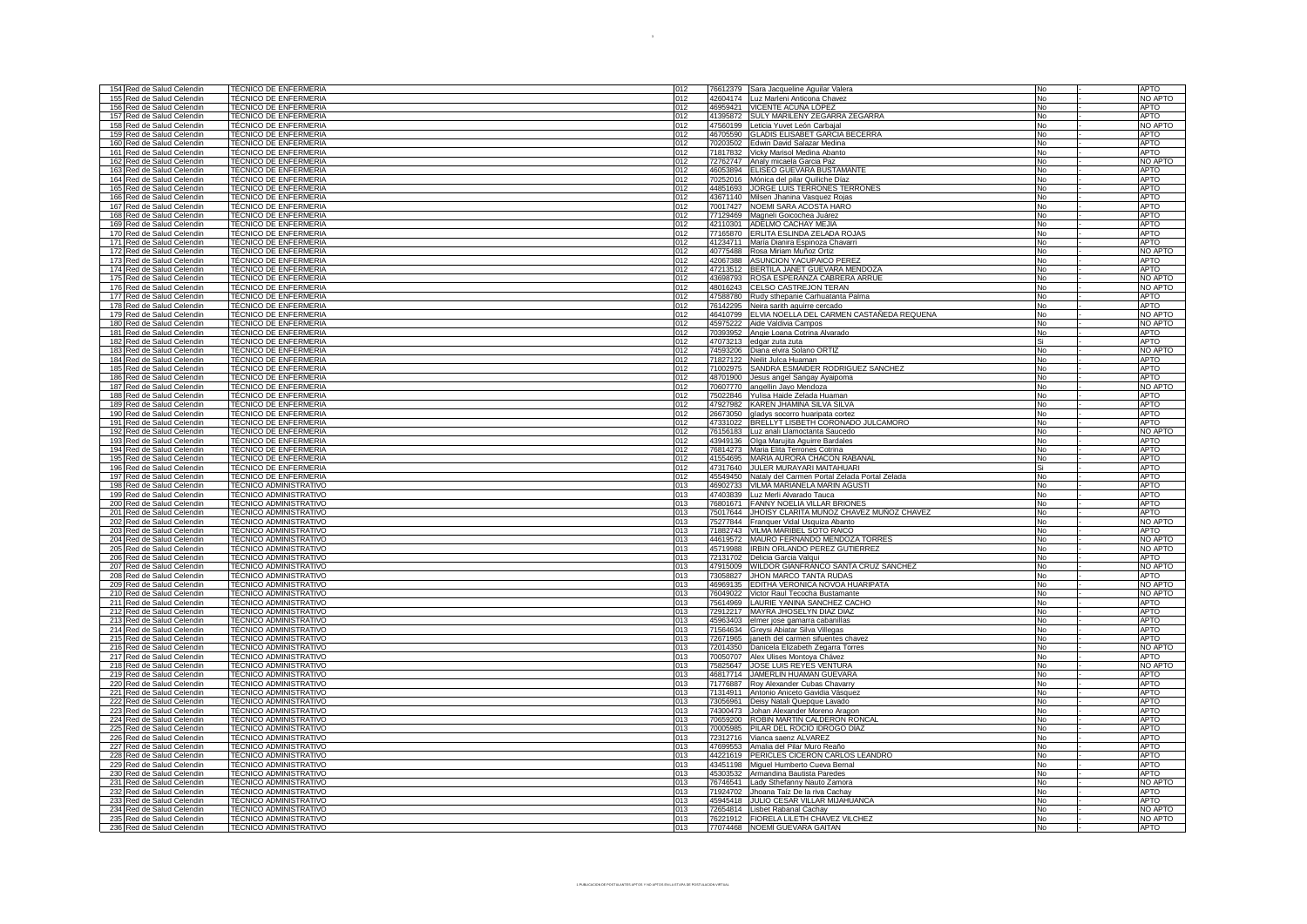| 154 Red de Salud Celendin<br>155 Red de Salud Celendin<br>156 Red de Salud Celendin | <b>TÉCNICO DE ENFERMERIA</b>                     |     |                                                        |           |             |
|-------------------------------------------------------------------------------------|--------------------------------------------------|-----|--------------------------------------------------------|-----------|-------------|
|                                                                                     |                                                  | 012 | 76612379 Sara Jacqueline Aguilar Valera                | <b>No</b> | APTO        |
|                                                                                     | TÉCNICO DE ENFERMERIA                            | 012 | 42604174 Luz Marleni Anticona Chavez                   | No        | NO APTO     |
|                                                                                     |                                                  |     |                                                        |           |             |
|                                                                                     | TÉCNICO DE ENFERMERIA                            | 012 | 46959421 VICENTE ACUÑA LÓPEZ                           | No        | <b>APTO</b> |
| Red de Salud Celendin<br>157                                                        | <b>TÉCNICO DE ENFERMERIA</b>                     | 012 | 41395872 SULY MARILENY ZEGARRA ZEGARRA                 | <b>No</b> | APTO        |
| 158<br>Red de Salud Celendin                                                        | TÉCNICO DE ENFERMERIA                            | 012 | 47560199 Leticia Yuvet León Carbajal                   | <b>No</b> | NO APTO     |
| 159<br>Red de Salud Celendin                                                        | TÉCNICO DE ENFERMERIA                            | 012 | 46705590 GLADIS ELISABET GARCIA BECERRA                | No        | <b>APTO</b> |
|                                                                                     | TÉCNICO DE ENFERMERIA                            | 012 |                                                        | No        | <b>APTO</b> |
| 160 Red de Salud Celendin                                                           |                                                  |     | 70203502 Edwin David Salazar Medina                    |           |             |
| 161 Red de Salud Celendin                                                           | TÉCNICO DE ENFERMERIA                            | 012 | 71817832 Vicky Marisol Medina Abanto                   | No        | <b>APTO</b> |
| 162 Red de Salud Celendin                                                           | <b>TÉCNICO DE ENFERMERIA</b>                     | 012 | 72762747 Analy micaela Garcia Paz                      | No        | NO APTO     |
| 163 Red de Salud Celendin                                                           | TÉCNICO DE ENFERMERIA                            | 012 | 46053894 ELISEO GUEVARA BUSTAMANTE                     | <b>No</b> | APTO        |
| 164 Red de Salud Celendin                                                           | TÉCNICO DE ENFERMERIA                            | 012 | 70252016 Mónica del pilar Quiliche Díaz                | No        | <b>APTO</b> |
|                                                                                     |                                                  |     |                                                        |           |             |
| 165 Red de Salud Celendin                                                           | TÉCNICO DE ENFERMERIA                            | 012 | 44851693 JORGE LUIS TERRONES TERRONES                  | No        | <b>APTO</b> |
| 166 Red de Salud Celendin                                                           | TÉCNICO DE ENFERMERIA                            | 012 | 43671140 Milsen Jhanina Vasquez Rojas                  | No        | <b>APTO</b> |
| 167 Red de Salud Celendin                                                           | <b>TÉCNICO DE ENFERMERIA</b>                     | 012 | 70017427 NOEMI SARA ACOSTA HARO                        | No        | <b>APTO</b> |
| 168                                                                                 | TÉCNICO DE ENFERMERIA                            |     | 77129469 Magneli Goicochea Juárez                      | No        | <b>APTO</b> |
| Red de Salud Celendin                                                               |                                                  | 012 |                                                        |           |             |
| Red de Salud Celendin<br>169                                                        | TÉCNICO DE ENFERMERIA                            | 012 | 42110301 ADELMO CACHAY MEJIA                           | No        | <b>APTO</b> |
| 170 Red de Salud Celendin                                                           | TÉCNICO DE ENFERMERIA                            | 012 | 77165870 ERLITA ESLINDA ZELADA ROJAS                   | No        | <b>APTO</b> |
| 171 Red de Salud Celendin                                                           | TÉCNICO DE ENFERMERIA                            | 012 | 41234711 María Dianira Espinoza Chavarri               | No        | <b>APTO</b> |
|                                                                                     |                                                  |     |                                                        |           |             |
| 172 Red de Salud Celendin                                                           | TÉCNICO DE ENFERMERIA                            | 012 | 40775488 Rosa Miriam Muñoz Ortiz                       | No        | NO APTO     |
| 173 Red de Salud Celendin                                                           | TÉCNICO DE ENFERMERIA                            | 012 | 42067388 ASUNCION YACUPAICO PEREZ                      | No.       | <b>APTO</b> |
| 174 Red de Salud Celendin                                                           | <b>TÉCNICO DE ENFERMERIA</b>                     | 012 | 47213512 BERTILA JANET GUEVARA MENDOZA                 | No        | <b>APTO</b> |
| 175 Red de Salud Celendin                                                           | <b>TÉCNICO DE ENFERMERIA</b>                     | 012 | 43698793 ROSA ESPERANZA CABRERA ARRUE                  | <b>No</b> | NO APTO     |
|                                                                                     |                                                  |     |                                                        |           |             |
| 176 Red de Salud Celendin                                                           | TÉCNICO DE ENFERMERIA                            | 012 | 48016243 CELSO CASTREJON TERAN                         | No        | NO APTO     |
| 177 Red de Salud Celendin                                                           | <b>TÉCNICO DE ENFERMERIA</b>                     | 012 | 47588780 Rudy sthepanie Carhuatanta Palma              | No        | <b>APTO</b> |
| 178 Red de Salud Celendin                                                           | TÉCNICO DE ENFERMERIA                            | 012 | 76142295 Neira sarith aguirre cercado                  | No        | APTO        |
| 179 Red de Salud Celendin                                                           | <b>TÉCNICO DE ENFERMERIA</b>                     | 012 | 46410799 ELVIA NOELLA DEL CARMEN CASTAÑEDA REQUENA     | No        | NO APTO     |
| 180 Red de Salud Celendin                                                           | TÉCNICO DE ENFERMERIA                            | 012 | 45975222 Aide Valdivia Campos                          | <b>No</b> | NO APTO     |
|                                                                                     |                                                  |     |                                                        |           |             |
| 181 Red de Salud Celendin                                                           | TÉCNICO DE ENFERMERIA                            | 012 | 70393952 Angie Loana Cotrina Alvarado                  | No        | APTO        |
| 182 Red de Salud Celendin                                                           | TÉCNICO DE ENFERMERIA                            | 012 | 47073213 edgar zuta zuta                               | l Si      | <b>APTO</b> |
| 183 Red de Salud Celendin                                                           | TÉCNICO DE ENFERMERIA                            | 012 | 74593206 Diana elvira Solano ORTIZ                     | No        | NO APTO     |
|                                                                                     | TÉCNICO DE ENFERMERIA                            | 012 |                                                        |           | <b>APTO</b> |
| 184 Red de Salud Celendin                                                           |                                                  |     | 71827122 Neilit Julca Huaman                           | No        |             |
| 185 Red de Salud Celendin                                                           | TÉCNICO DE ENFERMERIA                            | 012 | 71002975 SANDRA ESMAIDER RODRIGUEZ SANCHEZ             | No        | <b>APTO</b> |
| 186 Red de Salud Celendin                                                           | TÉCNICO DE ENFERMERIA                            | 012 | 48701900 Jesus angel Sangay Ayaipoma                   | No        | <b>APTO</b> |
| 187 Red de Salud Celendin                                                           | TÉCNICO DE ENFERMERIA                            | 012 | 70607770 angellin Jayo Mendoza                         | No        | NO APTO     |
|                                                                                     |                                                  |     |                                                        |           |             |
| 188<br>Red de Salud Celendin                                                        | TÉCNICO DE ENFERMERIA                            | 012 | 75022846 Yulisa Haide Zelada Huaman                    | No        | APTO        |
| 189 Red de Salud Celendin                                                           | TÉCNICO DE ENFERMERIA                            | 012 | 47927982 KAREN JHAMINA SILVA SILVA                     | No        | <b>APTO</b> |
| 190 Red de Salud Celendin                                                           | TÉCNICO DE ENFERMERIA                            | 012 | 26673050 gladys socorro huaripata cortez               | No        | <b>APTO</b> |
| 191 Red de Salud Celendin                                                           | <b>TÉCNICO DE ENFERMERIA</b>                     | 012 | 47331022 BRELLYT LISBETH CORONADO JULCAMORO            | No        | <b>APTO</b> |
|                                                                                     |                                                  |     |                                                        |           |             |
| 192 Red de Salud Celendin                                                           | <b>TÉCNICO DE ENFERMERIA</b>                     | 012 | 76156183 Luz anali Llamoctanta Saucedo                 | No        | NO APTO     |
| 193 Red de Salud Celendin                                                           | TÉCNICO DE ENFERMERIA                            | 012 | 43949136 Olga Marujita Aguirre Bardales                | No        | <b>APTO</b> |
| 194 Red de Salud Celendin                                                           | TÉCNICO DE ENFERMERIA                            | 012 | 76814273 Maria Elita Terrones Cotrina                  | No        | <b>APTO</b> |
| 195 Red de Salud Celendin                                                           | TÉCNICO DE ENFERMERIA                            | 012 | 41554695 MARIA AURORA CHACON RABANAL                   | <b>No</b> | <b>APTO</b> |
|                                                                                     |                                                  |     |                                                        |           |             |
| 196 Red de Salud Celendin                                                           | TÉCNICO DE ENFERMERIA                            | 012 | 47317640 JULER MURAYARI MAITAHUARI                     | Si        | <b>APTO</b> |
|                                                                                     | TÉCNICO DE ENFERMERIA                            | 012 | 45549450 Nataly del Carmen Portal Zelada Portal Zelada | <b>No</b> | <b>APTO</b> |
| 197 Red de Salud Celendin                                                           |                                                  |     |                                                        |           |             |
|                                                                                     |                                                  |     |                                                        |           |             |
| 198<br>Red de Salud Celendin                                                        | TÉCNICO ADMINISTRATIVO                           | 013 | 46902733 VILMA MARIANELA MARIN AGUSTI                  | No        | <b>APTO</b> |
| 199 Red de Salud Celendin                                                           | <b>TÉCNICO ADMINISTRATIVO</b>                    | 013 | 47403839 Luz Merli Alvarado Tauca                      | <b>No</b> | <b>APTO</b> |
| 200 Red de Salud Celendin                                                           | <b>TÉCNICO ADMINISTRATIVO</b>                    | 013 | 76801671 FANNY NOELIA VILLAR BRIONES                   | No        | <b>APTO</b> |
|                                                                                     | TÉCNICO ADMINISTRATIVO                           | 013 |                                                        | No        | <b>APTO</b> |
| 201 Red de Salud Celendin                                                           |                                                  |     | 75017644 JHOISY CLARITA MUÑOZ CHAVEZ MUÑOZ CHAVEZ      |           |             |
| 202 Red de Salud Celendin                                                           | TÉCNICO ADMINISTRATIVO                           | 013 | 75277844 Franquer Vidal Usquiza Abanto                 | No        | NO APTO     |
| Red de Salud Celendin<br>203                                                        | TÉCNICO ADMINISTRATIVO                           | 013 | 71882743 VILMA MARIBEL SOTO RAICO                      | No        | <b>APTO</b> |
| 204 Red de Salud Celendin                                                           | TÉCNICO ADMINISTRATIVO                           | 013 | 44619572 MAURO FERNANDO MENDOZA TORRES                 | No        | NO APTO     |
| 205 Red de Salud Celendin                                                           | TÉCNICO ADMINISTRATIVO                           | 013 | 45719988   IRBIN ORLANDO PEREZ GUTIERREZ               | No        | NO APTO     |
|                                                                                     |                                                  |     |                                                        |           | APTO        |
| 206 Red de Salud Celendin                                                           | TÉCNICO ADMINISTRATIVO                           | 013 | 72131702 Delicia Garcia Valqui                         | No        |             |
| 207 Red de Salud Celendin                                                           | TÉCNICO ADMINISTRATIVO                           | 013 | 47915009 WILDOR GIANFRANCO SANTA CRUZ SANCHEZ          | No        | NO APTO     |
| 208 Red de Salud Celendin                                                           | TÉCNICO ADMINISTRATIVO                           | 013 | 73058827 JHON MARCO TANTA RUDAS                        | No        | APTO        |
| 209 Red de Salud Celendin                                                           | TÉCNICO ADMINISTRATIVO                           | 013 | 46969135 EDITHA VERONICA NOVOA HUARIPATA               | No        | NO APTO     |
|                                                                                     |                                                  |     |                                                        |           |             |
| 210 Red de Salud Celendin                                                           | TÉCNICO ADMINISTRATIVO                           | 013 | 76049022 Victor Raul Tecocha Bustamante                | No        | NO APTO     |
| 211 Red de Salud Celendin                                                           | TÉCNICO ADMINISTRATIVO                           | 013 | 75614969 LAURIE YANINA SANCHEZ CACHO                   | No        | <b>APTO</b> |
| 212 Red de Salud Celendin                                                           | TÉCNICO ADMINISTRATIVO                           | 013 | 72912217 MAYRA JHOSELYN DIAZ DIAZ                      | No.       | APTO        |
| 213 Red de Salud Celendin                                                           | TÉCNICO ADMINISTRATIVO                           | 013 | 45963403 elmer jose gamarra cabanillas                 | No        | <b>APTO</b> |
| 214 Red de Salud Celendin                                                           | TÉCNICO ADMINISTRATIVO                           | 013 |                                                        | No        | <b>APTO</b> |
|                                                                                     |                                                  |     | 71564634 Greysi Abiatar Silva Villegas                 |           |             |
| 215 Red de Salud Celendin                                                           | TÉCNICO ADMINISTRATIVO                           | 013 | 72671965 janeth del carmen sifuentes chavez            | No        | <b>APTO</b> |
| 216 Red de Salud Celendin                                                           | TÉCNICO ADMINISTRATIVO                           | 013 | 72014350 Danicela Elizabeth Zegarra Torres             | No        | NO APTO     |
| 217 Red de Salud Celendin                                                           | TÉCNICO ADMINISTRATIVO                           | 013 | 70050707 Alex Ulises Montoya Chávez                    | No        | APTO        |
| 218 Red de Salud Celendin                                                           | TÉCNICO ADMINISTRATIVO                           | 013 | 75825647 JOSE LUIS REYES VENTURA                       | No        | NO APTO     |
|                                                                                     |                                                  |     |                                                        |           |             |
| 219 Red de Salud Celendin                                                           | TÉCNICO ADMINISTRATIVO                           | 013 | 46817714 JAMERLIN HUAMAN GUEVARA                       | <b>No</b> | <b>APTO</b> |
| 220 Red de Salud Celendin                                                           | TÉCNICO ADMINISTRATIVO                           | 013 | 71776887 Roy Alexander Cubas Chavarry                  | No        | <b>APTO</b> |
| 221 Red de Salud Celendin                                                           | TÉCNICO ADMINISTRATIVO                           | 013 | 71314911 Antonio Aniceto Gavidia Vásquez               | No        | <b>APTO</b> |
| 222 Red de Salud Celendin                                                           | TÉCNICO ADMINISTRATIVO                           | 013 | 73056961 Deisy Natali Quepque Lavado                   | No        | <b>APTO</b> |
| 223                                                                                 | TÉCNICO ADMINISTRATIVO                           | 013 |                                                        |           | <b>APTO</b> |
| Red de Salud Celendin                                                               |                                                  |     | 74300473 Johan Alexander Moreno Aragon                 | No        |             |
| 224 Red de Salud Celendin                                                           | TÉCNICO ADMINISTRATIVO                           | 013 | 70659200 ROBIN MARTIN CALDERON RONCAL                  | No        | <b>APTO</b> |
| 225 Red de Salud Celendin                                                           | TÉCNICO ADMINISTRATIVO                           | 013 | 70005985 PILAR DEL ROCIO IDROGO DÍAZ                   | No        | <b>APTO</b> |
| 226 Red de Salud Celendin                                                           | TÉCNICO ADMINISTRATIVO                           | 013 | 72312716 Vianca saenz ALVAREZ                          | No        | <b>APTO</b> |
|                                                                                     |                                                  |     |                                                        | l No      |             |
| 227 Red de Salud Celendin                                                           |                                                  | 013 | 47699553 Amalia del Pilar Muro Reaño                   |           | <b>APTO</b> |
| 228<br>Red de Salud Celendin                                                        | TÉCNICO ADMINISTRATIVO<br>TÉCNICO ADMINISTRATIVO | 013 | 44221619 PERICLES CICERON CARLOS LEANDRO               | No        | <b>APTO</b> |
| 229 Red de Salud Celendin                                                           | <b>TÉCNICO ADMINISTRATIVO</b>                    | 013 | 43451198 Miguel Humberto Cueva Bernal                  | No        | <b>APTO</b> |
| 230 Red de Salud Celendin                                                           | TÉCNICO ADMINISTRATIVO                           | 013 | 45303532 Armandina Bautista Paredes                    | No        | <b>APTO</b> |
|                                                                                     | <b>TÉCNICO ADMINISTRATIVO</b>                    | 013 |                                                        | No        | NO APTO     |
| 231 Red de Salud Celendin                                                           |                                                  |     | 76746541 Lady Sthefanny Nauto Zamora                   |           |             |
| 232 Red de Salud Celendin                                                           | TÉCNICO ADMINISTRATIVO                           | 013 | 71924702 Jhoana Taíz De la riva Cachay                 | No        | <b>APTO</b> |
| 233 Red de Salud Celendin                                                           | TÉCNICO ADMINISTRATIVO                           | 013 | 45945418 JULIO CESAR VILLAR MIJAHUANCA                 | No        | <b>APTO</b> |
| 234 Red de Salud Celendin                                                           | <b>TÉCNICO ADMINISTRATIVO</b>                    | 013 | 72654814 Lisbet Rabanal Cachay                         | No        | NO APTO     |
| 235 Red de Salud Celendin                                                           | TÉCNICO ADMINISTRATIVO<br>TÉCNICO ADMINISTRATIVO | 013 | 76221912   FIORELA LILETH CHAVEZ VILCHEZ               | No        | NO APTO     |

3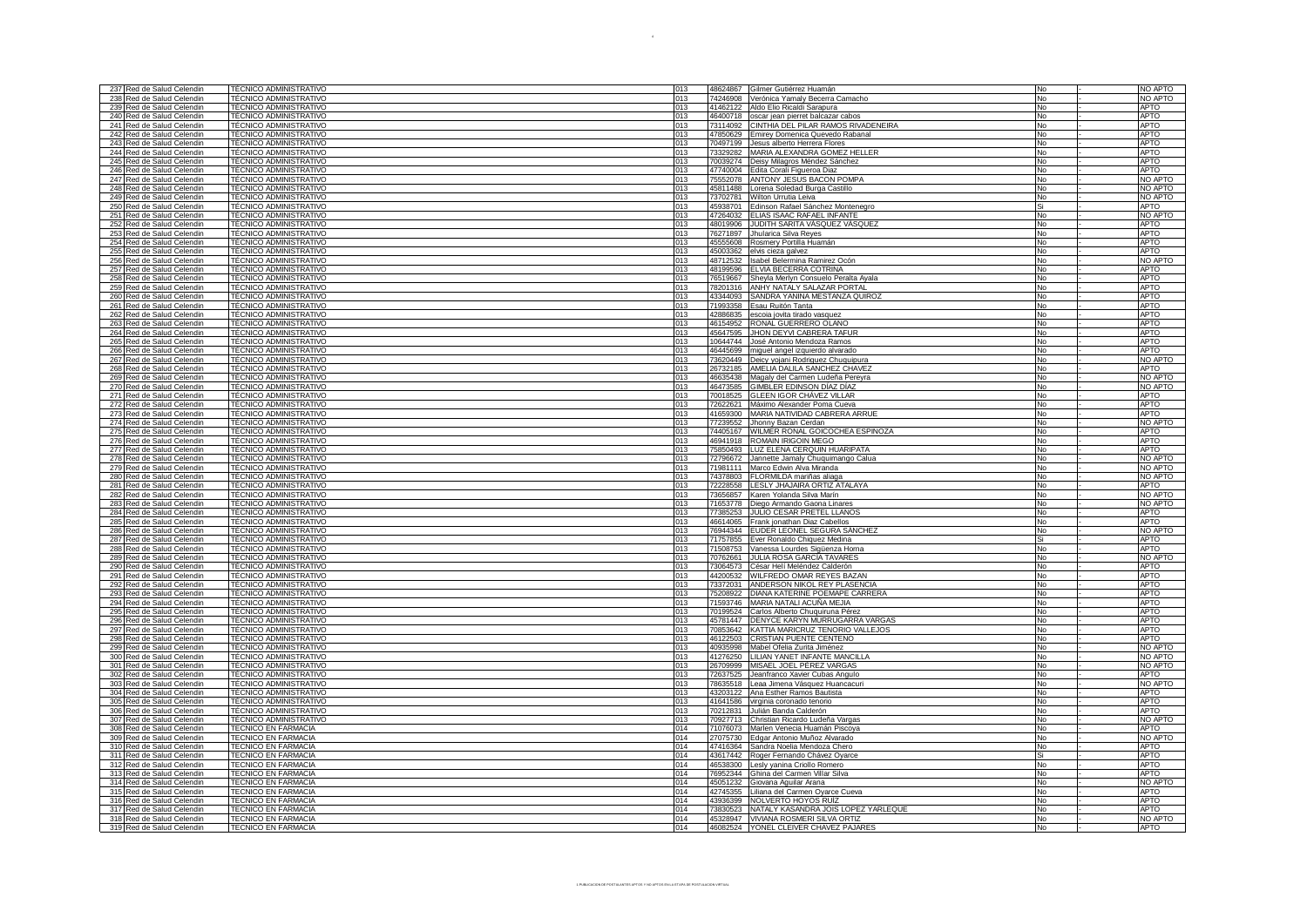| 237 Red de Salud Celendin                              | TÉCNICO ADMINISTRATIVO        | 013 |          | 48624867 Gilmer Gutiérrez Huamán                                                           | No        | NO APTO     |
|--------------------------------------------------------|-------------------------------|-----|----------|--------------------------------------------------------------------------------------------|-----------|-------------|
| 238 Red de Salud Celendin                              | <b>TÉCNICO ADMINISTRATIVO</b> | 013 | 74246908 | Verónica Yamaly Becerra Camacho                                                            | No        | NO APTO     |
| 239 Red de Salud Celendin                              | TÉCNICO ADMINISTRATIVO        | 013 |          | 41462122 Aldo Elio Ricaldi Sarapura                                                        | No.       | <b>APTO</b> |
|                                                        | TÉCNICO ADMINISTRATIVO        | 013 |          |                                                                                            | No        | <b>APTO</b> |
| 240 Red de Salud Celendin                              | TÉCNICO ADMINISTRATIVO        | 013 |          | 46400718 oscar jean pierret balcazar cabos<br>73114092 CINTHIA DEL PILAR RAMOS RIVADENEIRA | No        | <b>APTO</b> |
| 241 Red de Salud Celendin                              |                               |     |          |                                                                                            |           |             |
| 242 Red de Salud Celendin                              | TÉCNICO ADMINISTRATIVO        | 013 |          | 47850629 Emirey Domenica Quevedo Rabanal                                                   | No        | <b>APTO</b> |
| 243 Red de Salud Celendin                              | <b>TÉCNICO ADMINISTRATIVO</b> | 013 |          | 70497199 Jesus alberto Herrera Flores                                                      | No        | <b>APTO</b> |
| 244 Red de Salud Celendin                              | TÉCNICO ADMINISTRATIVO        | 013 |          | 73329282 MARIA ALEXANDRA GOMEZ HELLER                                                      | No        | <b>APTO</b> |
| 245 Red de Salud Celendin                              | <b>TÉCNICO ADMINISTRATIVO</b> | 013 |          | 70039274 Deisy Milagros Méndez Sánchez                                                     | No        | <b>APTO</b> |
| 246 Red de Salud Celendin                              | TÉCNICO ADMINISTRATIVO        | 013 |          | 47740004 Edita Corali Figueroa Diaz                                                        | <b>No</b> | <b>APTO</b> |
| 247 Red de Salud Celendin                              | TÉCNICO ADMINISTRATIVO        | 013 |          | 75552078 ANTONY JESUS BACON POMPA                                                          | No        | NO APTO     |
| 248 Red de Salud Celendin                              | TÉCNICO ADMINISTRATIVO        | 013 |          | 45811488 Lorena Soledad Burga Castillo                                                     | No        | NO APTO     |
| 249 Red de Salud Celendin                              | TÉCNICO ADMINISTRATIVO        | 013 |          | 73702781 Wilton Urrutia Leiva                                                              | No        | NO APTO     |
| 250 Red de Salud Celendin                              | TÉCNICO ADMINISTRATIVO        | 013 |          | 45938701 Edinson Rafael Sánchez Montenegro                                                 | Si        | APTO        |
| 251 Red de Salud Celendin                              | TÉCNICO ADMINISTRATIVO        | 013 |          | 47264032 ELIAS ISAAC RAFAEL INFANTE                                                        | No        | NO APTO     |
| 252 Red de Salud Celendin                              | TÉCNICO ADMINISTRATIVO        | 013 |          | 48019906 JUDITH SARITA VÁSQUEZ VÁSQUEZ                                                     | No        | <b>APTO</b> |
|                                                        | TÉCNICO ADMINISTRATIVO        |     |          |                                                                                            |           |             |
| 253 Red de Salud Celendin                              |                               | 013 |          | 76271897 Jhularica Silva Reyes                                                             | No        | <b>APTO</b> |
| 254 Red de Salud Celendin                              | TÉCNICO ADMINISTRATIVO        | 013 |          | 45555608 Rosmery Portilla Huamán                                                           | No        | <b>APTO</b> |
| 255 Red de Salud Celendin                              | <b>TÉCNICO ADMINISTRATIVO</b> | 013 |          | 45003362 elvis cieza galvez                                                                | No        | <b>APTO</b> |
| 256 Red de Salud Celendin                              | TÉCNICO ADMINISTRATIVO        | 013 |          | 48712532 Isabel Belermina Ramirez Ocón                                                     | <b>No</b> | NO APTO     |
| 257 Red de Salud Celendin                              | TÉCNICO ADMINISTRATIVO        | 013 |          | 48199596 ELVIA BECERRA COTRINA                                                             | No        | <b>APTO</b> |
| 258 Red de Salud Celendin                              | <b>TÉCNICO ADMINISTRATIVO</b> | 013 |          | 76519667 Sheyla Merlyn Consuelo Peralta Ayala                                              | <b>No</b> | <b>APTO</b> |
| 259 Red de Salud Celendin                              | TÉCNICO ADMINISTRATIVO        | 013 |          | 78201316 ANHY NATALY SALAZAR PORTAL                                                        | No        | <b>APTO</b> |
| 260 Red de Salud Celendin                              | <b>TÉCNICO ADMINISTRATIVO</b> | 013 |          | 43344093 SANDRA YANINA MESTANZA QUIROZ                                                     | No        | <b>APTO</b> |
| 261 Red de Salud Celendin                              | TÉCNICO ADMINISTRATIVO        | 013 |          | 71993358 Esau Ruitón Tanta                                                                 | No        | <b>APTO</b> |
| 262 Red de Salud Celendin                              | <b>TÉCNICO ADMINISTRATIVO</b> | 013 |          | 42886835 escoia jovita tirado vasquez                                                      | No        | <b>APTO</b> |
| 263 Red de Salud Celendin                              | TÉCNICO ADMINISTRATIVO        | 013 |          | 46154952 RONAL GUERRERO OLANO                                                              | <b>No</b> | <b>APTO</b> |
| 264 Red de Salud Celendin                              | TÉCNICO ADMINISTRATIVO        | 013 |          | 45647595 JHON DEYVI CABRERA TAFUR                                                          | No        | <b>APTO</b> |
|                                                        | <b>TÉCNICO ADMINISTRATIVO</b> |     |          |                                                                                            |           | <b>APTO</b> |
| 265 Red de Salud Celendin                              |                               | 013 |          | 10644744 José Antonio Mendoza Ramos                                                        | No        |             |
| 266 Red de Salud Celendin                              | TÉCNICO ADMINISTRATIVO        | 013 |          | 46445699 miguel angel izquierdo alvarado                                                   | No        | <b>APTO</b> |
| 267 Red de Salud Celendin                              | TÉCNICO ADMINISTRATIVO        | 013 |          | 73620449   Deicy yojani Rodriguez Chuquipura                                               | No        | NO APTO     |
| 268 Red de Salud Celendin                              | TÉCNICO ADMINISTRATIVO        | 013 |          | 26732185 AMELIA DALILA SANCHEZ CHAVEZ                                                      | No        | <b>APTO</b> |
| 269 Red de Salud Celendin                              | TÉCNICO ADMINISTRATIVO        | 013 |          | 46635438 Magaly del Carmen Ludeña Pereyra                                                  | No        | NO APTO     |
| 270 Red de Salud Celendin                              | TÉCNICO ADMINISTRATIVO        | 013 |          | 46473585 GIMBLER EDINSON DÍAZ DÍAZ                                                         | <b>No</b> | NO APTO     |
| 271 Red de Salud Celendin                              | TÉCNICO ADMINISTRATIVO        | 013 |          | 70018525 GLEEN IGOR CHÁVEZ VILLAR                                                          | No        | <b>APTO</b> |
| 272 Red de Salud Celendin                              | TÉCNICO ADMINISTRATIVO        | 013 |          | 72622621 Máximo Alexander Poma Cueva                                                       | No        | <b>APTO</b> |
| 273 Red de Salud Celendin                              | TÉCNICO ADMINISTRATIVO        | 013 |          | 41659300 MARIA NATIVIDAD CABRERA ARRUE                                                     | <b>No</b> | <b>APTO</b> |
|                                                        |                               |     |          |                                                                                            |           |             |
| 274 Red de Salud Celendin                              | TÉCNICO ADMINISTRATIVO        | 013 |          | 77239552 Jhonny Bazan Cerdan                                                               | No        | NO APTO     |
| 275 Red de Salud Celendin                              | <b>TÉCNICO ADMINISTRATIVO</b> | 013 |          | 74405167 WILMER RONAL GOICOCHEA ESPINOZA                                                   | No        | <b>APTO</b> |
| 276 Red de Salud Celendin                              | TÉCNICO ADMINISTRATIVO        | 013 |          | 46941918 ROMAIN IRIGOIN MEGO                                                               | No        | <b>APTO</b> |
| 277 Red de Salud Celendin                              | TÉCNICO ADMINISTRATIVO        | 013 |          | 75850493 LUZ ELENA CERQUIN HUARIPATA                                                       | No        | <b>APTO</b> |
| 278 Red de Salud Celendin                              | TÉCNICO ADMINISTRATIVO        | 013 |          | 72796672 Jannette Jamaly Chuquimango Calua                                                 | No        | NO APTO     |
| 279 Red de Salud Celendin                              | TÉCNICO ADMINISTRATIVO        | 013 |          | 71981111 Marco Edwin Alva Miranda                                                          | No        | NO APTO     |
| 280 Red de Salud Celendin                              | TÉCNICO ADMINISTRATIVO        | 013 |          | 74378803 FLORMILDA mariñas aliaga                                                          | <b>No</b> | NO APTO     |
| 281 Red de Salud Celendin                              | TÉCNICO ADMINISTRATIVO        | 013 |          | 72228558 LESLY JHAJAIRA ORTIZ ATALAYA                                                      | No        | <b>APTO</b> |
| 282 Red de Salud Celendin                              | <b>TÉCNICO ADMINISTRATIVO</b> | 013 |          | 73656857 Karen Yolanda Silva Marín                                                         | No        | NO APTO     |
| 283 Red de Salud Celendin                              | TÉCNICO ADMINISTRATIVO        | 013 |          | 71653778 Diego Armando Gaona Linares                                                       | No        | NO APTO     |
| 284 Red de Salud Celendin                              | TÉCNICO ADMINISTRATIVO        | 013 |          | 77385253 JULIO CESAR PRETEL LLANOS                                                         | No        | <b>APTO</b> |
|                                                        | TÉCNICO ADMINISTRATIVO        | 013 |          |                                                                                            |           | <b>APTO</b> |
| 285 Red de Salud Celendin                              |                               |     |          | 46614065 Frank jonathan Diaz Cabellos                                                      | No        |             |
| 286 Red de Salud Celendin                              | TÉCNICO ADMINISTRATIVO        | 013 |          | 76944344 EUDER LEONEL SEGURA SÁNCHEZ                                                       | No        | NO APTO     |
| 287 Red de Salud Celendin                              | <b>TÉCNICO ADMINISTRATIVO</b> | 013 |          | 71757855 Ever Ronaldo Chiquez Medina                                                       | Si        | <b>APTO</b> |
| 288 Red de Salud Celendin                              | TÉCNICO ADMINISTRATIVO        | 013 |          | 71508753 Vanessa Lourdes Sigüenza Horna                                                    | No        | <b>APTO</b> |
| 289 Red de Salud Celendin                              | TÉCNICO ADMINISTRATIVO        | 013 |          | 70762661 JULIA ROSA GARCÍA TAVARES                                                         | No        | NO APTO     |
| 290 Red de Salud Celendin                              | TÉCNICO ADMINISTRATIVO        | 013 |          | 73064573 César Helí Meléndez Calderón                                                      | <b>No</b> | <b>APTO</b> |
| 291 Red de Salud Celendin                              | TÉCNICO ADMINISTRATIVO        | 013 |          | 44200532 WILFREDO OMAR REYES BAZAN                                                         | No        | <b>APTO</b> |
| 292 Red de Salud Celendin                              | TÉCNICO ADMINISTRATIVO        | 013 |          | 73372031 ANDERSON NIKOL REY PLASENCIA                                                      | No        | <b>APTO</b> |
| 293 Red de Salud Celendin                              | TÉCNICO ADMINISTRATIVO        | 013 |          | 75208922 DIANA KATERINE POEMAPE CARRERA                                                    | No        | <b>APTO</b> |
| 294 Red de Salud Celendin                              | TÉCNICO ADMINISTRATIVO        | 013 |          | 71593746   MARIA NATALI ACUÑA MEJIA                                                        | No        | <b>APTO</b> |
| 295 Red de Salud Celendin                              | TÉCNICO ADMINISTRATIVO        | 013 |          | 70199524 Carlos Alberto Chuquiruna Pérez                                                   | No        | <b>APTO</b> |
| 296 Red de Salud Celendin                              | TÉCNICO ADMINISTRATIVO        | 013 |          | 45781447 DENYCE KARYN MURRUGARRA VARGAS                                                    | No        | <b>APTO</b> |
| 297 Red de Salud Celendin                              | TÉCNICO ADMINISTRATIVO        | 013 |          | 70853642 KATTIA MARICRUZ TENORIO VALLEJOS                                                  | No        | <b>APTO</b> |
| 298 Red de Salud Celendin                              | TÉCNICO ADMINISTRATIVO        | 013 |          | 46122503 CRISTIAN PUENTE CENTENO                                                           | No        | <b>APTO</b> |
|                                                        | TÉCNICO ADMINISTRATIVO        |     |          |                                                                                            |           |             |
| 299 Red de Salud Celendin                              |                               | 013 |          | 40935998 Mabel Ofelia Zurita Jiménez                                                       | No        | NO APTO     |
| 300 Red de Salud Celendin                              | TÉCNICO ADMINISTRATIVO        | 013 |          | 41276250 LILIAN YANET INFANTE MANCILLA                                                     | <b>No</b> | NO APTO     |
| 301 Red de Salud Celendin                              | TÉCNICO ADMINISTRATIVO        | 013 |          | 26709999 MISAEL JOEL PEREZ VARGAS                                                          | No        | NO APTO     |
| 302 Red de Salud Celendin                              | TÉCNICO ADMINISTRATIVO        | 013 |          | 72637525 Jeanfranco Xavier Cubas Angulo                                                    | No        | APTO        |
| 303 Red de Salud Celendin                              | TÉCNICO ADMINISTRATIVO        | 013 |          | 78635518 Leaa Jimena Vásquez Huancacuri                                                    | No        | NO APTO     |
| 304 Red de Salud Celendin                              | TÉCNICO ADMINISTRATIVO        | 013 |          | 43203122 Ana Esther Ramos Bautista                                                         | No        | <b>APTO</b> |
| 305 Red de Salud Celendin                              | TÉCNICO ADMINISTRATIVO        | 013 |          | 41641586 virginia coronado tenorio                                                         | No        | <b>APTO</b> |
| 306 Red de Salud Celendin                              | TÉCNICO ADMINISTRATIVO        | 013 |          | 70212831 Julián Banda Calderón                                                             | No        | <b>APTO</b> |
| 307 Red de Salud Celendin                              | <b>TÉCNICO ADMINISTRATIVO</b> | 013 |          | 70927713 Christian Ricardo Ludeña Vargas                                                   | No        | NO APTO     |
| 308 Red de Salud Celendin                              | TECNICO EN FARMACIA           | 014 |          | 71076073 Marlen Venecia Huamán Piscoya                                                     | No        | <b>APTO</b> |
| 309 Red de Salud Celendin                              | TECNICO EN FARMACIA           | 014 |          | 27075730 Edgar Antonio Muñoz Alvarado                                                      | No        | NO APTO     |
|                                                        | <b>TECNICO EN FARMACIA</b>    | 014 |          |                                                                                            |           | <b>APTO</b> |
| 310 Red de Salud Celendin                              |                               |     |          | 47416364 Sandra Noelia Mendoza Chero                                                       | No        | <b>APTO</b> |
| 311 Red de Salud Celendin<br>312 Red de Salud Celendin | TECNICO EN FARMACIA           | 014 |          | 43617442 Roger Fernando Chávez Oyarce                                                      | Si        |             |
|                                                        | <b>TECNICO EN FARMACIA</b>    | 014 |          | 46538300 Lesly yanina Criollo Romero                                                       | No        | <b>APTO</b> |
|                                                        | TECNICO EN FARMACIA           | 014 |          | 76952344 Ghina del Carmen Villar Silva                                                     | No        | <b>APTO</b> |
| 313 Red de Salud Celendin                              |                               |     |          |                                                                                            |           |             |
| 314 Red de Salud Celendin                              | TECNICO EN FARMACIA           | 014 |          | 45051232 Giovana Aguilar Arana                                                             | <b>No</b> | NO APTO     |
| 315 Red de Salud Celendin                              | TECNICO EN FARMACIA           | 014 |          | 42745355 Liliana del Carmen Oyarce Cueva                                                   | No        | <b>APTO</b> |
| 316 Red de Salud Celendin                              | TECNICO EN FARMACIA           | 014 |          | 43936399 NOLVERTO HOYOS RUIZ                                                               | No        | <b>APTO</b> |
| 317 Red de Salud Celendin                              | <b>TECNICO EN FARMACIA</b>    | 014 |          | 73830523 NATALY KASANDRA JOIS LOPEZ YARLEQUE                                               | <b>No</b> | <b>APTO</b> |
| 318 Red de Salud Celendin                              | TECNICO EN FARMACIA           | 014 |          | 45328947 VIVIANA ROSMERI SILVA ORTIZ                                                       | <b>No</b> | NO APTO     |

 $\mathcal{A}=\mathcal{A}+\mathcal{A}+\mathcal{A}+\mathcal{A}+\mathcal{A}+\mathcal{A}+\mathcal{A}+\mathcal{A}+\mathcal{A}+\mathcal{A}+\mathcal{A}+\mathcal{A}+\mathcal{A}+\mathcal{A}+\mathcal{A}+\mathcal{A}+\mathcal{A}+\mathcal{A}+\mathcal{A}+\mathcal{A}+\mathcal{A}+\mathcal{A}+\mathcal{A}+\mathcal{A}+\mathcal{A}+\mathcal{A}+\mathcal{A}+\mathcal{A}+\mathcal{A}+\mathcal{A}+\mathcal{A}+\mathcal{A}+\mathcal{A}+\mathcal{A}+\mathcal{A}+\mathcal{$